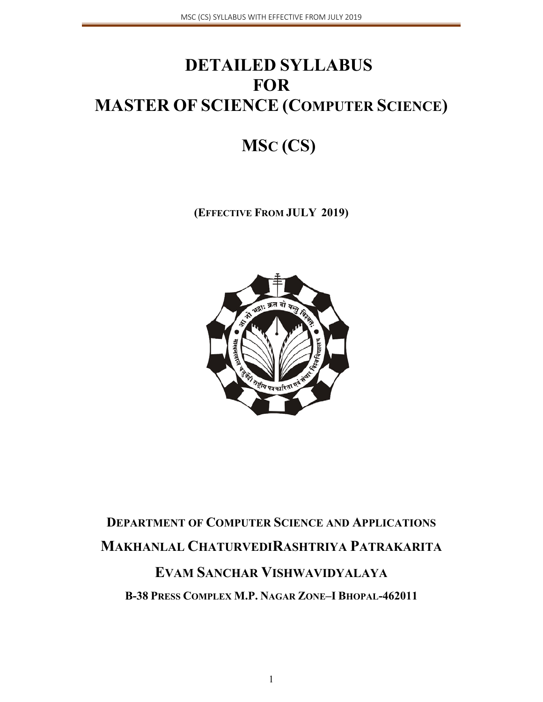# **DETAILED SYLLABUS FOR MASTER OF SCIENCE (COMPUTER SCIENCE)**

# **MSC (CS)**

**(EFFECTIVE FROM JULY 2019)** 



# **DEPARTMENT OF COMPUTER SCIENCE AND APPLICATIONS MAKHANLAL CHATURVEDIRASHTRIYA PATRAKARITA EVAM SANCHAR VISHWAVIDYALAYA**

**B-38 PRESS COMPLEX M.P. NAGAR ZONE–I BHOPAL-462011**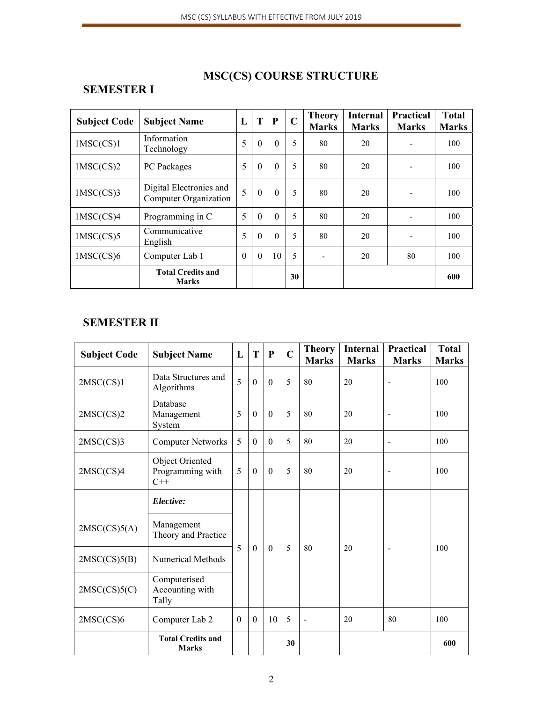# **MSC(CS) COURSE STRUCTURE**

### **SEMESTER I**

| <b>Subject Code</b> | <b>Subject Name</b>                              | L            | T        | P        | $\mathbf C$ | <b>Theory</b><br><b>Marks</b> | <b>Internal</b><br><b>Marks</b> | <b>Practical</b><br><b>Marks</b> | <b>Total</b><br><b>Marks</b> |
|---------------------|--------------------------------------------------|--------------|----------|----------|-------------|-------------------------------|---------------------------------|----------------------------------|------------------------------|
| 1MSC(CS)1           | Information<br>Technology                        | 5            | $\theta$ | $\theta$ | 5           | 80                            | 20                              |                                  | 100                          |
| $1$ MSC $(CS)2$     | PC Packages                                      | 5            | $\theta$ | $\theta$ | 5           | 80                            | 20                              |                                  | 100                          |
| 1MSC(CS)3           | Digital Electronics and<br>Computer Organization | 5            | $\theta$ | $\theta$ | 5           | 80                            | 20                              | $\overline{\phantom{a}}$         | 100                          |
| 1MSC(CS)4           | Programming in C                                 | 5            | $\theta$ | $\theta$ | 5           | 80                            | 20                              |                                  | 100                          |
| 1MSC(CS)5           | Communicative<br>English                         | 5            | $\theta$ | $\theta$ | 5           | 80                            | 20                              |                                  | 100                          |
| 1MSC(CS)6           | Computer Lab 1                                   | $\mathbf{0}$ | $\theta$ | 10       | 5           |                               | 20                              | 80                               | 100                          |
|                     | <b>Total Credits and</b><br><b>Marks</b>         |              |          |          | 30          |                               |                                 |                                  | 600                          |

### **SEMESTER II**

| <b>Subject Code</b> | <b>Subject Name</b>                          | L | T              | ${\bf P}$    | $\mathbf C$ | <b>Theory</b><br><b>Marks</b> | <b>Internal</b><br><b>Marks</b> | Practical<br><b>Marks</b> | <b>Total</b><br><b>Marks</b> |
|---------------------|----------------------------------------------|---|----------------|--------------|-------------|-------------------------------|---------------------------------|---------------------------|------------------------------|
| 2MSC(CS)1           | Data Structures and<br>Algorithms            |   | $\overline{0}$ | $\mathbf{0}$ | 5           | 80                            | 20                              | Ē,                        | 100                          |
| 2MSC(CS)2           | Database<br>Management<br>System             | 5 | $\overline{0}$ | $\theta$     | 5           | 80                            | 20                              | $\overline{\phantom{m}}$  | 100                          |
| 2MSC(CS)3           | <b>Computer Networks</b>                     | 5 | $\overline{0}$ | $\mathbf{0}$ | 5           | 80                            | 20                              | $\overline{\phantom{a}}$  | 100                          |
| 2MSC(CS)4           | Object Oriented<br>Programming with<br>$C++$ | 5 | $\mathbf{0}$   | $\mathbf{0}$ | 5           | 80                            | 20                              | $\overline{\phantom{a}}$  | 100                          |
|                     | Elective:                                    |   |                |              |             |                               |                                 |                           |                              |
| 2MSC(CS)5(A)        | Management<br>Theory and Practice            |   |                |              |             |                               |                                 |                           |                              |
| 2MSC(CS)5(B)        | <b>Numerical Methods</b>                     | 5 | $\overline{0}$ | $\mathbf{0}$ | 5           | 80                            | 20                              | $\overline{\phantom{a}}$  | 100                          |
| 2MSC(CS)5(C)        | Computerised<br>Accounting with<br>Tally     |   |                |              |             |                               |                                 |                           |                              |
| 2MSC(CS)6           | Computer Lab 2                               |   | $\mathbf{0}$   | 10           | 5           | $\overline{\phantom{a}}$      | 20                              | 80                        | 100                          |
|                     | <b>Total Credits and</b><br><b>Marks</b>     |   |                |              | 30          |                               |                                 |                           | 600                          |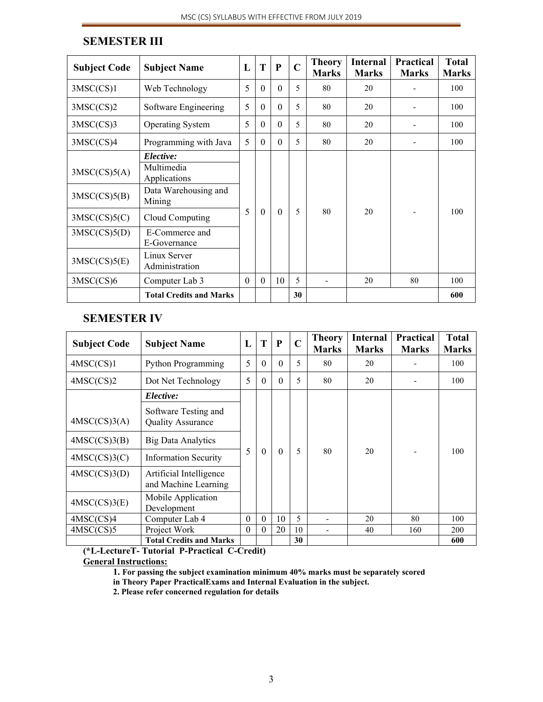| <b>Subject Code</b>                                                          | <b>Subject Name</b>                                                                                                                                              | L        | T        | P        | $\overline{C}$ | <b>Theory</b><br><b>Marks</b> | <b>Internal</b><br><b>Marks</b> | Practical<br><b>Marks</b> | <b>Total</b><br><b>Marks</b> |
|------------------------------------------------------------------------------|------------------------------------------------------------------------------------------------------------------------------------------------------------------|----------|----------|----------|----------------|-------------------------------|---------------------------------|---------------------------|------------------------------|
| 3MSC(CS)1                                                                    | Web Technology                                                                                                                                                   | 5        | $\theta$ | $\Omega$ | 5              | 80                            | 20                              |                           | 100                          |
| 3MSC(CS)2                                                                    | Software Engineering                                                                                                                                             | 5        | $\Omega$ | $\Omega$ | 5              | 80                            | 20                              |                           | 100                          |
| 3MSC(CS)3                                                                    | <b>Operating System</b>                                                                                                                                          | 5        | $\theta$ | $\theta$ | 5              | 80                            | 20                              |                           | 100                          |
| 3MSC(CS)4                                                                    | Programming with Java                                                                                                                                            | 5        | $\theta$ | $\Omega$ | 5              | 80                            | 20                              |                           | 100                          |
| 3MSC(CS)5(A)<br>3MSC(CS)5(B)<br>3MSC(CS)5(C)<br>3MSC(CS)5(D)<br>3MSC(CS)5(E) | Elective:<br>Multimedia<br>Applications<br>Data Warehousing and<br>Mining<br>Cloud Computing<br>E-Commerce and<br>E-Governance<br>Linux Server<br>Administration | 5        | $\Omega$ | $\Omega$ | 5              | 80                            | 20                              |                           | 100                          |
| 3MSC(CS)6                                                                    | Computer Lab 3                                                                                                                                                   | $\Omega$ | $\theta$ | 10       | 5              |                               | 20                              | 80                        | 100                          |
|                                                                              | <b>Total Credits and Marks</b>                                                                                                                                   |          |          |          | 30             |                               |                                 |                           | 600                          |

### **SEMESTER III**

### **SEMESTER IV**

| <b>Subject Code</b> | <b>Subject Name</b>                              | L | T        | $\mathbf{P}$ | $\overline{C}$ | <b>Theory</b><br><b>Marks</b> | Internal<br><b>Marks</b> | <b>Practical</b><br><b>Marks</b> | <b>Total</b><br><b>Marks</b> |
|---------------------|--------------------------------------------------|---|----------|--------------|----------------|-------------------------------|--------------------------|----------------------------------|------------------------------|
| 4MSC(CS)1           | <b>Python Programming</b>                        |   | $\theta$ | $\theta$     | 5              | 80                            | 20                       |                                  | 100                          |
| 4MSC(CS)2           | Dot Net Technology                               |   | $\theta$ | $\theta$     | 5              | 80                            | 20                       |                                  | 100                          |
|                     | Elective:                                        |   |          |              |                |                               |                          |                                  |                              |
| 4MSC(CS)3(A)        | Software Testing and<br><b>Quality Assurance</b> |   |          |              |                |                               |                          |                                  |                              |
| 4MSC(CS)3(B)        | <b>Big Data Analytics</b>                        |   |          |              |                |                               |                          |                                  |                              |
| 4MSC(CS)3(C)        | <b>Information Security</b>                      | 5 | $\theta$ | $\Omega$     | 5              | 80                            | 20                       |                                  | 100                          |
| 4MSC(CS)3(D)        | Artificial Intelligence<br>and Machine Learning  |   |          |              |                |                               |                          |                                  |                              |
| 4MSC(CS)3(E)        | Mobile Application<br>Development                |   |          |              |                |                               |                          |                                  |                              |
| 4MSC(CS)4           | Computer Lab 4                                   |   | $\theta$ | 10           | 5              |                               | 20                       | 80                               | 100                          |
| 4MSC(CS)5           | Project Work                                     |   | $\theta$ | 20           | 10             |                               | 40                       | 160                              | 200                          |
|                     | <b>Total Credits and Marks</b>                   |   |          |              | 30             |                               |                          |                                  | 600                          |

**(\*L-LectureT- Tutorial P-Practical C-Credit) General Instructions:**

**1. For passing the subject examination minimum 40% marks must be separately scored** 

**in Theory Paper PracticalExams and Internal Evaluation in the subject.** 

 **2. Please refer concerned regulation for details**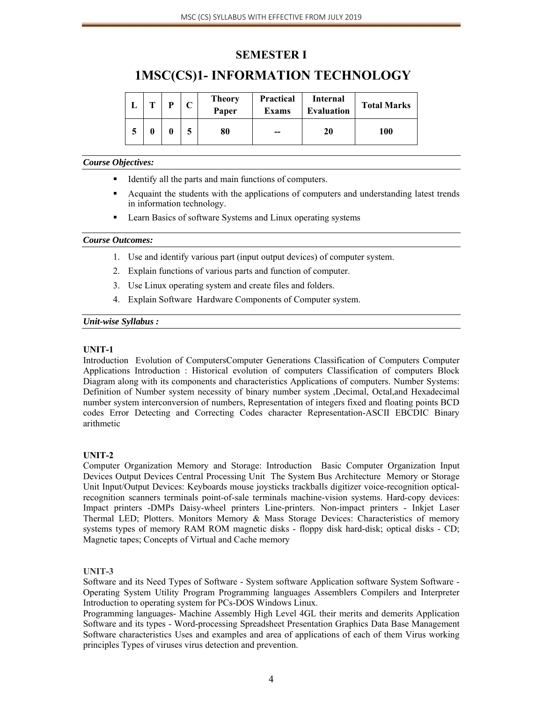### **SEMESTER I**

### **1MSC(CS)1- INFORMATION TECHNOLOGY**

| m | D | <b>Theory</b><br>Paper | <b>Practical</b><br>Exams | Internal<br><b>Evaluation</b> | <b>Total Marks</b> |
|---|---|------------------------|---------------------------|-------------------------------|--------------------|
|   | 0 | 80                     | --                        | 20                            | 100                |

#### *Course Objectives:*

- Identify all the parts and main functions of computers.
- Acquaint the students with the applications of computers and understanding latest trends in information technology.
- Learn Basics of software Systems and Linux operating systems

#### *Course Outcomes:*

- 1. Use and identify various part (input output devices) of computer system.
- 2. Explain functions of various parts and function of computer.
- 3. Use Linux operating system and create files and folders.
- 4. Explain Software Hardware Components of Computer system.

#### *Unit-wise Syllabus :*

#### **UNIT-1**

Introduction Evolution of ComputersComputer Generations Classification of Computers Computer Applications Introduction : Historical evolution of computers Classification of computers Block Diagram along with its components and characteristics Applications of computers. Number Systems: Definition of Number system necessity of binary number system ,Decimal, Octal,and Hexadecimal number system interconversion of numbers, Representation of integers fixed and floating points BCD codes Error Detecting and Correcting Codes character Representation-ASCII EBCDIC Binary arithmetic

#### **UNIT-2**

Computer Organization Memory and Storage: Introduction Basic Computer Organization Input Devices Output Devices Central Processing Unit The System Bus Architecture Memory or Storage Unit Input/Output Devices: Keyboards mouse joysticks trackballs digitizer voice-recognition opticalrecognition scanners terminals point-of-sale terminals machine-vision systems. Hard-copy devices: Impact printers -DMPs Daisy-wheel printers Line-printers. Non-impact printers - Inkjet Laser Thermal LED; Plotters. Monitors Memory & Mass Storage Devices: Characteristics of memory systems types of memory RAM ROM magnetic disks - floppy disk hard-disk; optical disks - CD; Magnetic tapes; Concepts of Virtual and Cache memory

#### **UNIT-3**

Software and its Need Types of Software - System software Application software System Software -Operating System Utility Program Programming languages Assemblers Compilers and Interpreter Introduction to operating system for PCs-DOS Windows Linux.

Programming languages- Machine Assembly High Level 4GL their merits and demerits Application Software and its types - Word-processing Spreadsheet Presentation Graphics Data Base Management Software characteristics Uses and examples and area of applications of each of them Virus working principles Types of viruses virus detection and prevention.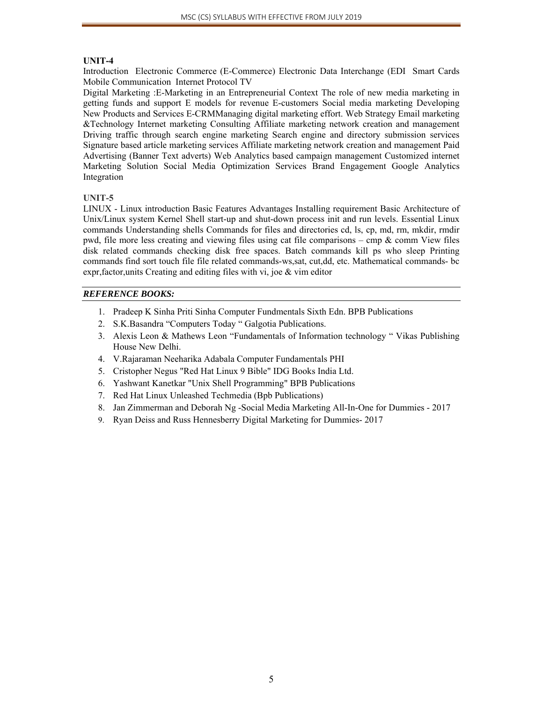#### **UNIT-4**

Introduction Electronic Commerce (E-Commerce) Electronic Data Interchange (EDI Smart Cards Mobile Communication Internet Protocol TV

Digital Marketing :E-Marketing in an Entrepreneurial Context The role of new media marketing in getting funds and support E models for revenue E-customers Social media marketing Developing New Products and Services E-CRMManaging digital marketing effort. Web Strategy Email marketing &Technology Internet marketing Consulting Affiliate marketing network creation and management Driving traffic through search engine marketing Search engine and directory submission services Signature based article marketing services Affiliate marketing network creation and management Paid Advertising (Banner Text adverts) Web Analytics based campaign management Customized internet Marketing Solution Social Media Optimization Services Brand Engagement Google Analytics Integration

#### **UNIT-5**

LINUX - Linux introduction Basic Features Advantages Installing requirement Basic Architecture of Unix/Linux system Kernel Shell start-up and shut-down process init and run levels. Essential Linux commands Understanding shells Commands for files and directories cd, ls, cp, md, rm, mkdir, rmdir pwd, file more less creating and viewing files using cat file comparisons – cmp & comm View files disk related commands checking disk free spaces. Batch commands kill ps who sleep Printing commands find sort touch file file related commands-ws,sat, cut,dd, etc. Mathematical commands- bc expr,factor,units Creating and editing files with vi, joe & vim editor

#### *REFERENCE BOOKS:*

- 1. Pradeep K Sinha Priti Sinha Computer Fundmentals Sixth Edn. BPB Publications
- 2. S.K.Basandra "Computers Today " Galgotia Publications.
- 3. Alexis Leon & Mathews Leon "Fundamentals of Information technology " Vikas Publishing House New Delhi.
- 4. V.Rajaraman Neeharika Adabala Computer Fundamentals PHI
- 5. Cristopher Negus "Red Hat Linux 9 Bible" IDG Books India Ltd.
- 6. Yashwant Kanetkar "Unix Shell Programming" BPB Publications
- 7. Red Hat Linux Unleashed Techmedia (Bpb Publications)
- 8. Jan Zimmerman and Deborah Ng -Social Media Marketing All-In-One for Dummies 2017
- 9. Ryan Deiss and Russ Hennesberry Digital Marketing for Dummies- 2017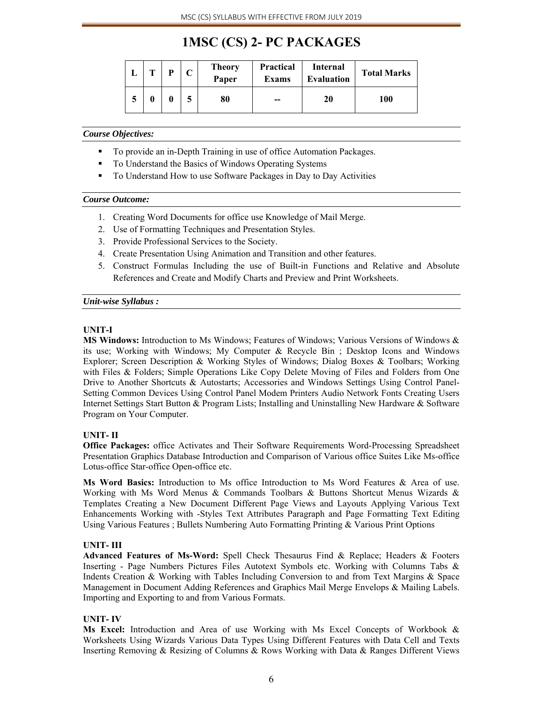# **1MSC (CS) 2- PC PACKAGES**

| m | D | <b>Theory</b><br>Paper | <b>Practical</b><br><b>Exams</b> | Internal<br><b>Evaluation</b> | <b>Total Marks</b> |
|---|---|------------------------|----------------------------------|-------------------------------|--------------------|
|   | 0 | 80                     | $- -$                            | 20                            | 100                |

#### *Course Objectives:*

- To provide an in-Depth Training in use of office Automation Packages.
- To Understand the Basics of Windows Operating Systems
- To Understand How to use Software Packages in Day to Day Activities

#### *Course Outcome:*

- 1. Creating Word Documents for office use Knowledge of Mail Merge.
- 2. Use of Formatting Techniques and Presentation Styles.
- 3. Provide Professional Services to the Society.
- 4. Create Presentation Using Animation and Transition and other features.
- 5. Construct Formulas Including the use of Built-in Functions and Relative and Absolute References and Create and Modify Charts and Preview and Print Worksheets.

#### *Unit-wise Syllabus :*

#### **UNIT-I**

**MS Windows:** Introduction to Ms Windows; Features of Windows; Various Versions of Windows & its use; Working with Windows; My Computer & Recycle Bin ; Desktop Icons and Windows Explorer; Screen Description & Working Styles of Windows; Dialog Boxes & Toolbars; Working with Files & Folders; Simple Operations Like Copy Delete Moving of Files and Folders from One Drive to Another Shortcuts & Autostarts; Accessories and Windows Settings Using Control Panel-Setting Common Devices Using Control Panel Modem Printers Audio Network Fonts Creating Users Internet Settings Start Button & Program Lists; Installing and Uninstalling New Hardware & Software Program on Your Computer.

#### **UNIT- II**

**Office Packages:** office Activates and Their Software Requirements Word-Processing Spreadsheet Presentation Graphics Database Introduction and Comparison of Various office Suites Like Ms-office Lotus-office Star-office Open-office etc.

**Ms Word Basics:** Introduction to Ms office Introduction to Ms Word Features & Area of use. Working with Ms Word Menus & Commands Toolbars & Buttons Shortcut Menus Wizards & Templates Creating a New Document Different Page Views and Layouts Applying Various Text Enhancements Working with -Styles Text Attributes Paragraph and Page Formatting Text Editing Using Various Features ; Bullets Numbering Auto Formatting Printing & Various Print Options

#### **UNIT- III**

**Advanced Features of Ms-Word:** Spell Check Thesaurus Find & Replace; Headers & Footers Inserting - Page Numbers Pictures Files Autotext Symbols etc. Working with Columns Tabs & Indents Creation & Working with Tables Including Conversion to and from Text Margins & Space Management in Document Adding References and Graphics Mail Merge Envelops & Mailing Labels. Importing and Exporting to and from Various Formats.

#### **UNIT- IV**

**Ms Excel:** Introduction and Area of use Working with Ms Excel Concepts of Workbook & Worksheets Using Wizards Various Data Types Using Different Features with Data Cell and Texts Inserting Removing & Resizing of Columns & Rows Working with Data & Ranges Different Views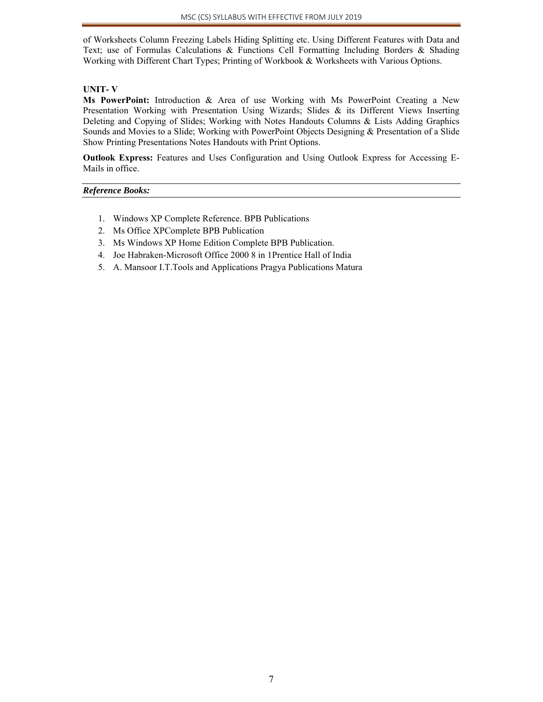of Worksheets Column Freezing Labels Hiding Splitting etc. Using Different Features with Data and Text; use of Formulas Calculations & Functions Cell Formatting Including Borders & Shading Working with Different Chart Types; Printing of Workbook & Worksheets with Various Options.

#### **UNIT- V**

**Ms PowerPoint:** Introduction & Area of use Working with Ms PowerPoint Creating a New Presentation Working with Presentation Using Wizards; Slides & its Different Views Inserting Deleting and Copying of Slides; Working with Notes Handouts Columns & Lists Adding Graphics Sounds and Movies to a Slide; Working with PowerPoint Objects Designing & Presentation of a Slide Show Printing Presentations Notes Handouts with Print Options.

**Outlook Express:** Features and Uses Configuration and Using Outlook Express for Accessing E-Mails in office.

#### *Reference Books:*

- 1. Windows XP Complete Reference. BPB Publications
- 2. Ms Office XPComplete BPB Publication
- 3. Ms Windows XP Home Edition Complete BPB Publication.
- 4. Joe Habraken-Microsoft Office 2000 8 in 1Prentice Hall of India
- 5. A. Mansoor I.T.Tools and Applications Pragya Publications Matura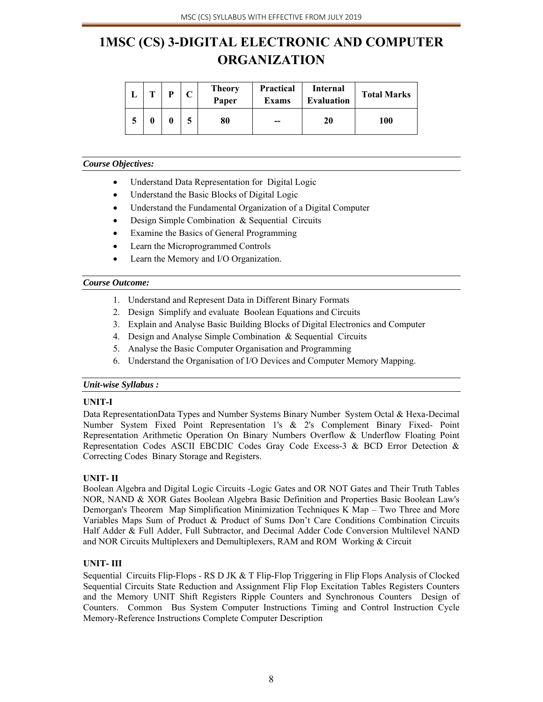# **1MSC (CS) 3-DIGITAL ELECTRONIC AND COMPUTER ORGANIZATION**

| m | D | <b>Theory</b><br>Paper | <b>Practical</b><br><b>Exams</b> | <b>Internal</b><br><b>Evaluation</b> | <b>Total Marks</b> |
|---|---|------------------------|----------------------------------|--------------------------------------|--------------------|
| 0 | 0 | 80                     | --                               | 20                                   | 100                |

#### *Course Objectives:*

- Understand Data Representation for Digital Logic
- Understand the Basic Blocks of Digital Logic
- Understand the Fundamental Organization of a Digital Computer
- Design Simple Combination & Sequential Circuits
- Examine the Basics of General Programming
- Learn the Microprogrammed Controls
- Learn the Memory and I/O Organization.

#### *Course Outcome:*

- 1. Understand and Represent Data in Different Binary Formats
- 2. Design Simplify and evaluate Boolean Equations and Circuits
- 3. Explain and Analyse Basic Building Blocks of Digital Electronics and Computer
- 4. Design and Analyse Simple Combination & Sequential Circuits
- 5. Analyse the Basic Computer Organisation and Programming
- 6. Understand the Organisation of I/O Devices and Computer Memory Mapping.

#### *Unit-wise Syllabus :*

#### **UNIT-I**

Data RepresentationData Types and Number Systems Binary Number System Octal & Hexa-Decimal Number System Fixed Point Representation 1's & 2's Complement Binary Fixed- Point Representation Arithmetic Operation On Binary Numbers Overflow & Underflow Floating Point Representation Codes ASCII EBCDIC Codes Gray Code Excess-3 & BCD Error Detection & Correcting Codes Binary Storage and Registers.

#### **UNIT- II**

Boolean Algebra and Digital Logic Circuits -Logic Gates and OR NOT Gates and Their Truth Tables NOR, NAND & XOR Gates Boolean Algebra Basic Definition and Properties Basic Boolean Law's Demorgan's Theorem Map Simplification Minimization Techniques K Map – Two Three and More Variables Maps Sum of Product & Product of Sums Don't Care Conditions Combination Circuits Half Adder & Full Adder, Full Subtractor, and Decimal Adder Code Conversion Multilevel NAND and NOR Circuits Multiplexers and Demultiplexers, RAM and ROM Working & Circuit

#### **UNIT- III**

Sequential Circuits Flip-Flops - RS D JK & T Flip-Flop Triggering in Flip Flops Analysis of Clocked Sequential Circuits State Reduction and Assignment Flip Flop Excitation Tables Registers Counters and the Memory UNIT Shift Registers Ripple Counters and Synchronous Counters Design of Counters. Common Bus System Computer Instructions Timing and Control Instruction Cycle Memory-Reference Instructions Complete Computer Description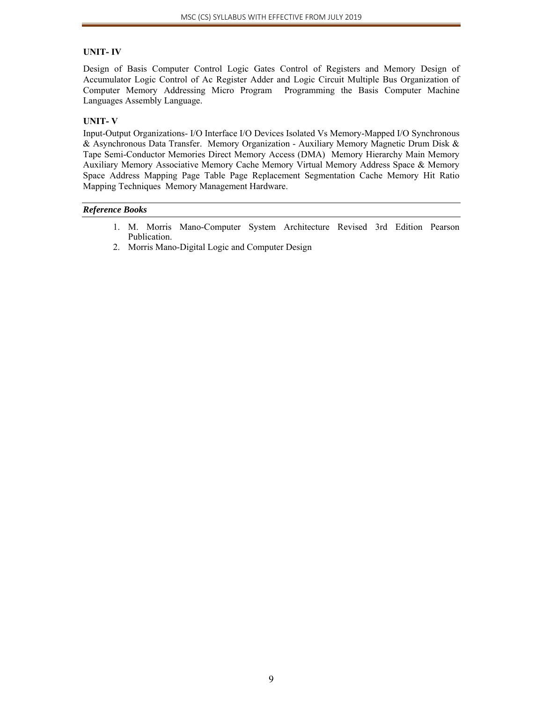#### **UNIT- IV**

Design of Basis Computer Control Logic Gates Control of Registers and Memory Design of Accumulator Logic Control of Ac Register Adder and Logic Circuit Multiple Bus Organization of Computer Memory Addressing Micro Program Programming the Basis Computer Machine Languages Assembly Language.

#### **UNIT- V**

Input-Output Organizations- I/O Interface I/O Devices Isolated Vs Memory-Mapped I/O Synchronous & Asynchronous Data Transfer. Memory Organization - Auxiliary Memory Magnetic Drum Disk & Tape Semi-Conductor Memories Direct Memory Access (DMA) Memory Hierarchy Main Memory Auxiliary Memory Associative Memory Cache Memory Virtual Memory Address Space & Memory Space Address Mapping Page Table Page Replacement Segmentation Cache Memory Hit Ratio Mapping Techniques Memory Management Hardware.

#### *Reference Books*

- 1. M. Morris Mano-Computer System Architecture Revised 3rd Edition Pearson Publication.
- 2. Morris Mano-Digital Logic and Computer Design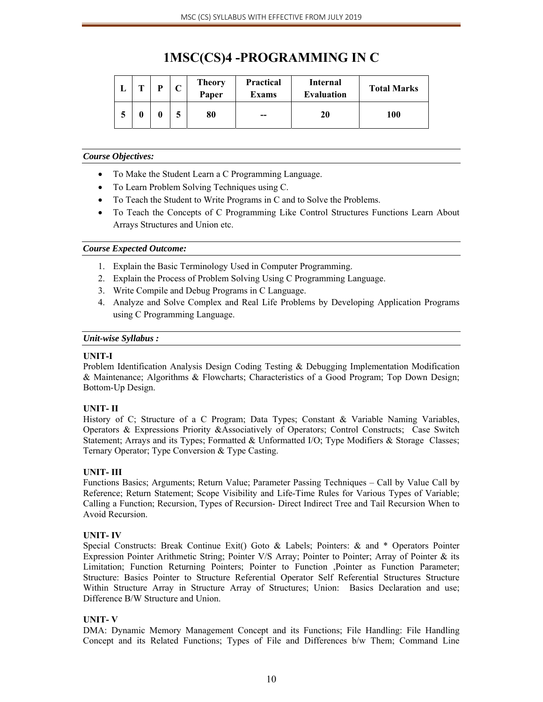# **1MSC(CS)4 -PROGRAMMING IN C**

| m | D | ⌒ | <b>Theory</b><br>Paper | <b>Practical</b><br><b>Exams</b> | Internal<br><b>Evaluation</b> | <b>Total Marks</b> |
|---|---|---|------------------------|----------------------------------|-------------------------------|--------------------|
|   |   | E | 80                     | $- -$                            | 20                            | 100                |

#### *Course Objectives:*

- To Make the Student Learn a C Programming Language.
- To Learn Problem Solving Techniques using C.
- To Teach the Student to Write Programs in C and to Solve the Problems.
- To Teach the Concepts of C Programming Like Control Structures Functions Learn About Arrays Structures and Union etc.

#### *Course Expected Outcome:*

- 1. Explain the Basic Terminology Used in Computer Programming.
- 2. Explain the Process of Problem Solving Using C Programming Language.
- 3. Write Compile and Debug Programs in C Language.
- 4. Analyze and Solve Complex and Real Life Problems by Developing Application Programs using C Programming Language.

#### *Unit-wise Syllabus :*

#### **UNIT-I**

Problem Identification Analysis Design Coding Testing & Debugging Implementation Modification & Maintenance; Algorithms & Flowcharts; Characteristics of a Good Program; Top Down Design; Bottom-Up Design.

#### **UNIT- II**

History of C; Structure of a C Program; Data Types; Constant & Variable Naming Variables, Operators & Expressions Priority &Associatively of Operators; Control Constructs; Case Switch Statement; Arrays and its Types; Formatted & Unformatted I/O; Type Modifiers & Storage Classes; Ternary Operator; Type Conversion & Type Casting.

#### **UNIT- III**

Functions Basics; Arguments; Return Value; Parameter Passing Techniques – Call by Value Call by Reference; Return Statement; Scope Visibility and Life-Time Rules for Various Types of Variable; Calling a Function; Recursion, Types of Recursion- Direct Indirect Tree and Tail Recursion When to Avoid Recursion.

#### **UNIT- IV**

Special Constructs: Break Continue Exit() Goto & Labels; Pointers: & and \* Operators Pointer Expression Pointer Arithmetic String; Pointer V/S Array; Pointer to Pointer; Array of Pointer & its Limitation; Function Returning Pointers; Pointer to Function ,Pointer as Function Parameter; Structure: Basics Pointer to Structure Referential Operator Self Referential Structures Structure Within Structure Array in Structure Array of Structures; Union: Basics Declaration and use; Difference B/W Structure and Union.

#### **UNIT- V**

DMA: Dynamic Memory Management Concept and its Functions; File Handling: File Handling Concept and its Related Functions; Types of File and Differences b/w Them; Command Line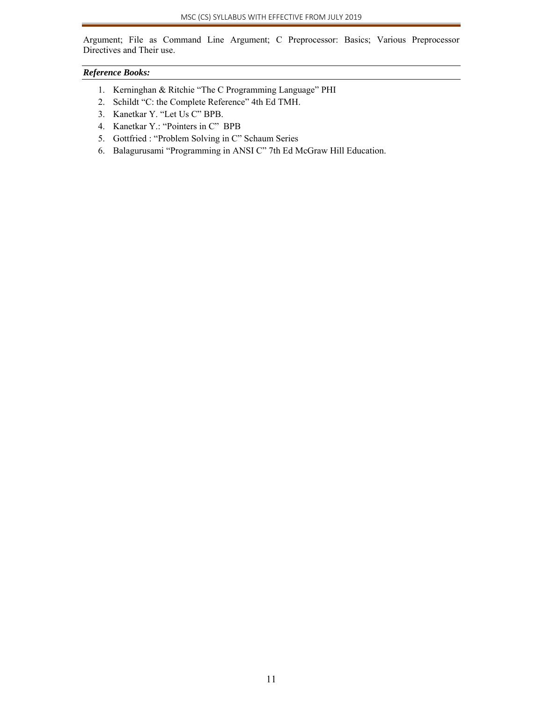Argument; File as Command Line Argument; C Preprocessor: Basics; Various Preprocessor Directives and Their use.

#### *Reference Books:*

- 1. Kerninghan & Ritchie "The C Programming Language" PHI
- 2. Schildt "C: the Complete Reference" 4th Ed TMH.
- 3. Kanetkar Y. "Let Us C" BPB.
- 4. Kanetkar Y.: "Pointers in C" BPB
- 5. Gottfried : "Problem Solving in C" Schaum Series
- 6. Balagurusami "Programming in ANSI C" 7th Ed McGraw Hill Education.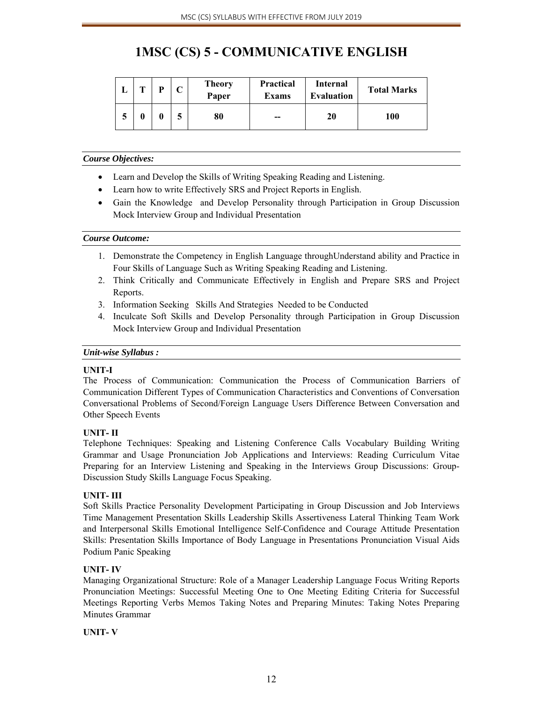# **1MSC (CS) 5 - COMMUNICATIVE ENGLISH**

|  | ⌒ | <b>Theory</b><br>Paper | <b>Practical</b><br><b>Exams</b> | Internal<br><b>Evaluation</b> | <b>Total Marks</b> |
|--|---|------------------------|----------------------------------|-------------------------------|--------------------|
|  | ┏ | 80                     | $-$                              | 20                            | 100                |

#### *Course Objectives:*

- Learn and Develop the Skills of Writing Speaking Reading and Listening.
- Learn how to write Effectively SRS and Project Reports in English.
- Gain the Knowledge and Develop Personality through Participation in Group Discussion Mock Interview Group and Individual Presentation

#### *Course Outcome:*

- 1. Demonstrate the Competency in English Language throughUnderstand ability and Practice in Four Skills of Language Such as Writing Speaking Reading and Listening.
- 2. Think Critically and Communicate Effectively in English and Prepare SRS and Project Reports.
- 3. Information Seeking Skills And Strategies Needed to be Conducted
- 4. Inculcate Soft Skills and Develop Personality through Participation in Group Discussion Mock Interview Group and Individual Presentation

#### *Unit-wise Syllabus :*

#### **UNIT-I**

The Process of Communication: Communication the Process of Communication Barriers of Communication Different Types of Communication Characteristics and Conventions of Conversation Conversational Problems of Second/Foreign Language Users Difference Between Conversation and Other Speech Events

#### **UNIT- II**

Telephone Techniques: Speaking and Listening Conference Calls Vocabulary Building Writing Grammar and Usage Pronunciation Job Applications and Interviews: Reading Curriculum Vitae Preparing for an Interview Listening and Speaking in the Interviews Group Discussions: Group-Discussion Study Skills Language Focus Speaking.

#### **UNIT- III**

Soft Skills Practice Personality Development Participating in Group Discussion and Job Interviews Time Management Presentation Skills Leadership Skills Assertiveness Lateral Thinking Team Work and Interpersonal Skills Emotional Intelligence Self-Confidence and Courage Attitude Presentation Skills: Presentation Skills Importance of Body Language in Presentations Pronunciation Visual Aids Podium Panic Speaking

#### **UNIT- IV**

Managing Organizational Structure: Role of a Manager Leadership Language Focus Writing Reports Pronunciation Meetings: Successful Meeting One to One Meeting Editing Criteria for Successful Meetings Reporting Verbs Memos Taking Notes and Preparing Minutes: Taking Notes Preparing Minutes Grammar

#### **UNIT- V**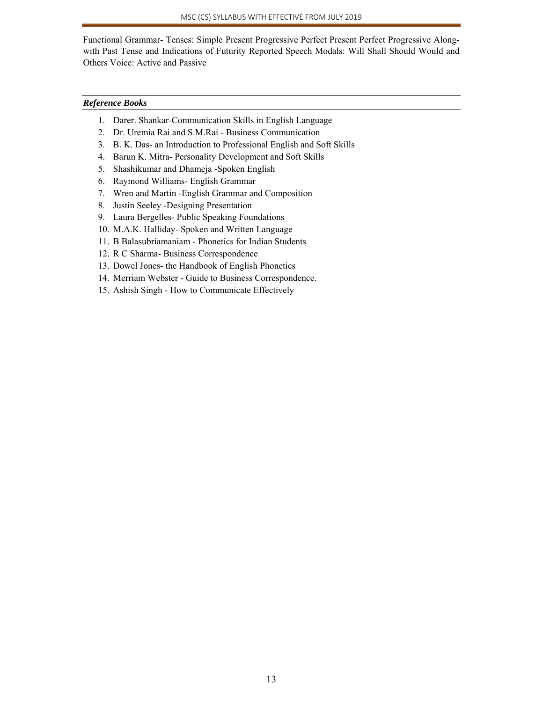Functional Grammar- Tenses: Simple Present Progressive Perfect Present Perfect Progressive Alongwith Past Tense and Indications of Futurity Reported Speech Modals: Will Shall Should Would and Others Voice: Active and Passive

#### *Reference Books*

- 1. Darer. Shankar-Communication Skills in English Language
- 2. Dr. Uremia Rai and S.M.Rai Business Communication
- 3. B. K. Das- an Introduction to Professional English and Soft Skills
- 4. Barun K. Mitra- Personality Development and Soft Skills
- 5. Shashikumar and Dhameja -Spoken English
- 6. Raymond Williams- English Grammar
- 7. Wren and Martin -English Grammar and Composition
- 8. Justin Seeley -Designing Presentation
- 9. Laura Bergelles- Public Speaking Foundations
- 10. M.A.K. Halliday- Spoken and Written Language
- 11. B Balasubriamaniam Phonetics for Indian Students
- 12. R C Sharma- Business Correspondence
- 13. Dowel Jones- the Handbook of English Phonetics
- 14. Merriam Webster Guide to Business Correspondence.
- 15. Ashish Singh How to Communicate Effectively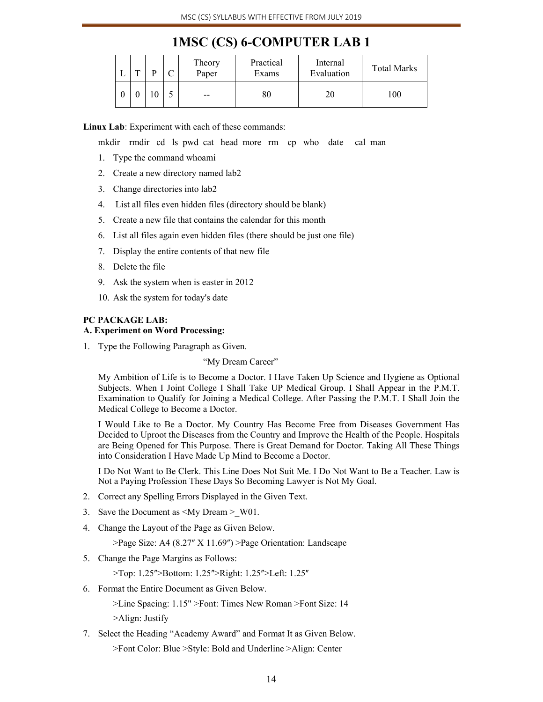### **1MSC (CS) 6-COMPUTER LAB 1**

| ∸ | m |  | Theory<br>Paper | Practical<br>Exams | Internal<br>Evaluation | <b>Total Marks</b> |
|---|---|--|-----------------|--------------------|------------------------|--------------------|
|   |   |  | $- -$           | 80                 | 20                     | 100                |

**Linux Lab**: Experiment with each of these commands:

mkdir rmdir cd ls pwd cat head more rm cp who date cal man

- 1. Type the command whoami
- 2. Create a new directory named lab2
- 3. Change directories into lab2
- 4. List all files even hidden files (directory should be blank)
- 5. Create a new file that contains the calendar for this month
- 6. List all files again even hidden files (there should be just one file)
- 7. Display the entire contents of that new file
- 8. Delete the file
- 9. Ask the system when is easter in 2012
- 10. Ask the system for today's date

#### **PC PACKAGE LAB: A. Experiment on Word Processing:**

1. Type the Following Paragraph as Given.

"My Dream Career"

 My Ambition of Life is to Become a Doctor. I Have Taken Up Science and Hygiene as Optional Subjects. When I Joint College I Shall Take UP Medical Group. I Shall Appear in the P.M.T. Examination to Qualify for Joining a Medical College. After Passing the P.M.T. I Shall Join the Medical College to Become a Doctor.

 I Would Like to Be a Doctor. My Country Has Become Free from Diseases Government Has Decided to Uproot the Diseases from the Country and Improve the Health of the People. Hospitals are Being Opened for This Purpose. There is Great Demand for Doctor. Taking All These Things into Consideration I Have Made Up Mind to Become a Doctor.

 I Do Not Want to Be Clerk. This Line Does Not Suit Me. I Do Not Want to Be a Teacher. Law is Not a Paying Profession These Days So Becoming Lawyer is Not My Goal.

- 2. Correct any Spelling Errors Displayed in the Given Text.
- 3. Save the Document as <My Dream > W01.
- 4. Change the Layout of the Page as Given Below.

>Page Size: A4 (8.27" X 11.69") >Page Orientation: Landscape

5. Change the Page Margins as Follows:

>Top: 1.25">Bottom: 1.25">Right: 1.25">Left: 1.25"

6. Format the Entire Document as Given Below.

>Line Spacing: 1.15" >Font: Times New Roman >Font Size: 14 >Align: Justify

7. Select the Heading "Academy Award" and Format It as Given Below.

>Font Color: Blue >Style: Bold and Underline >Align: Center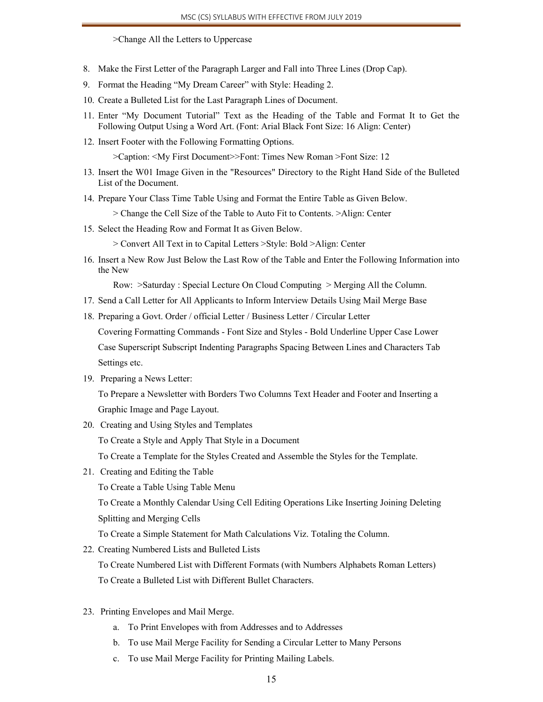>Change All the Letters to Uppercase

- 8. Make the First Letter of the Paragraph Larger and Fall into Three Lines (Drop Cap).
- 9. Format the Heading "My Dream Career" with Style: Heading 2.
- 10. Create a Bulleted List for the Last Paragraph Lines of Document.
- 11. Enter "My Document Tutorial" Text as the Heading of the Table and Format It to Get the Following Output Using a Word Art. (Font: Arial Black Font Size: 16 Align: Center)
- 12. Insert Footer with the Following Formatting Options.

>Caption: <My First Document>>Font: Times New Roman >Font Size: 12

- 13. Insert the W01 Image Given in the "Resources" Directory to the Right Hand Side of the Bulleted List of the Document.
- 14. Prepare Your Class Time Table Using and Format the Entire Table as Given Below.

> Change the Cell Size of the Table to Auto Fit to Contents. >Align: Center

- 15. Select the Heading Row and Format It as Given Below.
	- > Convert All Text in to Capital Letters >Style: Bold >Align: Center
- 16. Insert a New Row Just Below the Last Row of the Table and Enter the Following Information into the New

Row: >Saturday : Special Lecture On Cloud Computing > Merging All the Column.

- 17. Send a Call Letter for All Applicants to Inform Interview Details Using Mail Merge Base
- 18. Preparing a Govt. Order / official Letter / Business Letter / Circular Letter

Covering Formatting Commands - Font Size and Styles - Bold Underline Upper Case Lower Case Superscript Subscript Indenting Paragraphs Spacing Between Lines and Characters Tab Settings etc.

19. Preparing a News Letter:

To Prepare a Newsletter with Borders Two Columns Text Header and Footer and Inserting a Graphic Image and Page Layout.

20. Creating and Using Styles and Templates

To Create a Style and Apply That Style in a Document

To Create a Template for the Styles Created and Assemble the Styles for the Template.

21. Creating and Editing the Table

To Create a Table Using Table Menu

To Create a Monthly Calendar Using Cell Editing Operations Like Inserting Joining Deleting Splitting and Merging Cells

To Create a Simple Statement for Math Calculations Viz. Totaling the Column.

22. Creating Numbered Lists and Bulleted Lists

To Create Numbered List with Different Formats (with Numbers Alphabets Roman Letters) To Create a Bulleted List with Different Bullet Characters.

- 23. Printing Envelopes and Mail Merge.
	- a. To Print Envelopes with from Addresses and to Addresses
	- b. To use Mail Merge Facility for Sending a Circular Letter to Many Persons
	- c. To use Mail Merge Facility for Printing Mailing Labels.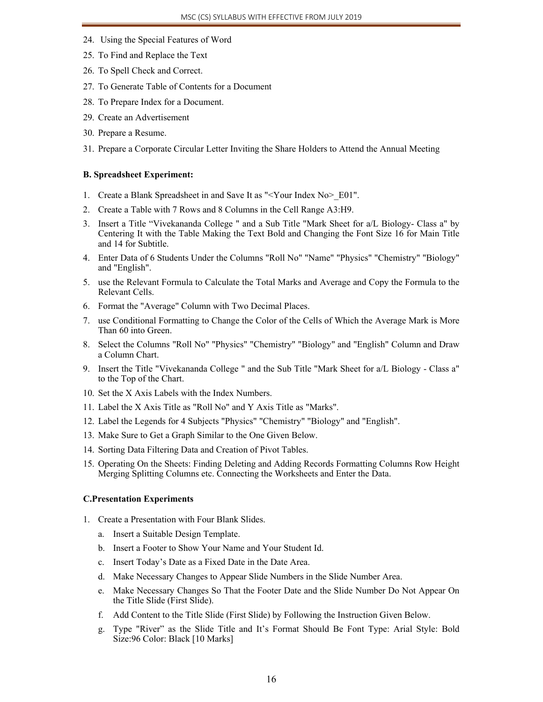- 24. Using the Special Features of Word
- 25. To Find and Replace the Text
- 26. To Spell Check and Correct.
- 27. To Generate Table of Contents for a Document
- 28. To Prepare Index for a Document.
- 29. Create an Advertisement
- 30. Prepare a Resume.
- 31. Prepare a Corporate Circular Letter Inviting the Share Holders to Attend the Annual Meeting

#### **B. Spreadsheet Experiment:**

- 1. Create a Blank Spreadsheet in and Save It as "<Your Index No>\_E01".
- 2. Create a Table with 7 Rows and 8 Columns in the Cell Range A3:H9.
- 3. Insert a Title "Vivekananda College " and a Sub Title "Mark Sheet for a/L Biology- Class a" by Centering It with the Table Making the Text Bold and Changing the Font Size 16 for Main Title and 14 for Subtitle.
- 4. Enter Data of 6 Students Under the Columns "Roll No" "Name" "Physics" "Chemistry" "Biology" and "English".
- 5. use the Relevant Formula to Calculate the Total Marks and Average and Copy the Formula to the Relevant Cells.
- 6. Format the "Average" Column with Two Decimal Places.
- 7. use Conditional Formatting to Change the Color of the Cells of Which the Average Mark is More Than 60 into Green.
- 8. Select the Columns "Roll No" "Physics" "Chemistry" "Biology" and "English" Column and Draw a Column Chart.
- 9. Insert the Title "Vivekananda College " and the Sub Title "Mark Sheet for a/L Biology Class a" to the Top of the Chart.
- 10. Set the X Axis Labels with the Index Numbers.
- 11. Label the X Axis Title as "Roll No" and Y Axis Title as "Marks".
- 12. Label the Legends for 4 Subjects "Physics" "Chemistry" "Biology" and "English".
- 13. Make Sure to Get a Graph Similar to the One Given Below.
- 14. Sorting Data Filtering Data and Creation of Pivot Tables.
- 15. Operating On the Sheets: Finding Deleting and Adding Records Formatting Columns Row Height Merging Splitting Columns etc. Connecting the Worksheets and Enter the Data.

#### **C.Presentation Experiments**

- 1. Create a Presentation with Four Blank Slides.
	- a. Insert a Suitable Design Template.
	- b. Insert a Footer to Show Your Name and Your Student Id.
	- c. Insert Today's Date as a Fixed Date in the Date Area.
	- d. Make Necessary Changes to Appear Slide Numbers in the Slide Number Area.
	- e. Make Necessary Changes So That the Footer Date and the Slide Number Do Not Appear On the Title Slide (First Slide).
	- f. Add Content to the Title Slide (First Slide) by Following the Instruction Given Below.
	- g. Type "River" as the Slide Title and It's Format Should Be Font Type: Arial Style: Bold Size:96 Color: Black [10 Marks]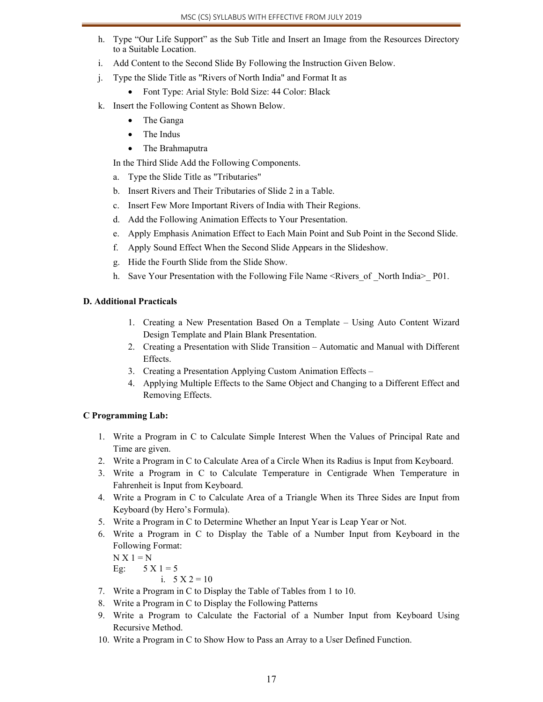- h. Type "Our Life Support" as the Sub Title and Insert an Image from the Resources Directory to a Suitable Location.
- i. Add Content to the Second Slide By Following the Instruction Given Below.
- j. Type the Slide Title as "Rivers of North India" and Format It as
	- Font Type: Arial Style: Bold Size: 44 Color: Black
- k. Insert the Following Content as Shown Below.
	- The Ganga
	- The Indus
	- The Brahmaputra

In the Third Slide Add the Following Components.

- a. Type the Slide Title as "Tributaries"
- b. Insert Rivers and Their Tributaries of Slide 2 in a Table.
- c. Insert Few More Important Rivers of India with Their Regions.
- d. Add the Following Animation Effects to Your Presentation.
- e. Apply Emphasis Animation Effect to Each Main Point and Sub Point in the Second Slide.
- f. Apply Sound Effect When the Second Slide Appears in the Slideshow.
- g. Hide the Fourth Slide from the Slide Show.
- h. Save Your Presentation with the Following File Name <Rivers of North India> P01.

#### **D. Additional Practicals**

- 1. Creating a New Presentation Based On a Template Using Auto Content Wizard Design Template and Plain Blank Presentation.
- 2. Creating a Presentation with Slide Transition Automatic and Manual with Different Effects.
- 3. Creating a Presentation Applying Custom Animation Effects –
- 4. Applying Multiple Effects to the Same Object and Changing to a Different Effect and Removing Effects.

#### **C Programming Lab:**

- 1. Write a Program in C to Calculate Simple Interest When the Values of Principal Rate and Time are given.
- 2. Write a Program in C to Calculate Area of a Circle When its Radius is Input from Keyboard.
- 3. Write a Program in C to Calculate Temperature in Centigrade When Temperature in Fahrenheit is Input from Keyboard.
- 4. Write a Program in C to Calculate Area of a Triangle When its Three Sides are Input from Keyboard (by Hero's Formula).
- 5. Write a Program in C to Determine Whether an Input Year is Leap Year or Not.
- 6. Write a Program in C to Display the Table of a Number Input from Keyboard in the Following Format:

 $N X 1 = N$ Eg:  $5 \text{ X } 1 = 5$ 

i.  $5 \text{ X } 2 = 10$ 

- 7. Write a Program in C to Display the Table of Tables from 1 to 10.
- 8. Write a Program in C to Display the Following Patterns
- 9. Write a Program to Calculate the Factorial of a Number Input from Keyboard Using Recursive Method.
- 10. Write a Program in C to Show How to Pass an Array to a User Defined Function.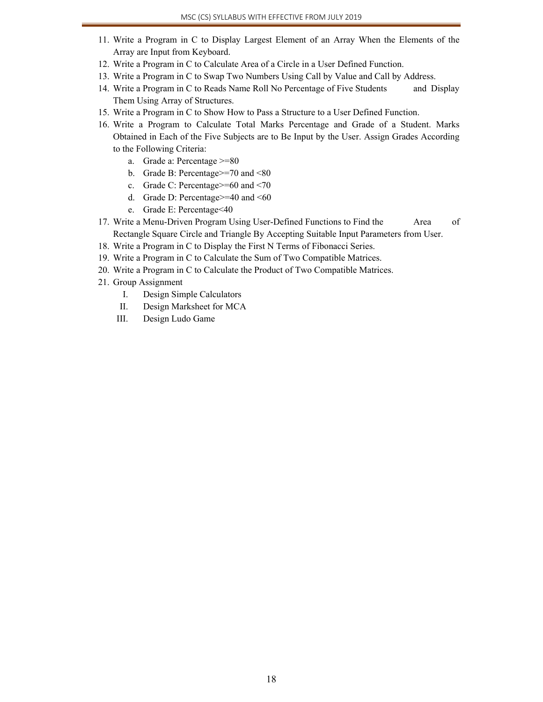- 11. Write a Program in C to Display Largest Element of an Array When the Elements of the Array are Input from Keyboard.
- 12. Write a Program in C to Calculate Area of a Circle in a User Defined Function.
- 13. Write a Program in C to Swap Two Numbers Using Call by Value and Call by Address.
- 14. Write a Program in C to Reads Name Roll No Percentage of Five Students and Display Them Using Array of Structures.
- 15. Write a Program in C to Show How to Pass a Structure to a User Defined Function.
- 16. Write a Program to Calculate Total Marks Percentage and Grade of a Student. Marks Obtained in Each of the Five Subjects are to Be Input by the User. Assign Grades According to the Following Criteria:
	- a. Grade a: Percentage >=80
	- b. Grade B: Percentage>=70 and <80
	- c. Grade C: Percentage>=60 and <70
	- d. Grade D: Percentage $>=$ 40 and  $\leq 60$
	- e. Grade E: Percentage<40
- 17. Write a Menu-Driven Program Using User-Defined Functions to Find the Area of Rectangle Square Circle and Triangle By Accepting Suitable Input Parameters from User.
- 18. Write a Program in C to Display the First N Terms of Fibonacci Series.
- 19. Write a Program in C to Calculate the Sum of Two Compatible Matrices.
- 20. Write a Program in C to Calculate the Product of Two Compatible Matrices.
- 21. Group Assignment
	- I. Design Simple Calculators
	- II. Design Marksheet for MCA
	- III. Design Ludo Game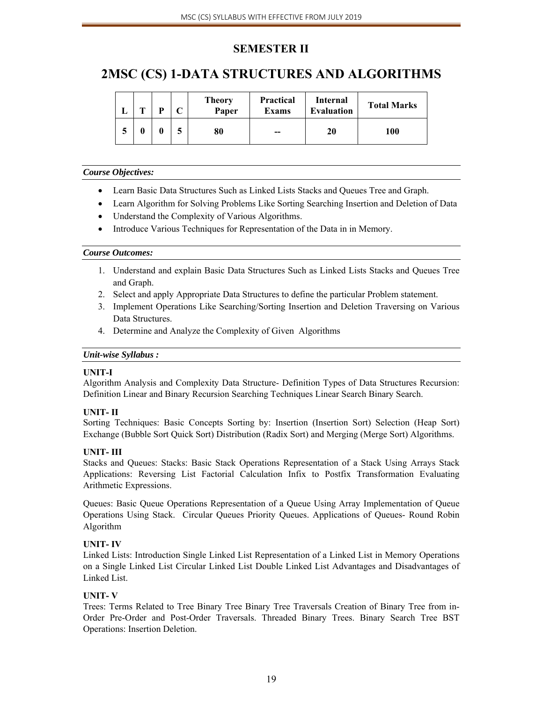### **SEMESTER II**

## **2MSC (CS) 1-DATA STRUCTURES AND ALGORITHMS**

| m | D | ◡ | <b>Theory</b><br>Paper | <b>Practical</b><br>Exams | Internal<br><b>Evaluation</b> | <b>Total Marks</b> |
|---|---|---|------------------------|---------------------------|-------------------------------|--------------------|
| 0 |   |   | 80                     | --                        | 20                            | 100                |

#### *Course Objectives:*

- Learn Basic Data Structures Such as Linked Lists Stacks and Queues Tree and Graph.
- Learn Algorithm for Solving Problems Like Sorting Searching Insertion and Deletion of Data
- Understand the Complexity of Various Algorithms.
- Introduce Various Techniques for Representation of the Data in in Memory.

#### *Course Outcomes:*

- 1. Understand and explain Basic Data Structures Such as Linked Lists Stacks and Queues Tree and Graph.
- 2. Select and apply Appropriate Data Structures to define the particular Problem statement.
- 3. Implement Operations Like Searching/Sorting Insertion and Deletion Traversing on Various Data Structures.
- 4. Determine and Analyze the Complexity of Given Algorithms

#### *Unit-wise Syllabus :*

#### **UNIT-I**

Algorithm Analysis and Complexity Data Structure- Definition Types of Data Structures Recursion: Definition Linear and Binary Recursion Searching Techniques Linear Search Binary Search.

#### **UNIT- II**

Sorting Techniques: Basic Concepts Sorting by: Insertion (Insertion Sort) Selection (Heap Sort) Exchange (Bubble Sort Quick Sort) Distribution (Radix Sort) and Merging (Merge Sort) Algorithms.

#### **UNIT- III**

Stacks and Queues: Stacks: Basic Stack Operations Representation of a Stack Using Arrays Stack Applications: Reversing List Factorial Calculation Infix to Postfix Transformation Evaluating Arithmetic Expressions.

Queues: Basic Queue Operations Representation of a Queue Using Array Implementation of Queue Operations Using Stack. Circular Queues Priority Queues. Applications of Queues- Round Robin Algorithm

#### **UNIT- IV**

Linked Lists: Introduction Single Linked List Representation of a Linked List in Memory Operations on a Single Linked List Circular Linked List Double Linked List Advantages and Disadvantages of Linked List.

#### **UNIT- V**

Trees: Terms Related to Tree Binary Tree Binary Tree Traversals Creation of Binary Tree from in-Order Pre-Order and Post-Order Traversals. Threaded Binary Trees. Binary Search Tree BST Operations: Insertion Deletion.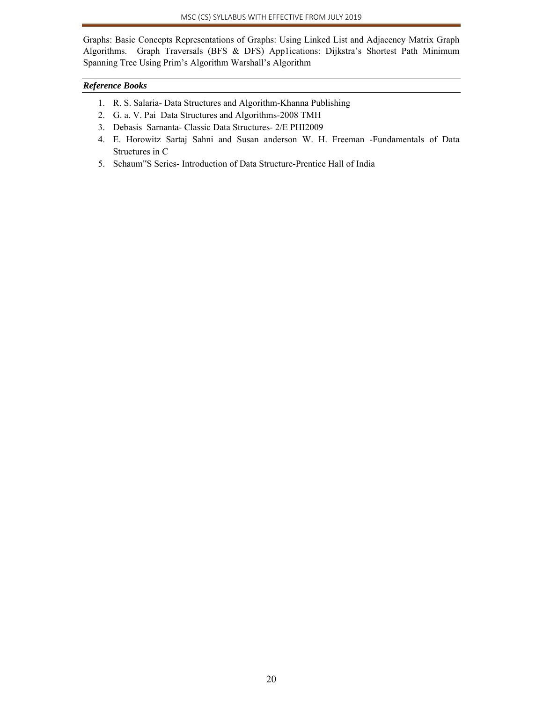Graphs: Basic Concepts Representations of Graphs: Using Linked List and Adjacency Matrix Graph Algorithms. Graph Traversals (BFS & DFS) App1ications: Dijkstra's Shortest Path Minimum Spanning Tree Using Prim's Algorithm Warshall's Algorithm

#### *Reference Books*

- 1. R. S. Salaria- Data Structures and Algorithm-Khanna Publishing
- 2. G. a. V. Pai Data Structures and Algorithms-2008 TMH
- 3. Debasis Sarnanta- Classic Data Structures- 2/E PHI2009
- 4. E. Horowitz Sartaj Sahni and Susan anderson W. H. Freeman -Fundamentals of Data Structures in C
- 5. Schaum"S Series- Introduction of Data Structure-Prentice Hall of India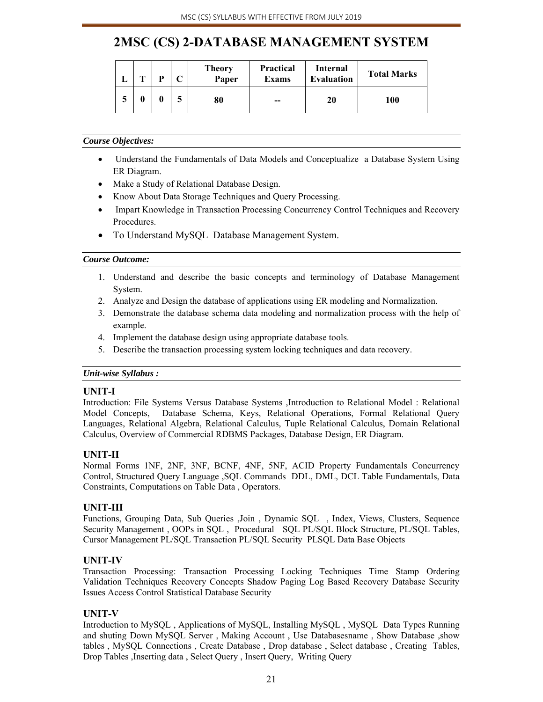# **2MSC (CS) 2-DATABASE MANAGEMENT SYSTEM**

|  | m | D |   | <b>Theory</b><br>Paper | <b>Practical</b><br><b>Exams</b> | Internal<br><b>Evaluation</b> | <b>Total Marks</b> |
|--|---|---|---|------------------------|----------------------------------|-------------------------------|--------------------|
|  |   |   | J | 80                     | $-$                              | 20                            | 100                |

#### *Course Objectives:*

- Understand the Fundamentals of Data Models and Conceptualize a Database System Using ER Diagram.
- Make a Study of Relational Database Design.
- Know About Data Storage Techniques and Query Processing.
- Impart Knowledge in Transaction Processing Concurrency Control Techniques and Recovery Procedures.
- To Understand MySQL Database Management System.

#### *Course Outcome:*

- 1. Understand and describe the basic concepts and terminology of Database Management System.
- 2. Analyze and Design the database of applications using ER modeling and Normalization.
- 3. Demonstrate the database schema data modeling and normalization process with the help of example.
- 4. Implement the database design using appropriate database tools.
- 5. Describe the transaction processing system locking techniques and data recovery.

#### *Unit-wise Syllabus :*

#### **UNIT-I**

Introduction: File Systems Versus Database Systems ,Introduction to Relational Model : Relational Model Concepts, Database Schema, Keys, Relational Operations, Formal Relational Query Languages, Relational Algebra, Relational Calculus, Tuple Relational Calculus, Domain Relational Calculus, Overview of Commercial RDBMS Packages, Database Design, ER Diagram.

#### **UNIT-II**

Normal Forms 1NF, 2NF, 3NF, BCNF, 4NF, 5NF, ACID Property Fundamentals Concurrency Control, Structured Query Language ,SQL Commands DDL, DML, DCL Table Fundamentals, Data Constraints, Computations on Table Data , Operators.

#### **UNIT-III**

Functions, Grouping Data, Sub Queries ,Join , Dynamic SQL , Index, Views, Clusters, Sequence Security Management, OOPs in SQL, Procedural SQL PL/SQL Block Structure, PL/SQL Tables, Cursor Management PL/SQL Transaction PL/SQL Security PLSQL Data Base Objects

#### **UNIT-IV**

Transaction Processing: Transaction Processing Locking Techniques Time Stamp Ordering Validation Techniques Recovery Concepts Shadow Paging Log Based Recovery Database Security Issues Access Control Statistical Database Security

#### **UNIT-V**

Introduction to MySQL , Applications of MySQL, Installing MySQL , MySQL Data Types Running and shuting Down MySQL Server , Making Account , Use Databasesname , Show Database ,show tables , MySQL Connections , Create Database , Drop database , Select database , Creating Tables, Drop Tables ,Inserting data , Select Query , Insert Query, Writing Query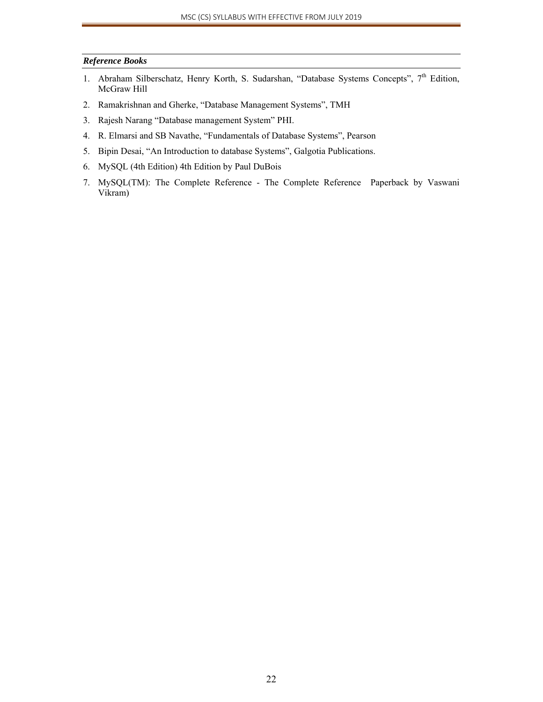#### *Reference Books*

- 1. Abraham Silberschatz, Henry Korth, S. Sudarshan, "Database Systems Concepts", 7<sup>th</sup> Edition, McGraw Hill
- 2. Ramakrishnan and Gherke, "Database Management Systems", TMH
- 3. Rajesh Narang "Database management System" PHI.
- 4. R. Elmarsi and SB Navathe, "Fundamentals of Database Systems", Pearson
- 5. Bipin Desai, "An Introduction to database Systems", Galgotia Publications.
- 6. MySQL (4th Edition) 4th Edition by Paul DuBois
- 7. MySQL(TM): The Complete Reference The Complete Reference Paperback by Vaswani Vikram)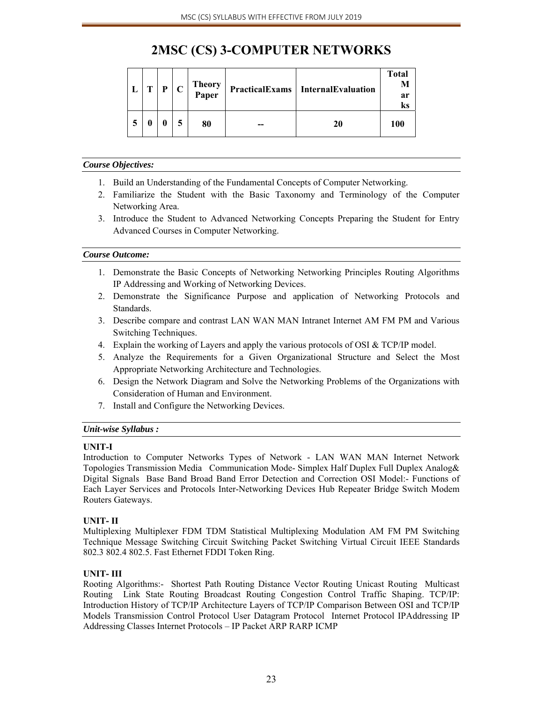# **2MSC (CS) 3-COMPUTER NETWORKS**

| т | D | $\mathbf C$ | <b>Theory</b><br><b>Paper</b> | <b>PracticalExams</b> InternalEvaluation | <b>Total</b><br>M<br>ar<br>ks |
|---|---|-------------|-------------------------------|------------------------------------------|-------------------------------|
| 0 |   |             | 80                            | 20                                       | 100                           |

#### *Course Objectives:*

- 1. Build an Understanding of the Fundamental Concepts of Computer Networking.
- 2. Familiarize the Student with the Basic Taxonomy and Terminology of the Computer Networking Area.
- 3. Introduce the Student to Advanced Networking Concepts Preparing the Student for Entry Advanced Courses in Computer Networking.

#### *Course Outcome:*

- 1. Demonstrate the Basic Concepts of Networking Networking Principles Routing Algorithms IP Addressing and Working of Networking Devices.
- 2. Demonstrate the Significance Purpose and application of Networking Protocols and Standards.
- 3. Describe compare and contrast LAN WAN MAN Intranet Internet AM FM PM and Various Switching Techniques.
- 4. Explain the working of Layers and apply the various protocols of OSI & TCP/IP model.
- 5. Analyze the Requirements for a Given Organizational Structure and Select the Most Appropriate Networking Architecture and Technologies.
- 6. Design the Network Diagram and Solve the Networking Problems of the Organizations with Consideration of Human and Environment.
- 7. Install and Configure the Networking Devices.

#### *Unit-wise Syllabus :*

#### **UNIT-I**

Introduction to Computer Networks Types of Network - LAN WAN MAN Internet Network Topologies Transmission Media Communication Mode- Simplex Half Duplex Full Duplex Analog& Digital Signals Base Band Broad Band Error Detection and Correction OSI Model:- Functions of Each Layer Services and Protocols Inter-Networking Devices Hub Repeater Bridge Switch Modem Routers Gateways.

#### **UNIT- II**

Multiplexing Multiplexer FDM TDM Statistical Multiplexing Modulation AM FM PM Switching Technique Message Switching Circuit Switching Packet Switching Virtual Circuit IEEE Standards 802.3 802.4 802.5. Fast Ethernet FDDI Token Ring.

#### **UNIT- III**

Rooting Algorithms:- Shortest Path Routing Distance Vector Routing Unicast Routing Multicast Routing Link State Routing Broadcast Routing Congestion Control Traffic Shaping. TCP/IP: Introduction History of TCP/IP Architecture Layers of TCP/IP Comparison Between OSI and TCP/IP Models Transmission Control Protocol User Datagram Protocol Internet Protocol IPAddressing IP Addressing Classes Internet Protocols – IP Packet ARP RARP ICMP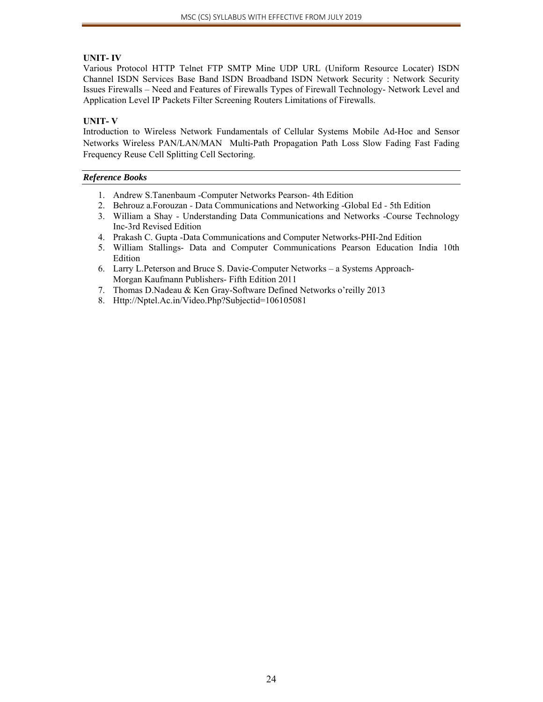#### **UNIT- IV**

Various Protocol HTTP Telnet FTP SMTP Mine UDP URL (Uniform Resource Locater) ISDN Channel ISDN Services Base Band ISDN Broadband ISDN Network Security : Network Security Issues Firewalls – Need and Features of Firewalls Types of Firewall Technology- Network Level and Application Level IP Packets Filter Screening Routers Limitations of Firewalls.

#### **UNIT- V**

Introduction to Wireless Network Fundamentals of Cellular Systems Mobile Ad-Hoc and Sensor Networks Wireless PAN/LAN/MAN Multi-Path Propagation Path Loss Slow Fading Fast Fading Frequency Reuse Cell Splitting Cell Sectoring.

#### *Reference Books*

- 1. Andrew S.Tanenbaum -Computer Networks Pearson- 4th Edition
- 2. Behrouz a.Forouzan Data Communications and Networking -Global Ed 5th Edition
- 3. William a Shay Understanding Data Communications and Networks -Course Technology Inc-3rd Revised Edition
- 4. Prakash C. Gupta -Data Communications and Computer Networks-PHI-2nd Edition
- 5. William Stallings- Data and Computer Communications Pearson Education India 10th Edition
- 6. Larry L.Peterson and Bruce S. Davie-Computer Networks a Systems Approach-Morgan Kaufmann Publishers- Fifth Edition 2011
- 7. Thomas D.Nadeau & Ken Gray-Software Defined Networks o'reilly 2013
- 8. Http://Nptel.Ac.in/Video.Php?Subjectid=106105081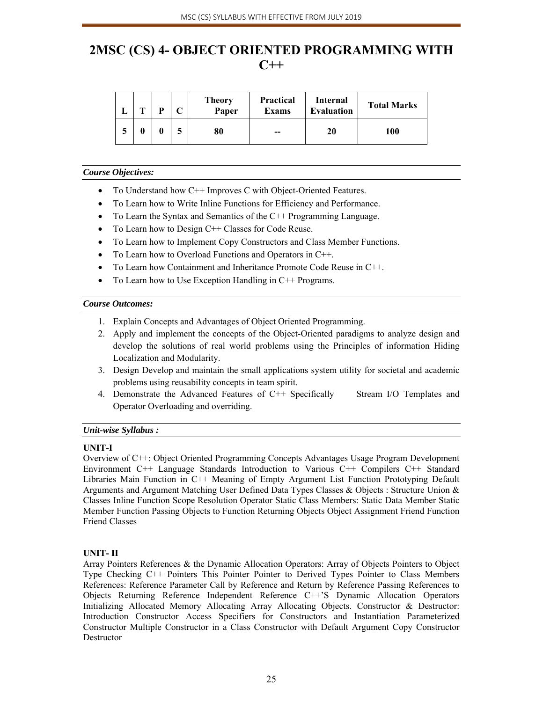# **2MSC (CS) 4- OBJECT ORIENTED PROGRAMMING WITH C++**

|   | m | D | <b>Theory</b><br>Paper | <b>Practical</b><br><b>Exams</b> | Internal<br><b>Evaluation</b> | <b>Total Marks</b> |
|---|---|---|------------------------|----------------------------------|-------------------------------|--------------------|
| э |   |   | 80                     | --                               | 20                            | 100                |

#### *Course Objectives:*

- To Understand how C++ Improves C with Object-Oriented Features.
- To Learn how to Write Inline Functions for Efficiency and Performance.
- To Learn the Syntax and Semantics of the C++ Programming Language.
- To Learn how to Design C++ Classes for Code Reuse.
- To Learn how to Implement Copy Constructors and Class Member Functions.
- To Learn how to Overload Functions and Operators in C++.
- To Learn how Containment and Inheritance Promote Code Reuse in C++.
- To Learn how to Use Exception Handling in C++ Programs.

#### *Course Outcomes:*

- 1. Explain Concepts and Advantages of Object Oriented Programming.
- 2. Apply and implement the concepts of the Object-Oriented paradigms to analyze design and develop the solutions of real world problems using the Principles of information Hiding Localization and Modularity.
- 3. Design Develop and maintain the small applications system utility for societal and academic problems using reusability concepts in team spirit.
- 4. Demonstrate the Advanced Features of C++ Specifically Stream I/O Templates and Operator Overloading and overriding.

#### *Unit-wise Syllabus :*

#### **UNIT-I**

Overview of C++: Object Oriented Programming Concepts Advantages Usage Program Development Environment C++ Language Standards Introduction to Various C++ Compilers C++ Standard Libraries Main Function in C++ Meaning of Empty Argument List Function Prototyping Default Arguments and Argument Matching User Defined Data Types Classes & Objects : Structure Union & Classes Inline Function Scope Resolution Operator Static Class Members: Static Data Member Static Member Function Passing Objects to Function Returning Objects Object Assignment Friend Function Friend Classes

#### **UNIT- II**

Array Pointers References & the Dynamic Allocation Operators: Array of Objects Pointers to Object Type Checking C++ Pointers This Pointer Pointer to Derived Types Pointer to Class Members References: Reference Parameter Call by Reference and Return by Reference Passing References to Objects Returning Reference Independent Reference C++'S Dynamic Allocation Operators Initializing Allocated Memory Allocating Array Allocating Objects. Constructor & Destructor: Introduction Constructor Access Specifiers for Constructors and Instantiation Parameterized Constructor Multiple Constructor in a Class Constructor with Default Argument Copy Constructor **Destructor**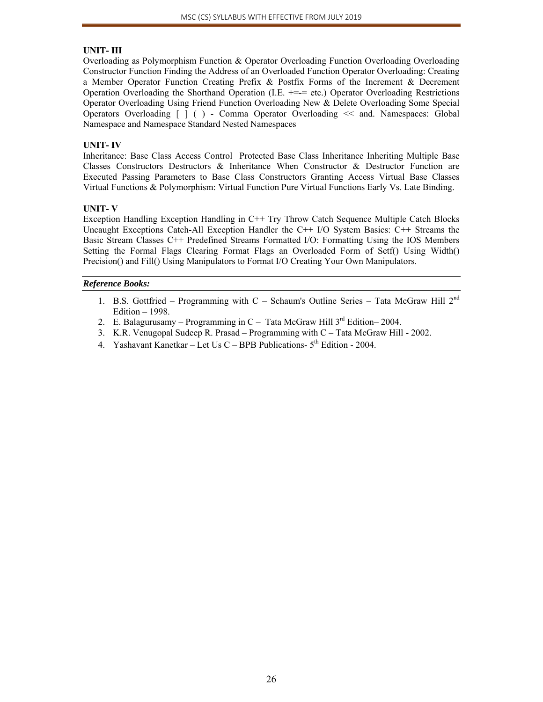#### **UNIT- III**

Overloading as Polymorphism Function & Operator Overloading Function Overloading Overloading Constructor Function Finding the Address of an Overloaded Function Operator Overloading: Creating a Member Operator Function Creating Prefix & Postfix Forms of the Increment & Decrement Operation Overloading the Shorthand Operation (I.E. +=-= etc.) Operator Overloading Restrictions Operator Overloading Using Friend Function Overloading New & Delete Overloading Some Special Operators Overloading [ ] ( ) - Comma Operator Overloading << and. Namespaces: Global Namespace and Namespace Standard Nested Namespaces

#### **UNIT- IV**

Inheritance: Base Class Access Control Protected Base Class Inheritance Inheriting Multiple Base Classes Constructors Destructors & Inheritance When Constructor & Destructor Function are Executed Passing Parameters to Base Class Constructors Granting Access Virtual Base Classes Virtual Functions & Polymorphism: Virtual Function Pure Virtual Functions Early Vs. Late Binding.

#### **UNIT- V**

Exception Handling Exception Handling in C++ Try Throw Catch Sequence Multiple Catch Blocks Uncaught Exceptions Catch-All Exception Handler the C++ I/O System Basics: C++ Streams the Basic Stream Classes C++ Predefined Streams Formatted I/O: Formatting Using the IOS Members Setting the Formal Flags Clearing Format Flags an Overloaded Form of Setf() Using Width() Precision() and Fill() Using Manipulators to Format I/O Creating Your Own Manipulators.

#### *Reference Books:*

- 1. B.S. Gottfried Programming with  $C$  Schaum's Outline Series Tata McGraw Hill  $2^{nd}$ Edition – 1998.
- 2. E. Balagurusamy Programming in  $C -$  Tata McGraw Hill  $3<sup>rd</sup>$  Edition–2004.
- 3. K.R. Venugopal Sudeep R. Prasad Programming with C Tata McGraw Hill 2002.
- 4. Yashavant Kanetkar Let Us C BPB Publications-  $5<sup>th</sup>$  Edition 2004.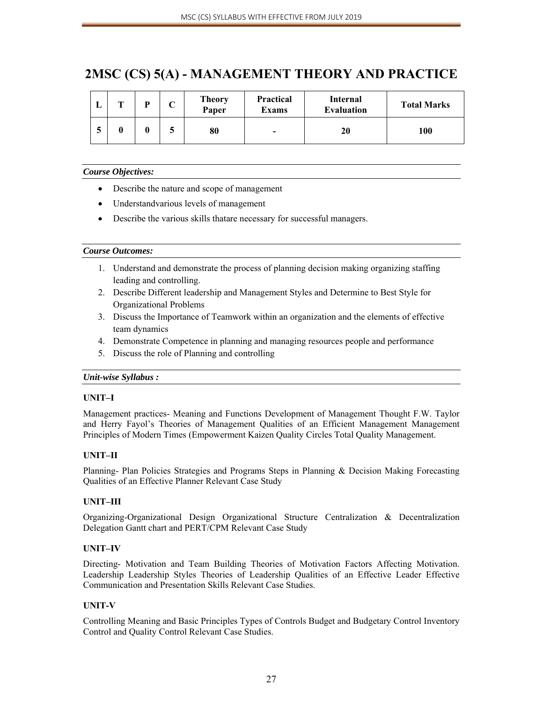# **2MSC (CS) 5(A) - MANAGEMENT THEORY AND PRACTICE**

|   | $\mathbf{r}$ | D | ◡  | <b>Theory</b><br>Paper | <b>Practical</b><br>Exams | Internal<br><b>Evaluation</b> | <b>Total Marks</b> |
|---|--------------|---|----|------------------------|---------------------------|-------------------------------|--------------------|
| J |              |   | نه | 80                     | -                         | 20                            | <b>100</b>         |

#### *Course Objectives:*

- Describe the nature and scope of management
- Understandvarious levels of management
- Describe the various skills thatare necessary for successful managers.

#### *Course Outcomes:*

- 1. Understand and demonstrate the process of planning decision making organizing staffing leading and controlling.
- 2. Describe Different leadership and Management Styles and Determine to Best Style for Organizational Problems
- 3. Discuss the Importance of Teamwork within an organization and the elements of effective team dynamics
- 4. Demonstrate Competence in planning and managing resources people and performance
- 5. Discuss the role of Planning and controlling

#### *Unit-wise Syllabus :*

#### **UNIT–I**

Management practices- Meaning and Functions Development of Management Thought F.W. Taylor and Herry Fayol's Theories of Management Qualities of an Efficient Management Management Principles of Modern Times (Empowerment Kaizen Quality Circles Total Quality Management.

#### **UNIT–II**

Planning- Plan Policies Strategies and Programs Steps in Planning & Decision Making Forecasting Qualities of an Effective Planner Relevant Case Study

#### **UNIT–III**

Organizing-Organizational Design Organizational Structure Centralization & Decentralization Delegation Gantt chart and PERT/CPM Relevant Case Study

#### **UNIT–IV**

Directing- Motivation and Team Building Theories of Motivation Factors Affecting Motivation. Leadership Leadership Styles Theories of Leadership Qualities of an Effective Leader Effective Communication and Presentation Skills Relevant Case Studies.

#### **UNIT-V**

Controlling Meaning and Basic Principles Types of Controls Budget and Budgetary Control Inventory Control and Quality Control Relevant Case Studies.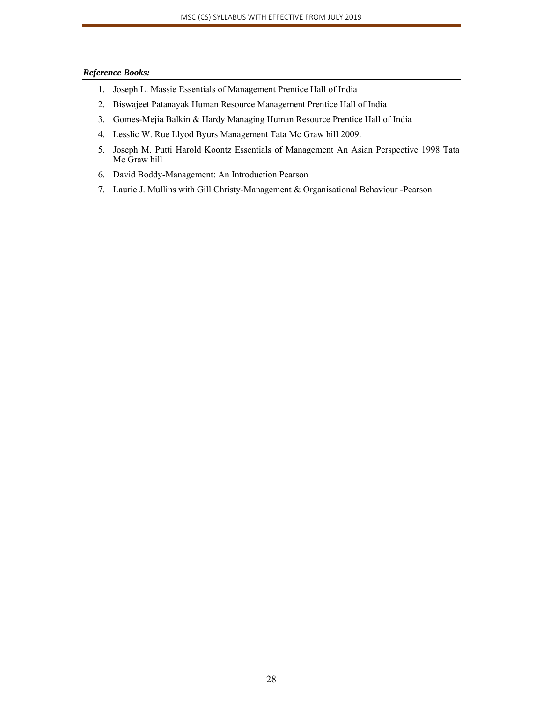#### *Reference Books:*

- 1. Joseph L. Massie Essentials of Management Prentice Hall of India
- 2. Biswajeet Patanayak Human Resource Management Prentice Hall of India
- 3. Gomes-Mejia Balkin & Hardy Managing Human Resource Prentice Hall of India
- 4. Lesslic W. Rue Llyod Byurs Management Tata Mc Graw hill 2009.
- 5. Joseph M. Putti Harold Koontz Essentials of Management An Asian Perspective 1998 Tata Mc Graw hill
- 6. David Boddy-Management: An Introduction Pearson
- 7. Laurie J. Mullins with Gill Christy-Management & Organisational Behaviour -Pearson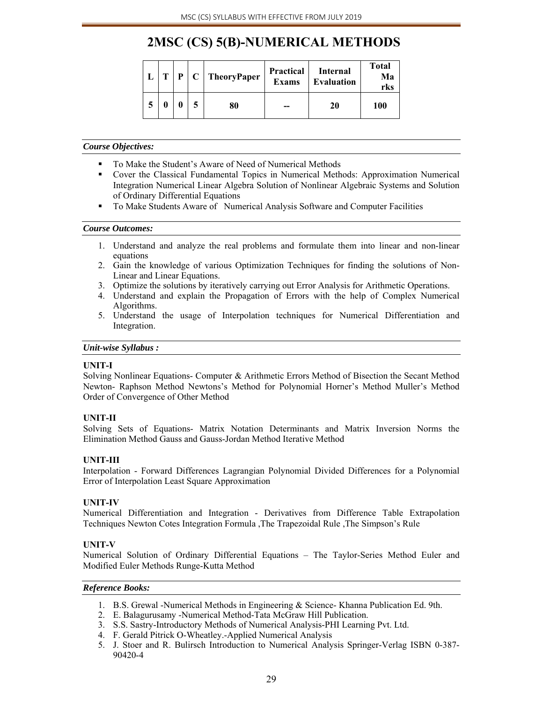# **2MSC (CS) 5(B)-NUMERICAL METHODS**

| т | P | TheoryPaper | <b>Practical</b><br><b>Exams</b> | Internal<br><b>Evaluation</b> | <b>Total</b><br>Ma<br>rks |
|---|---|-------------|----------------------------------|-------------------------------|---------------------------|
| 0 |   | 80          |                                  | 20                            | 100                       |

#### *Course Objectives:*

- To Make the Student's Aware of Need of Numerical Methods
- Cover the Classical Fundamental Topics in Numerical Methods: Approximation Numerical Integration Numerical Linear Algebra Solution of Nonlinear Algebraic Systems and Solution of Ordinary Differential Equations
- To Make Students Aware of Numerical Analysis Software and Computer Facilities

#### *Course Outcomes:*

- 1. Understand and analyze the real problems and formulate them into linear and non-linear equations
- 2. Gain the knowledge of various Optimization Techniques for finding the solutions of Non-Linear and Linear Equations.
- 3. Optimize the solutions by iteratively carrying out Error Analysis for Arithmetic Operations.
- 4. Understand and explain the Propagation of Errors with the help of Complex Numerical Algorithms.
- 5. Understand the usage of Interpolation techniques for Numerical Differentiation and Integration.

#### *Unit-wise Syllabus :*

#### **UNIT-I**

Solving Nonlinear Equations- Computer & Arithmetic Errors Method of Bisection the Secant Method Newton- Raphson Method Newtons's Method for Polynomial Horner's Method Muller's Method Order of Convergence of Other Method

#### **UNIT-II**

Solving Sets of Equations- Matrix Notation Determinants and Matrix Inversion Norms the Elimination Method Gauss and Gauss-Jordan Method Iterative Method

#### **UNIT-III**

Interpolation - Forward Differences Lagrangian Polynomial Divided Differences for a Polynomial Error of Interpolation Least Square Approximation

#### **UNIT-IV**

Numerical Differentiation and Integration - Derivatives from Difference Table Extrapolation Techniques Newton Cotes Integration Formula ,The Trapezoidal Rule ,The Simpson's Rule

#### **UNIT-V**

Numerical Solution of Ordinary Differential Equations – The Taylor-Series Method Euler and Modified Euler Methods Runge-Kutta Method

#### *Reference Books:*

- 1. B.S. Grewal -Numerical Methods in Engineering & Science- Khanna Publication Ed. 9th.
- 2. E. Balagurusamy -Numerical Method-Tata McGraw Hill Publication.
- 3. S.S. Sastry-Introductory Methods of Numerical Analysis-PHI Learning Pvt. Ltd.
- 4. F. Gerald Pitrick O-Wheatley.-Applied Numerical Analysis
- 5. J. Stoer and R. Bulirsch Introduction to Numerical Analysis Springer-Verlag ISBN 0-387- 90420-4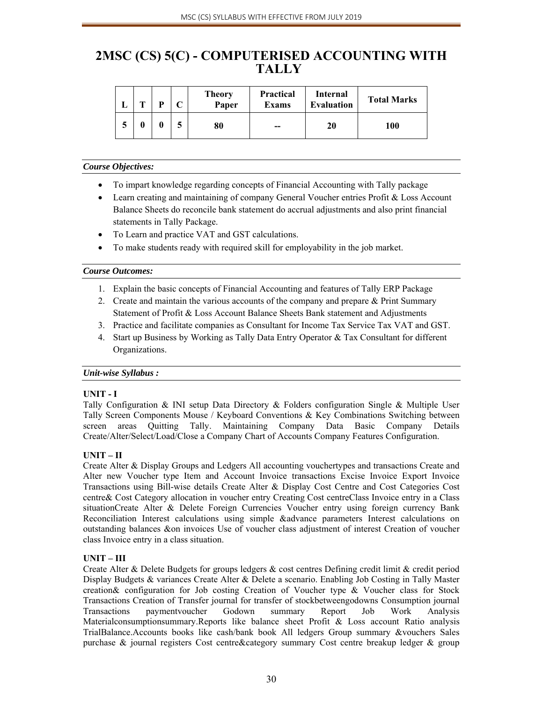### **2MSC (CS) 5(C) - COMPUTERISED ACCOUNTING WITH TALLY**

| m | D | <b>Theory</b><br>Paper | <b>Practical</b><br><b>Exams</b> | Internal<br><b>Evaluation</b> | <b>Total Marks</b> |
|---|---|------------------------|----------------------------------|-------------------------------|--------------------|
|   |   | 80                     | --                               | 20                            | 100                |

#### *Course Objectives:*

- To impart knowledge regarding concepts of Financial Accounting with Tally package
- Learn creating and maintaining of company General Voucher entries Profit & Loss Account Balance Sheets do reconcile bank statement do accrual adjustments and also print financial statements in Tally Package.
- To Learn and practice VAT and GST calculations.
- To make students ready with required skill for employability in the job market.

#### *Course Outcomes:*

- 1. Explain the basic concepts of Financial Accounting and features of Tally ERP Package
- 2. Create and maintain the various accounts of the company and prepare & Print Summary Statement of Profit & Loss Account Balance Sheets Bank statement and Adjustments
- 3. Practice and facilitate companies as Consultant for Income Tax Service Tax VAT and GST.
- 4. Start up Business by Working as Tally Data Entry Operator & Tax Consultant for different Organizations.

#### *Unit-wise Syllabus :*

#### **UNIT - I**

Tally Configuration & INI setup Data Directory & Folders configuration Single & Multiple User Tally Screen Components Mouse / Keyboard Conventions & Key Combinations Switching between screen areas Quitting Tally. Maintaining Company Data Basic Company Details Create/Alter/Select/Load/Close a Company Chart of Accounts Company Features Configuration.

#### **UNIT – II**

Create Alter & Display Groups and Ledgers All accounting vouchertypes and transactions Create and Alter new Voucher type Item and Account Invoice transactions Excise Invoice Export Invoice Transactions using Bill-wise details Create Alter & Display Cost Centre and Cost Categories Cost centre& Cost Category allocation in voucher entry Creating Cost centreClass Invoice entry in a Class situationCreate Alter & Delete Foreign Currencies Voucher entry using foreign currency Bank Reconciliation Interest calculations using simple &advance parameters Interest calculations on outstanding balances &on invoices Use of voucher class adjustment of interest Creation of voucher class Invoice entry in a class situation.

#### **UNIT – III**

Create Alter & Delete Budgets for groups ledgers & cost centres Defining credit limit & credit period Display Budgets & variances Create Alter & Delete a scenario. Enabling Job Costing in Tally Master creation& configuration for Job costing Creation of Voucher type & Voucher class for Stock Transactions Creation of Transfer journal for transfer of stockbetweengodowns Consumption journal Transactions paymentvoucher Godown summary Report Job Work Analysis Materialconsumptionsummary.Reports like balance sheet Profit & Loss account Ratio analysis TrialBalance.Accounts books like cash/bank book All ledgers Group summary &vouchers Sales purchase & journal registers Cost centre&category summary Cost centre breakup ledger & group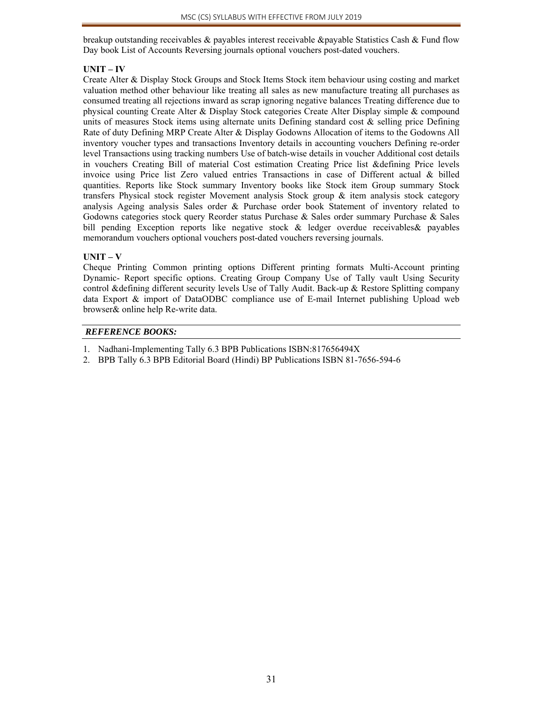breakup outstanding receivables & payables interest receivable &payable Statistics Cash & Fund flow Day book List of Accounts Reversing journals optional vouchers post-dated vouchers.

#### **UNIT – IV**

Create Alter & Display Stock Groups and Stock Items Stock item behaviour using costing and market valuation method other behaviour like treating all sales as new manufacture treating all purchases as consumed treating all rejections inward as scrap ignoring negative balances Treating difference due to physical counting Create Alter & Display Stock categories Create Alter Display simple & compound units of measures Stock items using alternate units Defining standard cost  $\&$  selling price Defining Rate of duty Defining MRP Create Alter & Display Godowns Allocation of items to the Godowns All inventory voucher types and transactions Inventory details in accounting vouchers Defining re-order level Transactions using tracking numbers Use of batch-wise details in voucher Additional cost details in vouchers Creating Bill of material Cost estimation Creating Price list &defining Price levels invoice using Price list Zero valued entries Transactions in case of Different actual & billed quantities. Reports like Stock summary Inventory books like Stock item Group summary Stock transfers Physical stock register Movement analysis Stock group  $\&$  item analysis stock category analysis Ageing analysis Sales order & Purchase order book Statement of inventory related to Godowns categories stock query Reorder status Purchase & Sales order summary Purchase & Sales bill pending Exception reports like negative stock & ledger overdue receivables& payables memorandum vouchers optional vouchers post-dated vouchers reversing journals.

#### $UNIT - V$

Cheque Printing Common printing options Different printing formats Multi-Account printing Dynamic- Report specific options. Creating Group Company Use of Tally vault Using Security control &defining different security levels Use of Tally Audit. Back-up & Restore Splitting company data Export & import of DataODBC compliance use of E-mail Internet publishing Upload web browser& online help Re-write data.

#### *REFERENCE BOOKS:*

- 1. Nadhani-Implementing Tally 6.3 BPB Publications ISBN:817656494X
- 2. BPB Tally 6.3 BPB Editorial Board (Hindi) BP Publications ISBN 81-7656-594-6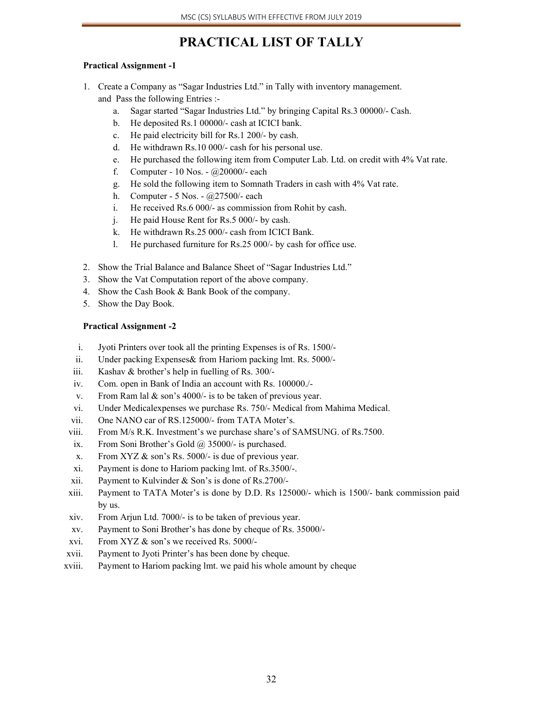# **PRACTICAL LIST OF TALLY**

#### **Practical Assignment -1**

- 1. Create a Company as "Sagar Industries Ltd." in Tally with inventory management. and Pass the following Entries :
	- a. Sagar started "Sagar Industries Ltd." by bringing Capital Rs.3 00000/- Cash.
	- b. He deposited Rs.1 00000/- cash at ICICI bank.
	- c. He paid electricity bill for Rs.1 200/- by cash.
	- d. He withdrawn Rs.10 000/- cash for his personal use.
	- e. He purchased the following item from Computer Lab. Ltd. on credit with 4% Vat rate.
	- f. Computer 10 Nos.  $\omega$ 20000/- each
	- g. He sold the following item to Somnath Traders in cash with 4% Vat rate.
	- h. Computer 5 Nos. @27500/- each
	- i. He received Rs.6 000/- as commission from Rohit by cash.
	- j. He paid House Rent for Rs.5 000/- by cash.
	- k. He withdrawn Rs.25 000/- cash from ICICI Bank.
	- l. He purchased furniture for Rs.25 000/- by cash for office use.
- 2. Show the Trial Balance and Balance Sheet of "Sagar Industries Ltd."
- 3. Show the Vat Computation report of the above company.
- 4. Show the Cash Book & Bank Book of the company.
- 5. Show the Day Book.

#### **Practical Assignment -2**

- i. Jyoti Printers over took all the printing Expenses is of Rs. 1500/-
- ii. Under packing Expenses& from Hariom packing lmt. Rs. 5000/-
- iii. Kashav & brother's help in fuelling of Rs. 300/-
- iv. Com. open in Bank of India an account with Rs. 100000./-
- v. From Ram lal & son's 4000/- is to be taken of previous year.
- vi. Under Medicalexpenses we purchase Rs. 750/- Medical from Mahima Medical.
- vii. One NANO car of RS.125000/- from TATA Moter's.
- viii. From M/s R.K. Investment's we purchase share's of SAMSUNG. of Rs.7500.
- ix. From Soni Brother's Gold  $\omega$  35000/- is purchased.
- x. From XYZ & son's Rs. 5000/- is due of previous year.
- xi. Payment is done to Hariom packing lmt. of Rs.3500/-.
- xii. Payment to Kulvinder & Son's is done of Rs.2700/-
- xiii. Payment to TATA Moter's is done by D.D. Rs 125000/- which is 1500/- bank commission paid by us.
- xiv. From Arjun Ltd. 7000/- is to be taken of previous year.
- xv. Payment to Soni Brother's has done by cheque of Rs. 35000/-
- xvi. From XYZ & son's we received Rs. 5000/-
- xvii. Payment to Jyoti Printer's has been done by cheque.
- xviii. Payment to Hariom packing lmt. we paid his whole amount by cheque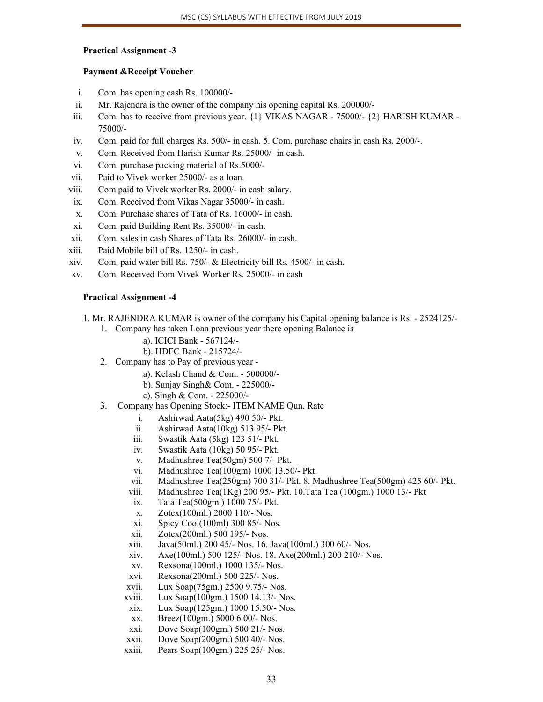#### **Practical Assignment -3**

#### **Payment &Receipt Voucher**

- i. Com. has opening cash Rs. 100000/-
- ii. Mr. Rajendra is the owner of the company his opening capital Rs. 200000/-
- iii. Com. has to receive from previous year. {1} VIKAS NAGAR 75000/- {2} HARISH KUMAR 75000/-
- iv. Com. paid for full charges Rs. 500/- in cash. 5. Com. purchase chairs in cash Rs. 2000/-.
- v. Com. Received from Harish Kumar Rs. 25000/- in cash.
- vi. Com. purchase packing material of Rs.5000/-
- vii. Paid to Vivek worker 25000/- as a loan.
- viii. Com paid to Vivek worker Rs. 2000/- in cash salary.
- ix. Com. Received from Vikas Nagar 35000/- in cash.
- x. Com. Purchase shares of Tata of Rs. 16000/- in cash.
- xi. Com. paid Building Rent Rs. 35000/- in cash.
- xii. Com. sales in cash Shares of Tata Rs. 26000/- in cash.
- xiii. Paid Mobile bill of Rs. 1250/- in cash.
- xiv. Com. paid water bill Rs. 750/- & Electricity bill Rs. 4500/- in cash.
- xv. Com. Received from Vivek Worker Rs. 25000/- in cash

#### **Practical Assignment -4**

- 1. Mr. RAJENDRA KUMAR is owner of the company his Capital opening balance is Rs. 2524125/-
	- 1. Company has taken Loan previous year there opening Balance is
		- a). ICICI Bank 567124/-
		- b). HDFC Bank 215724/-
	- 2. Company has to Pay of previous year
		- a). Kelash Chand & Com. 500000/-
		- b). Sunjay Singh& Com. 225000/-
		- c). Singh & Com. 225000/-
	- 3. Company has Opening Stock:- ITEM NAME Qun. Rate
		- i. Ashirwad Aata(5kg) 490 50/- Pkt.
		- ii. Ashirwad Aata(10kg) 513 95/- Pkt.
		- iii. Swastik Aata (5kg) 123 51/- Pkt.
		- iv. Swastik Aata (10kg) 50 95/- Pkt.
		- v. Madhushree Tea(50gm) 500 7/- Pkt.
		- vi. Madhushree Tea(100gm) 1000 13.50/- Pkt.
		- vii. Madhushree Tea(250gm) 700 31/- Pkt. 8. Madhushree Tea(500gm) 425 60/- Pkt.
		- viii. Madhushree Tea(1Kg) 200 95/- Pkt. 10.Tata Tea (100gm.) 1000 13/- Pkt
		- ix. Tata Tea(500gm.) 1000 75/- Pkt.
		- x. Zotex(100ml.) 2000 110/- Nos.
		- xi. Spicy Cool(100ml) 300 85/- Nos.
		- xii. Zotex(200ml.) 500 195/- Nos.
		- xiii. Java(50ml.) 200 45/- Nos. 16. Java(100ml.) 300 60/- Nos.
		- xiv. Axe(100ml.) 500 125/- Nos. 18. Axe(200ml.) 200 210/- Nos.
		- xv. Rexsona(100ml.) 1000 135/- Nos.
		- xvi. Rexsona(200ml.) 500 225/- Nos.
		- xvii. Lux Soap(75gm.) 2500 9.75/- Nos.
		- xviii. Lux Soap(100gm.) 1500 14.13/- Nos.
		- xix. Lux Soap(125gm.) 1000 15.50/- Nos.
		- xx. Breez(100gm.) 5000 6.00/- Nos.
		- xxi. Dove Soap(100gm.) 500 21/- Nos.
		- xxii. Dove Soap(200gm.) 500 40/- Nos.
		- xxiii. Pears Soap(100gm.) 225 25/- Nos.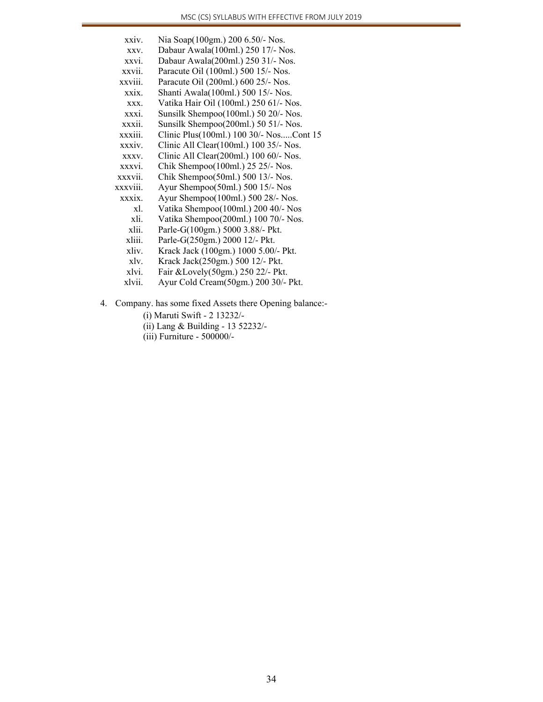| xxiv.    | Nia Soap(100gm.) 200 6.50/- Nos.        |
|----------|-----------------------------------------|
| XXV.     | Dabaur Awala(100ml.) 250 17/- Nos.      |
| xxvi.    | Dabaur Awala(200ml.) 250 31/- Nos.      |
| xxvii.   | Paracute Oil (100ml.) 500 15/- Nos.     |
| xxviii.  | Paracute Oil (200ml.) 600 25/- Nos.     |
| xxix.    | Shanti Awala(100ml.) 500 15/- Nos.      |
| XXX.     | Vatika Hair Oil (100ml.) 250 61/- Nos.  |
| xxxi.    | Sunsilk Shempoo(100ml.) 50 20/- Nos.    |
| xxxii.   | Sunsilk Shempoo(200ml.) 50 51/- Nos.    |
| xxxiii.  | Clinic Plus(100ml.) 100 30/- NosCont 15 |
| xxxiv.   | Clinic All Clear(100ml.) 100 35/- Nos.  |
| XXXV.    | Clinic All Clear(200ml.) 100 60/- Nos.  |
| xxxvi.   | Chik Shempoo(100ml.) 25 25/- Nos.       |
| xxxvii.  | Chik Shempoo(50ml.) 500 13/- Nos.       |
| xxxviii. | Ayur Shempoo(50ml.) 500 15/- Nos        |
| xxxix.   | Ayur Shempoo(100ml.) 500 28/- Nos.      |
| xl.      | Vatika Shempoo(100ml.) 200 40/- Nos     |
| xli.     | Vatika Shempoo(200ml.) 100 70/- Nos.    |
| xlii.    | Parle-G(100gm.) 5000 3.88/- Pkt.        |
| xliii.   | Parle-G(250gm.) 2000 12/- Pkt.          |
| xliv.    | Krack Jack (100gm.) 1000 5.00/- Pkt.    |
| xlv.     | Krack Jack(250gm.) 500 12/- Pkt.        |
| xlvi.    | Fair &Lovely(50gm.) 250 22/- Pkt.       |
| xlvii.   | Ayur Cold Cream(50gm.) 200 30/- Pkt.    |
|          |                                         |

- 4. Company. has some fixed Assets there Opening balance:-
	- (i) Maruti Swift 2 13232/-
	- (ii) Lang & Building 13 52232/-
	- (iii) Furniture 500000/-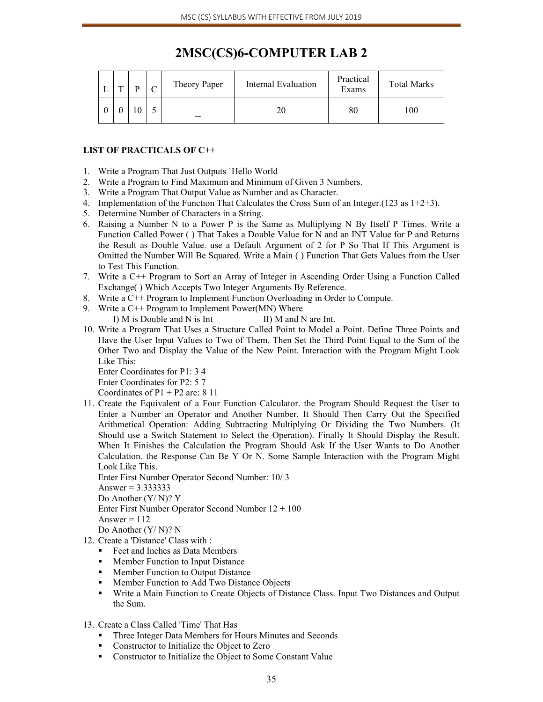| 2MSC(CS)6-COMPUTER LAB 2 |
|--------------------------|
|--------------------------|

| ≖ | œ | $\Gamma$ | Theory Paper | Internal Evaluation | Practical<br>Exams | <b>Total Marks</b> |
|---|---|----------|--------------|---------------------|--------------------|--------------------|
|   |   |          | $- -$        | 20                  | 80                 | 100                |

#### **LIST OF PRACTICALS OF C++**

- 1. Write a Program That Just Outputs `Hello World
- 2. Write a Program to Find Maximum and Minimum of Given 3 Numbers.
- 3. Write a Program That Output Value as Number and as Character.
- 4. Implementation of the Function That Calculates the Cross Sum of an Integer. (123 as  $1+2+3$ ).
- 5. Determine Number of Characters in a String.
- 6. Raising a Number N to a Power P is the Same as Multiplying N By Itself P Times. Write a Function Called Power ( ) That Takes a Double Value for N and an INT Value for P and Returns the Result as Double Value. use a Default Argument of 2 for P So That If This Argument is Omitted the Number Will Be Squared. Write a Main ( ) Function That Gets Values from the User to Test This Function.
- 7. Write a C++ Program to Sort an Array of Integer in Ascending Order Using a Function Called Exchange( ) Which Accepts Two Integer Arguments By Reference.
- 8. Write a C++ Program to Implement Function Overloading in Order to Compute.
- 9. Write a C++ Program to Implement Power(MN) Where
	- I) M is Double and N is Int III) M and N are Int.
- 10. Write a Program That Uses a Structure Called Point to Model a Point. Define Three Points and Have the User Input Values to Two of Them. Then Set the Third Point Equal to the Sum of the Other Two and Display the Value of the New Point. Interaction with the Program Might Look Like This:

Enter Coordinates for P1: 3 4

Enter Coordinates for P2: 5 7

Coordinates of  $P1 + P2$  are: 8 11

11. Create the Equivalent of a Four Function Calculator. the Program Should Request the User to Enter a Number an Operator and Another Number. It Should Then Carry Out the Specified Arithmetical Operation: Adding Subtracting Multiplying Or Dividing the Two Numbers. (It Should use a Switch Statement to Select the Operation). Finally It Should Display the Result. When It Finishes the Calculation the Program Should Ask If the User Wants to Do Another Calculation. the Response Can Be Y Or N. Some Sample Interaction with the Program Might Look Like This.

Enter First Number Operator Second Number: 10/ 3 Answer =  $3.333333$ Do Another (Y/ N)? Y Enter First Number Operator Second Number 12 + 100 Answer  $= 112$ 

- Do Another (Y/ N)? N
- 12. Create a 'Distance' Class with :
	- Feet and Inches as Data Members<br>Member Function to Input Distance
	- Member Function to Input Distance<br>• Member Function to Output Distance
	- Member Function to Output Distance
	- **Member Function to Add Two Distance Objects**
	- Write a Main Function to Create Objects of Distance Class. Input Two Distances and Output the Sum.
- 13. Create a Class Called 'Time' That Has
	- **Three Integer Data Members for Hours Minutes and Seconds**
	- **Constructor to Initialize the Object to Zero**
	- Constructor to Initialize the Object to Some Constant Value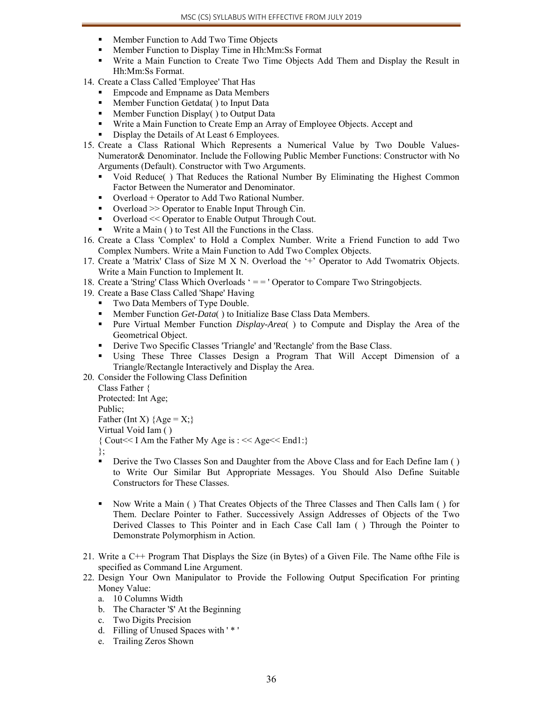- **Member Function to Add Two Time Objects**
- Member Function to Display Time in Hh:Mm:Ss Format
- Write a Main Function to Create Two Time Objects Add Them and Display the Result in Hh:Mm:Ss Format.
- 14. Create a Class Called 'Employee' That Has
	- **Empcode and Empname as Data Members**
	- **Member Function Getdata** ( ) to Input Data
	- **Member Function Display() to Output Data**
	- Write a Main Function to Create Emp an Array of Employee Objects. Accept and
	- Display the Details of At Least 6 Employees.
- 15. Create a Class Rational Which Represents a Numerical Value by Two Double Values-Numerator& Denominator. Include the Following Public Member Functions: Constructor with No Arguments (Default). Constructor with Two Arguments.
	- Void Reduce( ) That Reduces the Rational Number By Eliminating the Highest Common Factor Between the Numerator and Denominator.
	- $\blacksquare$  Overload + Operator to Add Two Rational Number.
	- Overload >> Operator to Enable Input Through Cin.
	- Overload << Operator to Enable Output Through Cout.
	- Write a Main ( ) to Test All the Functions in the Class.
- 16. Create a Class 'Complex' to Hold a Complex Number. Write a Friend Function to add Two Complex Numbers. Write a Main Function to Add Two Complex Objects.
- 17. Create a 'Matrix' Class of Size M X N. Overload the '+' Operator to Add Twomatrix Objects. Write a Main Function to Implement It.
- 18. Create a 'String' Class Which Overloads ' = = ' Operator to Compare Two Stringobjects.
- 19. Create a Base Class Called 'Shape' Having
	- Two Data Members of Type Double.
	- Member Function *Get-Data*( ) to Initialize Base Class Data Members.
	- **Pure Virtual Member Function** *Display-Area*( ) to Compute and Display the Area of the Geometrical Object.
	- **•** Derive Two Specific Classes 'Triangle' and 'Rectangle' from the Base Class.
	- Using These Three Classes Design a Program That Will Accept Dimension of a Triangle/Rectangle Interactively and Display the Area.

20. Consider the Following Class Definition

Class Father { Protected: Int Age;

Public;

Father (Int X)  ${Age = X;}$ 

Virtual Void Iam ( )

{ Cout<< I Am the Father My Age is : << Age<< End1:}

- };
- **•** Derive the Two Classes Son and Daughter from the Above Class and for Each Define Iam () to Write Our Similar But Appropriate Messages. You Should Also Define Suitable Constructors for These Classes.
- Now Write a Main ( ) That Creates Objects of the Three Classes and Then Calls Iam ( ) for Them. Declare Pointer to Father. Successively Assign Addresses of Objects of the Two Derived Classes to This Pointer and in Each Case Call Iam ( ) Through the Pointer to Demonstrate Polymorphism in Action.
- 21. Write a C++ Program That Displays the Size (in Bytes) of a Given File. The Name ofthe File is specified as Command Line Argument.
- 22. Design Your Own Manipulator to Provide the Following Output Specification For printing Money Value:
	- a. 10 Columns Width
	- b. The Character '\$' At the Beginning
	- c. Two Digits Precision
	- d. Filling of Unused Spaces with ' \* '
	- e. Trailing Zeros Shown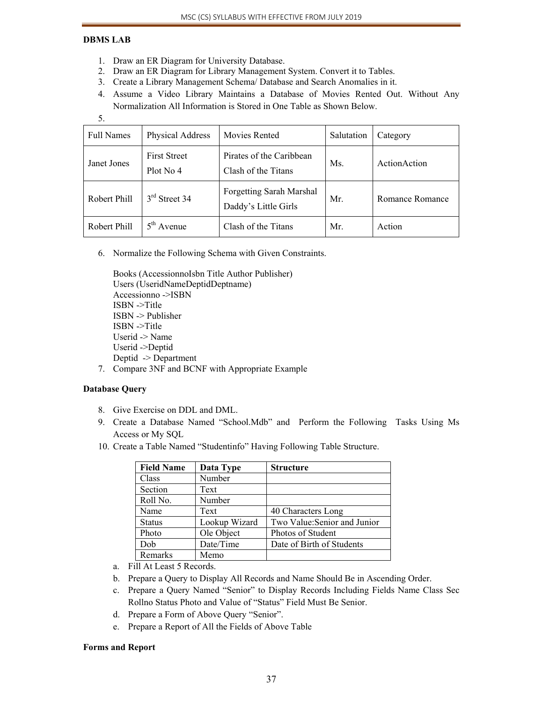# **DBMS LAB**

5.

- 1. Draw an ER Diagram for University Database.
- 2. Draw an ER Diagram for Library Management System. Convert it to Tables.
- 3. Create a Library Management Schema/ Database and Search Anomalies in it.
- 4. Assume a Video Library Maintains a Database of Movies Rented Out. Without Any Normalization All Information is Stored in One Table as Shown Below.

| <b>Full Names</b> | Physical Address                 | Movies Rented                                           | Salutation | Category        |
|-------------------|----------------------------------|---------------------------------------------------------|------------|-----------------|
| Janet Jones       | <b>First Street</b><br>Plot No 4 | Pirates of the Caribbean<br>Clash of the Titans         | Ms.        | ActionAction    |
| Robert Phill      | $3rd$ Street 34                  | <b>Forgetting Sarah Marshal</b><br>Daddy's Little Girls | Mr.        | Romance Romance |
| Robert Phill      | $5th$ Avenue                     | Clash of the Titans                                     | Mr.        | Action          |

6. Normalize the Following Schema with Given Constraints.

Books (AccessionnoIsbn Title Author Publisher) Users (UseridNameDeptidDeptname) Accessionno ->ISBN ISBN ->Title ISBN -> Publisher ISBN ->Title Userid -> Name Userid ->Deptid Deptid -> Department

7. Compare 3NF and BCNF with Appropriate Example

# **Database Query**

- 8. Give Exercise on DDL and DML.
- 9. Create a Database Named "School.Mdb" and Perform the Following Tasks Using Ms Access or My SQL
- 10. Create a Table Named "Studentinfo" Having Following Table Structure.

| <b>Field Name</b> | Data Type     | <b>Structure</b>             |
|-------------------|---------------|------------------------------|
| Class             | Number        |                              |
| Section           | Text          |                              |
| Roll No.          | Number        |                              |
| Name              | Text          | 40 Characters Long           |
| <b>Status</b>     | Lookup Wizard | Two Value: Senior and Junior |
| Photo             | Ole Object    | Photos of Student            |
| Dob               | Date/Time     | Date of Birth of Students    |
| Remarks           | Memo          |                              |

- a. Fill At Least 5 Records.
- b. Prepare a Query to Display All Records and Name Should Be in Ascending Order.
- c. Prepare a Query Named "Senior" to Display Records Including Fields Name Class Sec Rollno Status Photo and Value of "Status" Field Must Be Senior.
- d. Prepare a Form of Above Query "Senior".
- e. Prepare a Report of All the Fields of Above Table

# **Forms and Report**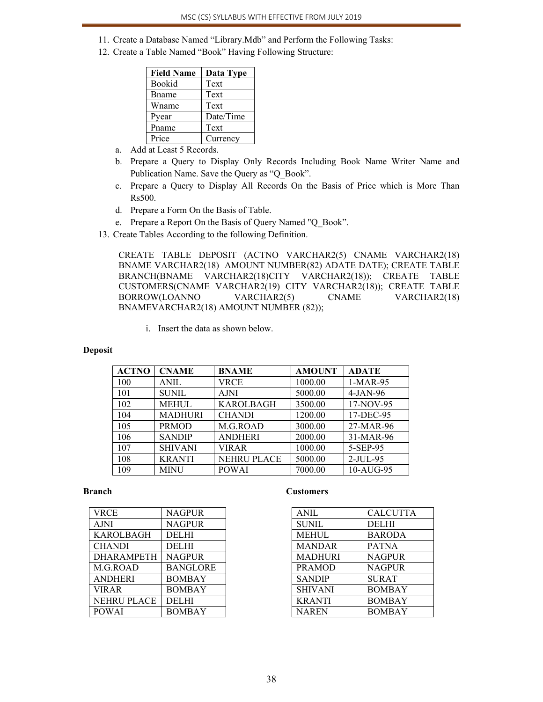- 11. Create a Database Named "Library.Mdb" and Perform the Following Tasks:
- 12. Create a Table Named "Book" Having Following Structure:

| <b>Field Name</b> | Data Type |
|-------------------|-----------|
| Bookid            | Text      |
| Bname             | Text      |
| Wname             | Text      |
| Pyear             | Date/Time |
| Pname             | Text      |
| Price             | Currency  |

- a. Add at Least 5 Records.
- b. Prepare a Query to Display Only Records Including Book Name Writer Name and Publication Name. Save the Query as "Q\_Book".
- c. Prepare a Query to Display All Records On the Basis of Price which is More Than Rs500.
- d. Prepare a Form On the Basis of Table.
- e. Prepare a Report On the Basis of Query Named "Q\_Book".
- 13. Create Tables According to the following Definition.

CREATE TABLE DEPOSIT (ACTNO VARCHAR2(5) CNAME VARCHAR2(18) BNAME VARCHAR2(18) AMOUNT NUMBER(82) ADATE DATE); CREATE TABLE BRANCH(BNAME VARCHAR2(18)CITY VARCHAR2(18)); CREATE TABLE CUSTOMERS(CNAME VARCHAR2(19) CITY VARCHAR2(18)); CREATE TABLE BORROW(LOANNO VARCHAR2(5) CNAME VARCHAR2(18) BNAMEVARCHAR2(18) AMOUNT NUMBER (82));

i. Insert the data as shown below.

### **Deposit**

| <b>ACTNO</b> | <b>CNAME</b>   | <b>BNAME</b>       | <b>AMOUNT</b> | <b>ADATE</b> |
|--------------|----------------|--------------------|---------------|--------------|
| 100          | <b>ANIL</b>    | VRCE               | 1000.00       | $1-MAR-95$   |
| 101          | <b>SUNIL</b>   | <b>AJNI</b>        | 5000.00       | $4-JAN-96$   |
| 102          | <b>MEHUL</b>   | <b>KAROLBAGH</b>   | 3500.00       | 17-NOV-95    |
| 104          | <b>MADHURI</b> | <b>CHANDI</b>      | 1200.00       | 17-DEC-95    |
| 105          | <b>PRMOD</b>   | M.G.ROAD           | 3000.00       | 27-MAR-96    |
| 106          | <b>SANDIP</b>  | <b>ANDHERI</b>     | 2000.00       | 31-MAR-96    |
| 107          | <b>SHIVANI</b> | <b>VIRAR</b>       | 1000.00       | 5-SEP-95     |
| 108          | <b>KRANTI</b>  | <b>NEHRU PLACE</b> | 5000.00       | 2-JUL-95     |
| 109          | <b>MINU</b>    | <b>POWAI</b>       | 7000.00       | 10-AUG-95    |

#### **Branch**

| <b>VRCE</b>        | <b>NAGPUR</b>   |
|--------------------|-----------------|
| <b>AJNI</b>        | <b>NAGPUR</b>   |
| KAROLBAGH          | <b>DELHI</b>    |
| <b>CHANDI</b>      | <b>DELHI</b>    |
| <b>DHARAMPETH</b>  | <b>NAGPUR</b>   |
| M.G.ROAD           | <b>BANGLORE</b> |
| <b>ANDHERI</b>     | <b>BOMBAY</b>   |
| <b>VIRAR</b>       | <b>BOMBAY</b>   |
| <b>NEHRU PLACE</b> | <b>DELHI</b>    |
| <b>POWAI</b>       | <b>BOMBAY</b>   |

#### **Customers**

| <b>ANIL</b>    | <b>CALCUTTA</b> |
|----------------|-----------------|
| <b>SUNIL</b>   | <b>DELHI</b>    |
| <b>MEHUL</b>   | <b>BARODA</b>   |
| <b>MANDAR</b>  | <b>PATNA</b>    |
| <b>MADHURI</b> | <b>NAGPUR</b>   |
| <b>PRAMOD</b>  | <b>NAGPUR</b>   |
| <b>SANDIP</b>  | <b>SURAT</b>    |
| <b>SHIVANI</b> | <b>BOMBAY</b>   |
| <b>KRANTI</b>  | <b>BOMBAY</b>   |
| <b>NAREN</b>   | <b>BOMBAY</b>   |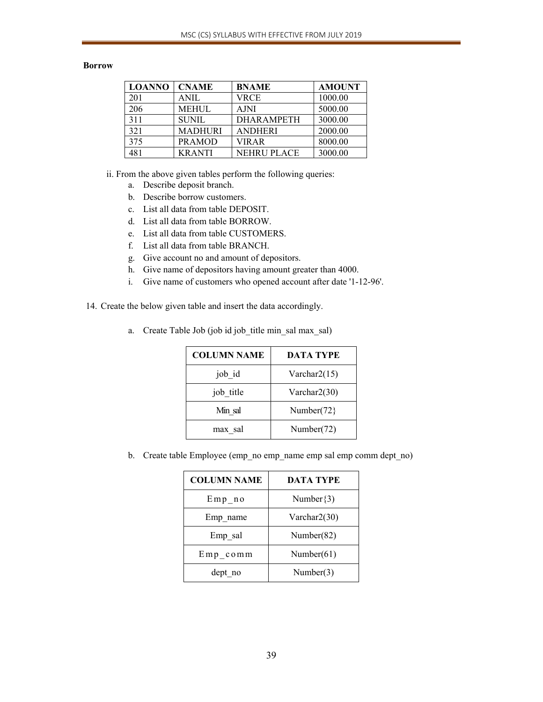### **Borrow**

| <b>LOANNO</b> | <b>CNAME</b>   | <b>BNAME</b>       | <b>AMOUNT</b> |
|---------------|----------------|--------------------|---------------|
| 201           | <b>ANIL</b>    | <b>VRCE</b>        | 1000.00       |
| 206           | <b>MEHUL</b>   | <b>AJNI</b>        | 5000.00       |
| 311           | SUNIL.         | <b>DHARAMPETH</b>  | 3000.00       |
| 321           | <b>MADHURI</b> | <b>ANDHERI</b>     | 2000.00       |
| 375           | <b>PRAMOD</b>  | <b>VIRAR</b>       | 8000.00       |
| 481           | <b>KRANTI</b>  | <b>NEHRU PLACE</b> | 3000.00       |

ii. From the above given tables perform the following queries:

- a. Describe deposit branch.
- b. Describe borrow customers.
- c. List all data from table DEPOSIT.
- d. List all data from table BORROW.
- e. List all data from table CUSTOMERS.
- f. List all data from table BRANCH.
- g. Give account no and amount of depositors.
- h. Give name of depositors having amount greater than 4000.
- i. Give name of customers who opened account after date '1-12-96'.
- 14. Create the below given table and insert the data accordingly.

| <b>COLUMN NAME</b> | <b>DATA TYPE</b> |
|--------------------|------------------|
| job id             | Varchar $2(15)$  |
| job title          | Varchar $2(30)$  |
| Min sal            | Number $(72)$    |
| max sal            | Number(72)       |

a. Create Table Job (job id job\_title min\_sal max\_sal)

b. Create table Employee (emp\_no emp\_name emp sal emp comm dept\_no)

| <b>COLUMN NAME</b> | <b>DATA TYPE</b> |  |
|--------------------|------------------|--|
| $Emp$ no           | Number $\{3\}$   |  |
| Emp name           | Varchar $2(30)$  |  |
| Emp sal            | Number $(82)$    |  |
| $Emp$ comm         | Number $(61)$    |  |
| dept no            | Number(3)        |  |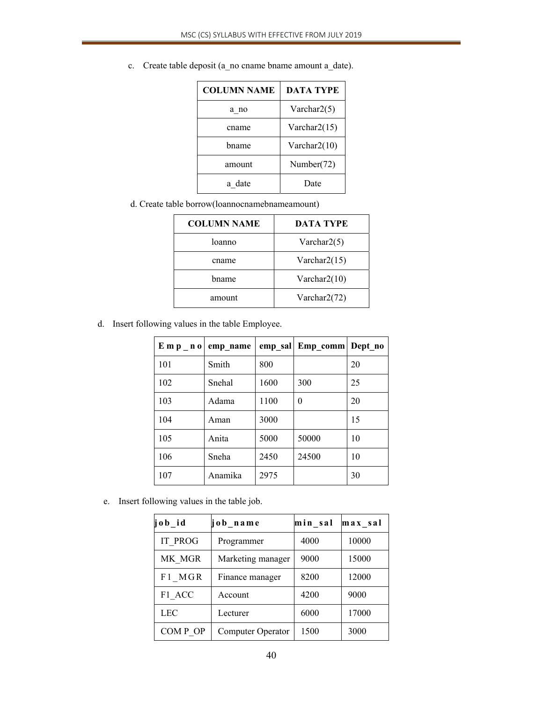| <b>COLUMN NAME</b> | <b>DATA TYPE</b> |  |
|--------------------|------------------|--|
| a no               | Varchar $2(5)$   |  |
| cname              | Varchar $2(15)$  |  |
| hname              | Varchar $2(10)$  |  |
| amount             | Number(72)       |  |
| a date             | Date             |  |

c. Create table deposit (a\_no cname bname amount a\_date).

d. Create table borrow(loannocnamebnameamount)

| <b>COLUMN NAME</b> | <b>DATA TYPE</b> |
|--------------------|------------------|
| loanno             | Varchar $2(5)$   |
| cname              | Varchar $2(15)$  |
| hname              | Varchar $2(10)$  |
| amount             | Varchar2(72)     |

d. Insert following values in the table Employee.

| $E$ m p n o | emp_name |      | emp sal Emp comm | Dept no |
|-------------|----------|------|------------------|---------|
| 101         | Smith    | 800  |                  | 20      |
| 102         | Snehal   | 1600 | 300              | 25      |
| 103         | Adama    | 1100 | $\theta$         | 20      |
| 104         | Aman     | 3000 |                  | 15      |
| 105         | Anita    | 5000 | 50000            | 10      |
| 106         | Sneha    | 2450 | 24500            | 10      |
| 107         | Anamika  | 2975 |                  | 30      |

e. Insert following values in the table job.

| job id         | job_name          | min sal | max sal |
|----------------|-------------------|---------|---------|
| <b>IT PROG</b> | Programmer        | 4000    | 10000   |
| MK MGR         | Marketing manager | 9000    | 15000   |
| F1 MGR         | Finance manager   | 8200    | 12000   |
| F1 ACC         | Account           | 4200    | 9000    |
| <b>LEC</b>     | Lecturer          | 6000    | 17000   |
| COMP OP        | Computer Operator | 1500    | 3000    |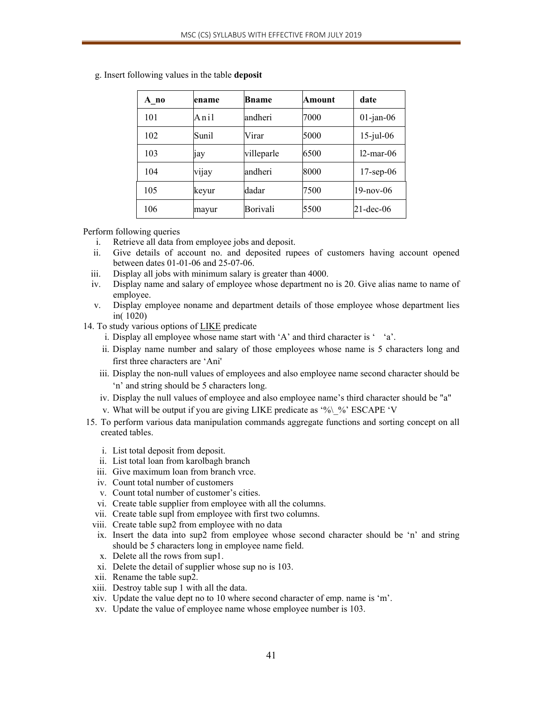| A no | ename | Bname      | Amount | date         |
|------|-------|------------|--------|--------------|
| 101  | Anil  | andheri    | 7000   | $01$ -jan-06 |
| 102  | Sunil | Virar      | 5000   | $15$ -jul-06 |
| 103  | 1ay   | villeparle | 6500   | $12$ -mar-06 |
| 104  | vijay | andheri    | 8000   | $17$ -sep-06 |
| 105  | keyur | dadar      | 7500   | 19-nov-06    |
| 106  | mayur | Borivali   | 5500   | 21-dec-06    |

g. Insert following values in the table **deposit**

### Perform following queries

- i. Retrieve all data from employee jobs and deposit.
- ii. Give details of account no. and deposited rupees of customers having account opened between dates 01-01-06 and 25-07-06.
- iii. Display all jobs with minimum salary is greater than 4000.
- iv. Display name and salary of employee whose department no is 20. Give alias name to name of employee.
- v. Display employee noname and department details of those employee whose department lies in( 1020)
- 14. To study various options of LIKE predicate
	- i. Display all employee whose name start with 'A' and third character is ' 'a'.
	- ii. Display name number and salary of those employees whose name is 5 characters long and first three characters are 'Ani'
	- iii. Display the non-null values of employees and also employee name second character should be 'n' and string should be 5 characters long.
	- iv. Display the null values of employee and also employee name's third character should be "a"
	- v. What will be output if you are giving LIKE predicate as '%\\_%' ESCAPE 'V
- 15. To perform various data manipulation commands aggregate functions and sorting concept on all created tables.
	- i. List total deposit from deposit.
	- ii. List total loan from karolbagh branch
	- iii. Give maximum loan from branch vrce.
	- iv. Count total number of customers
	- v. Count total number of customer's cities.
	- vi. Create table supplier from employee with all the columns.
	- vii. Create table supl from employee with first two columns.
	- viii. Create table sup2 from employee with no data
	- ix. Insert the data into sup2 from employee whose second character should be 'n' and string should be 5 characters long in employee name field.
	- x. Delete all the rows from sup1.
	- xi. Delete the detail of supplier whose sup no is 103.
	- xii. Rename the table sup2.
	- xiii. Destroy table sup 1 with all the data.
	- xiv. Update the value dept no to 10 where second character of emp. name is 'm'.
	- xv. Update the value of employee name whose employee number is 103.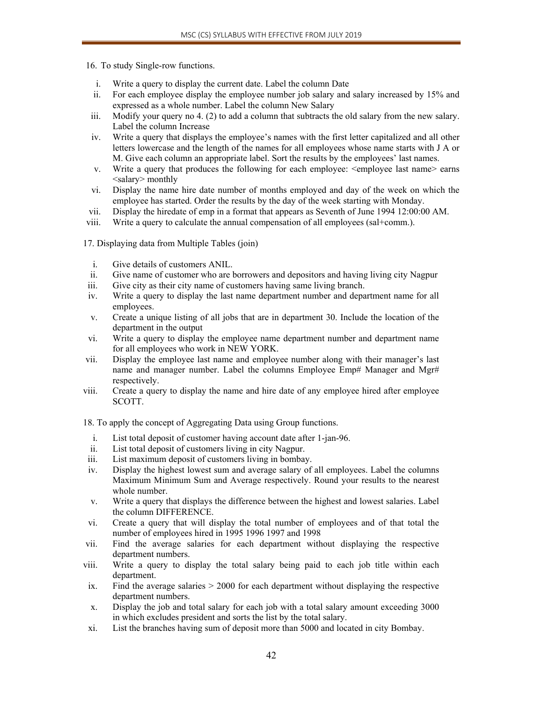16. To study Single-row functions.

- i. Write a query to display the current date. Label the column Date
- ii. For each employee display the employee number job salary and salary increased by 15% and expressed as a whole number. Label the column New Salary
- iii. Modify your query no 4. (2) to add a column that subtracts the old salary from the new salary. Label the column Increase
- iv. Write a query that displays the employee's names with the first letter capitalized and all other letters lowercase and the length of the names for all employees whose name starts with J A or M. Give each column an appropriate label. Sort the results by the employees' last names.
- v. Write a query that produces the following for each employee: <employee last name> earns <salary> monthly
- vi. Display the name hire date number of months employed and day of the week on which the employee has started. Order the results by the day of the week starting with Monday.
- vii. Display the hiredate of emp in a format that appears as Seventh of June 1994 12:00:00 AM.
- viii. Write a query to calculate the annual compensation of all employees (sal+comm.).

17. Displaying data from Multiple Tables (join)

- i. Give details of customers ANIL.
- ii. Give name of customer who are borrowers and depositors and having living city Nagpur
- iii. Give city as their city name of customers having same living branch.
- iv. Write a query to display the last name department number and department name for all employees.
- v. Create a unique listing of all jobs that are in department 30. Include the location of the department in the output
- vi. Write a query to display the employee name department number and department name for all employees who work in NEW YORK.
- vii. Display the employee last name and employee number along with their manager's last name and manager number. Label the columns Employee Emp# Manager and Mgr# respectively.
- viii. Create a query to display the name and hire date of any employee hired after employee SCOTT.

18. To apply the concept of Aggregating Data using Group functions.

- i. List total deposit of customer having account date after 1-jan-96.
- ii. List total deposit of customers living in city Nagpur.
- iii. List maximum deposit of customers living in bombay.
- iv. Display the highest lowest sum and average salary of all employees. Label the columns Maximum Minimum Sum and Average respectively. Round your results to the nearest whole number.
- v. Write a query that displays the difference between the highest and lowest salaries. Label the column DIFFERENCE.
- vi. Create a query that will display the total number of employees and of that total the number of employees hired in 1995 1996 1997 and 1998
- vii. Find the average salaries for each department without displaying the respective department numbers.
- viii. Write a query to display the total salary being paid to each job title within each department.
- ix. Find the average salaries  $> 2000$  for each department without displaying the respective department numbers.
- x. Display the job and total salary for each job with a total salary amount exceeding 3000 in which excludes president and sorts the list by the total salary.
- xi. List the branches having sum of deposit more than 5000 and located in city Bombay.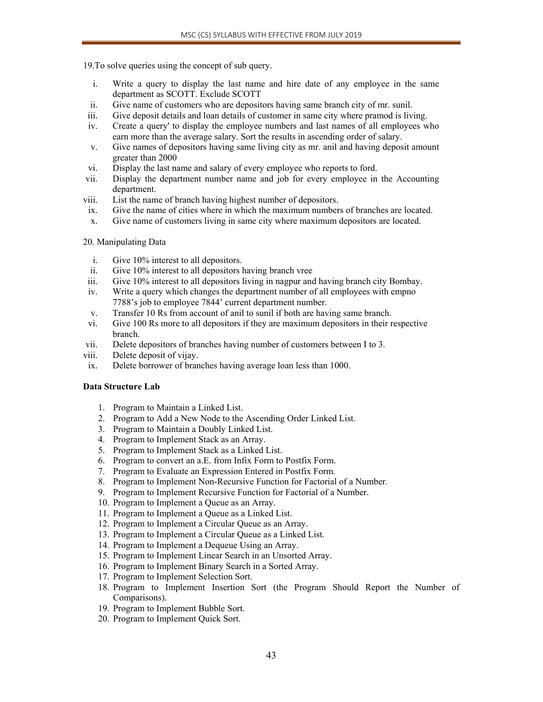19.To solve queries using the concept of sub query.

- i. Write a query to display the last name and hire date of any employee in the same department as SCOTT. Exclude SCOTT
- ii. Give name of customers who are depositors having same branch city of mr. sunil.
- iii. Give deposit details and loan details of customer in same city where pramod is living.
- iv. Create a query' to display the employee numbers and last names of all employees who earn more than the average salary. Sort the results in ascending order of salary.
- v. Give names of depositors having same living city as mr. anil and having deposit amount greater than 2000
- vi. Display the last name and salary of every employee who reports to ford.
- vii. Display the department number name and job for every employee in the Accounting department.
- viii. List the name of branch having highest number of depositors.
- ix. Give the name of cities where in which the maximum numbers of branches are located.
- x. Give name of customers living in same city where maximum depositors are located.

### 20. Manipulating Data

- i. Give 10% interest to all depositors.
- ii. Give 10% interest to all depositors having branch vree
- iii. Give 10% interest to all depositors living in nagpur and having branch city Bombay.
- iv. Write a query which changes the department number of all employees with empno 7788's job to employee 7844' current department number.
- v. Transfer 10 Rs from account of anil to sunil if both are having same branch.
- vi. Give 100 Rs more to all depositors if they are maximum depositors in their respective branch.
- vii. Delete depositors of branches having number of customers between I to 3.
- viii. Delete deposit of vijay.
- ix. Delete borrower of branches having average loan less than 1000.

# **Data Structure Lab**

- 1. Program to Maintain a Linked List.
- 2. Program to Add a New Node to the Ascending Order Linked List.
- 3. Program to Maintain a Doubly Linked List.
- 4. Program to Implement Stack as an Array.
- 5. Program to Implement Stack as a Linked List.
- 6. Program to convert an a.E. from Infix Form to Postfix Form.
- 7. Program to Evaluate an Expression Entered in Postfix Form.
- 8. Program to Implement Non-Recursive Function for Factorial of a Number.
- 9. Program to Implement Recursive Function for Factorial of a Number.
- 10. Program to Implement a Queue as an Array.
- 11. Program to Implement a Queue as a Linked List.
- 12. Program to Implement a Circular Queue as an Array.
- 13. Program to Implement a Circular Queue as a Linked List.
- 14. Program to Implement a Dequeue Using an Array.
- 15. Program to Implement Linear Search in an Unsorted Array.
- 16. Program to Implement Binary Search in a Sorted Array.
- 17. Program to Implement Selection Sort.
- 18. Program to Implement Insertion Sort (the Program Should Report the Number of Comparisons).
- 19. Program to Implement Bubble Sort.
- 20. Program to Implement Quick Sort.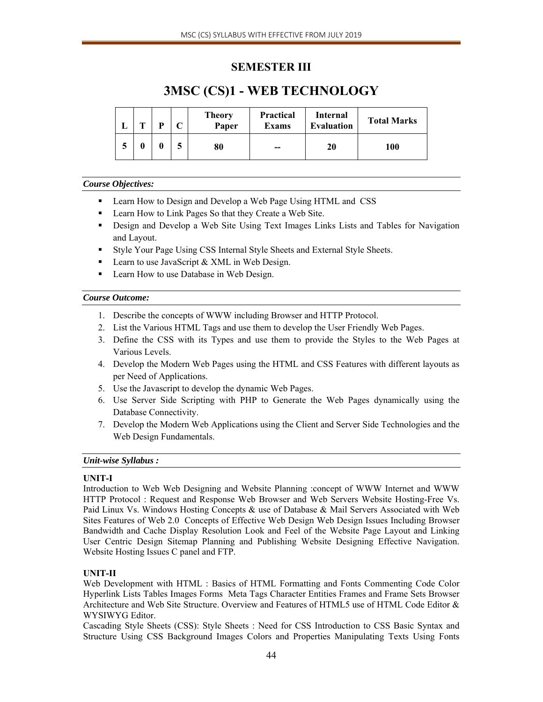# **SEMESTER III**

# **3MSC (CS)1 - WEB TECHNOLOGY**

| m | D | ◡ | <b>Theory</b><br>Paper | <b>Practical</b><br><b>Exams</b> | Internal<br><b>Evaluation</b> | <b>Total Marks</b> |
|---|---|---|------------------------|----------------------------------|-------------------------------|--------------------|
| 0 |   |   | 80                     | --                               | 20                            | 100                |

# *Course Objectives:*

- **EXECUTE:** Learn How to Design and Develop a Web Page Using HTML and CSS
- Learn How to Link Pages So that they Create a Web Site.
- Design and Develop a Web Site Using Text Images Links Lists and Tables for Navigation and Layout.
- Style Your Page Using CSS Internal Style Sheets and External Style Sheets.
- Learn to use JavaScript & XML in Web Design.
- **Learn How to use Database in Web Design.**

# *Course Outcome:*

- 1. Describe the concepts of WWW including Browser and HTTP Protocol.
- 2. List the Various HTML Tags and use them to develop the User Friendly Web Pages.
- 3. Define the CSS with its Types and use them to provide the Styles to the Web Pages at Various Levels.
- 4. Develop the Modern Web Pages using the HTML and CSS Features with different layouts as per Need of Applications.
- 5. Use the Javascript to develop the dynamic Web Pages.
- 6. Use Server Side Scripting with PHP to Generate the Web Pages dynamically using the Database Connectivity.
- 7. Develop the Modern Web Applications using the Client and Server Side Technologies and the Web Design Fundamentals.

# *Unit-wise Syllabus :*

# **UNIT-I**

Introduction to Web Web Designing and Website Planning :concept of WWW Internet and WWW HTTP Protocol : Request and Response Web Browser and Web Servers Website Hosting-Free Vs. Paid Linux Vs. Windows Hosting Concepts & use of Database & Mail Servers Associated with Web Sites Features of Web 2.0 Concepts of Effective Web Design Web Design Issues Including Browser Bandwidth and Cache Display Resolution Look and Feel of the Website Page Layout and Linking User Centric Design Sitemap Planning and Publishing Website Designing Effective Navigation. Website Hosting Issues C panel and FTP.

# **UNIT-II**

Web Development with HTML : Basics of HTML Formatting and Fonts Commenting Code Color Hyperlink Lists Tables Images Forms Meta Tags Character Entities Frames and Frame Sets Browser Architecture and Web Site Structure. Overview and Features of HTML5 use of HTML Code Editor & WYSIWYG Editor.

Cascading Style Sheets (CSS): Style Sheets : Need for CSS Introduction to CSS Basic Syntax and Structure Using CSS Background Images Colors and Properties Manipulating Texts Using Fonts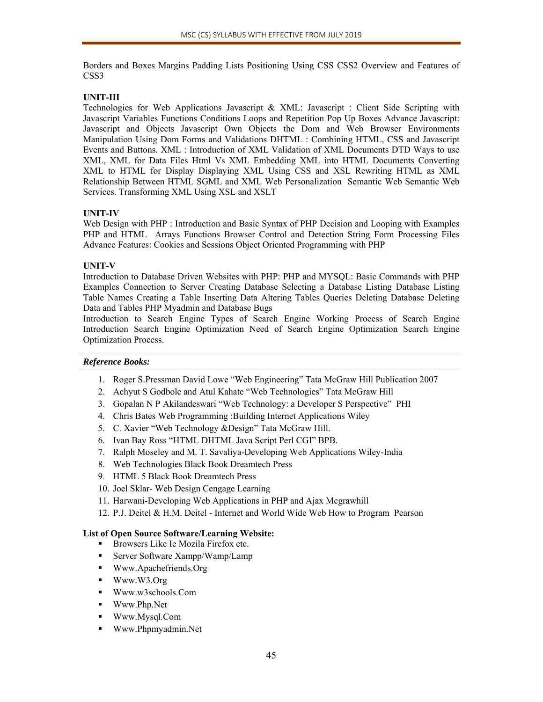Borders and Boxes Margins Padding Lists Positioning Using CSS CSS2 Overview and Features of CSS3

# **UNIT-III**

Technologies for Web Applications Javascript & XML: Javascript : Client Side Scripting with Javascript Variables Functions Conditions Loops and Repetition Pop Up Boxes Advance Javascript: Javascript and Objects Javascript Own Objects the Dom and Web Browser Environments Manipulation Using Dom Forms and Validations DHTML : Combining HTML, CSS and Javascript Events and Buttons. XML : Introduction of XML Validation of XML Documents DTD Ways to use XML, XML for Data Files Html Vs XML Embedding XML into HTML Documents Converting XML to HTML for Display Displaying XML Using CSS and XSL Rewriting HTML as XML Relationship Between HTML SGML and XML Web Personalization Semantic Web Semantic Web Services. Transforming XML Using XSL and XSLT

# **UNIT-IV**

Web Design with PHP : Introduction and Basic Syntax of PHP Decision and Looping with Examples PHP and HTML Arrays Functions Browser Control and Detection String Form Processing Files Advance Features: Cookies and Sessions Object Oriented Programming with PHP

# **UNIT-V**

Introduction to Database Driven Websites with PHP: PHP and MYSQL: Basic Commands with PHP Examples Connection to Server Creating Database Selecting a Database Listing Database Listing Table Names Creating a Table Inserting Data Altering Tables Queries Deleting Database Deleting Data and Tables PHP Myadmin and Database Bugs

Introduction to Search Engine Types of Search Engine Working Process of Search Engine Introduction Search Engine Optimization Need of Search Engine Optimization Search Engine Optimization Process.

# *Reference Books:*

- 1. Roger S.Pressman David Lowe "Web Engineering" Tata McGraw Hill Publication 2007
- 2. Achyut S Godbole and Atul Kahate "Web Technologies" Tata McGraw Hill
- 3. Gopalan N P Akilandeswari "Web Technology: a Developer S Perspective" PHI
- 4. Chris Bates Web Programming :Building Internet Applications Wiley
- 5. C. Xavier "Web Technology &Design" Tata McGraw Hill.
- 6. Ivan Bay Ross "HTML DHTML Java Script Perl CGI" BPB.
- 7. Ralph Moseley and M. T. Savaliya-Developing Web Applications Wiley-India
- 8. Web Technologies Black Book Dreamtech Press
- 9. HTML 5 Black Book Dreamtech Press
- 10. Joel Sklar- Web Design Cengage Learning
- 11. Harwani-Developing Web Applications in PHP and Ajax Mcgrawhill
- 12. P.J. Deitel & H.M. Deitel Internet and World Wide Web How to Program Pearson

# **List of Open Source Software/Learning Website:**

- Browsers Like Ie Mozila Firefox etc.
- Server Software Xampp/Wamp/Lamp
- Www.Apachefriends.Org
- Www.W3.Org
- Www.w3schools.Com
- Www.Php.Net
- Www.Mysql.Com
- Www.Phpmyadmin.Net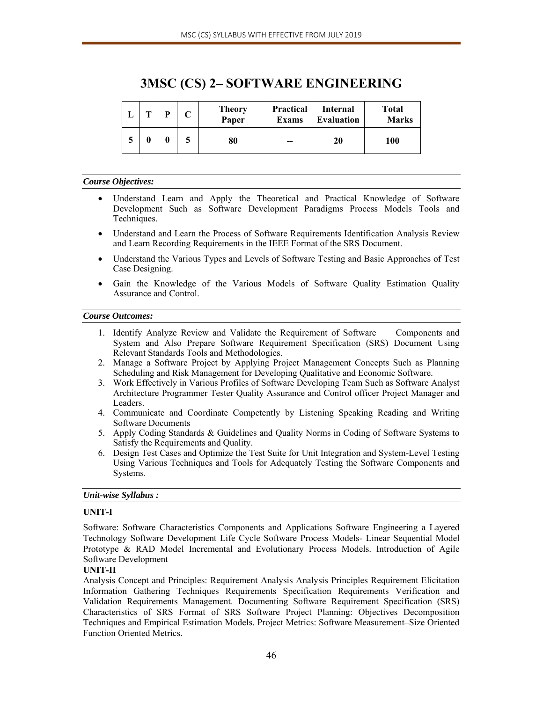|  | D | <b>Theory</b><br>Paper | <b>Practical</b><br><b>Exams</b> | <b>Internal</b><br><b>Evaluation</b> | <b>Total</b><br><b>Marks</b> |
|--|---|------------------------|----------------------------------|--------------------------------------|------------------------------|
|  |   | 80                     | $- -$                            | 20                                   | 100                          |

# **3MSC (CS) 2– SOFTWARE ENGINEERING**

### *Course Objectives:*

- Understand Learn and Apply the Theoretical and Practical Knowledge of Software Development Such as Software Development Paradigms Process Models Tools and Techniques.
- Understand and Learn the Process of Software Requirements Identification Analysis Review and Learn Recording Requirements in the IEEE Format of the SRS Document.
- Understand the Various Types and Levels of Software Testing and Basic Approaches of Test Case Designing.
- Gain the Knowledge of the Various Models of Software Quality Estimation Quality Assurance and Control.

### *Course Outcomes:*

- 1. Identify Analyze Review and Validate the Requirement of Software Components and System and Also Prepare Software Requirement Specification (SRS) Document Using Relevant Standards Tools and Methodologies.
- 2. Manage a Software Project by Applying Project Management Concepts Such as Planning Scheduling and Risk Management for Developing Qualitative and Economic Software.
- 3. Work Effectively in Various Profiles of Software Developing Team Such as Software Analyst Architecture Programmer Tester Quality Assurance and Control officer Project Manager and Leaders.
- 4. Communicate and Coordinate Competently by Listening Speaking Reading and Writing Software Documents
- 5. Apply Coding Standards & Guidelines and Quality Norms in Coding of Software Systems to Satisfy the Requirements and Quality.
- 6. Design Test Cases and Optimize the Test Suite for Unit Integration and System-Level Testing Using Various Techniques and Tools for Adequately Testing the Software Components and Systems.

# *Unit-wise Syllabus :*

# **UNIT-I**

Software: Software Characteristics Components and Applications Software Engineering a Layered Technology Software Development Life Cycle Software Process Models- Linear Sequential Model Prototype & RAD Model Incremental and Evolutionary Process Models. Introduction of Agile Software Development

# **UNIT-II**

Analysis Concept and Principles: Requirement Analysis Analysis Principles Requirement Elicitation Information Gathering Techniques Requirements Specification Requirements Verification and Validation Requirements Management. Documenting Software Requirement Specification (SRS) Characteristics of SRS Format of SRS Software Project Planning: Objectives Decomposition Techniques and Empirical Estimation Models. Project Metrics: Software Measurement–Size Oriented Function Oriented Metrics.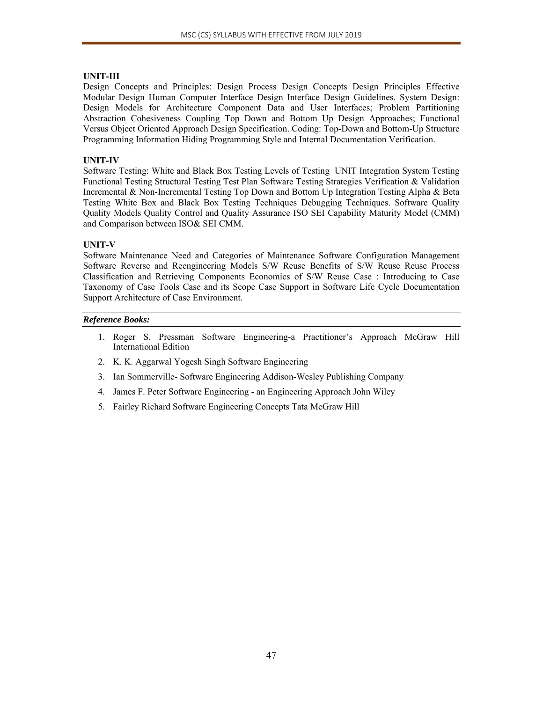# **UNIT-III**

Design Concepts and Principles: Design Process Design Concepts Design Principles Effective Modular Design Human Computer Interface Design Interface Design Guidelines. System Design: Design Models for Architecture Component Data and User Interfaces; Problem Partitioning Abstraction Cohesiveness Coupling Top Down and Bottom Up Design Approaches; Functional Versus Object Oriented Approach Design Specification. Coding: Top-Down and Bottom-Up Structure Programming Information Hiding Programming Style and Internal Documentation Verification.

# **UNIT-IV**

Software Testing: White and Black Box Testing Levels of Testing UNIT Integration System Testing Functional Testing Structural Testing Test Plan Software Testing Strategies Verification & Validation Incremental & Non-Incremental Testing Top Down and Bottom Up Integration Testing Alpha & Beta Testing White Box and Black Box Testing Techniques Debugging Techniques. Software Quality Quality Models Quality Control and Quality Assurance ISO SEI Capability Maturity Model (CMM) and Comparison between ISO& SEI CMM.

# **UNIT-V**

Software Maintenance Need and Categories of Maintenance Software Configuration Management Software Reverse and Reengineering Models S/W Reuse Benefits of S/W Reuse Reuse Process Classification and Retrieving Components Economics of S/W Reuse Case : Introducing to Case Taxonomy of Case Tools Case and its Scope Case Support in Software Life Cycle Documentation Support Architecture of Case Environment.

- 1. Roger S. Pressman Software Engineering-a Practitioner's Approach McGraw Hill International Edition
- 2. K. K. Aggarwal Yogesh Singh Software Engineering
- 3. Ian Sommerville- Software Engineering Addison-Wesley Publishing Company
- 4. James F. Peter Software Engineering an Engineering Approach John Wiley
- 5. Fairley Richard Software Engineering Concepts Tata McGraw Hill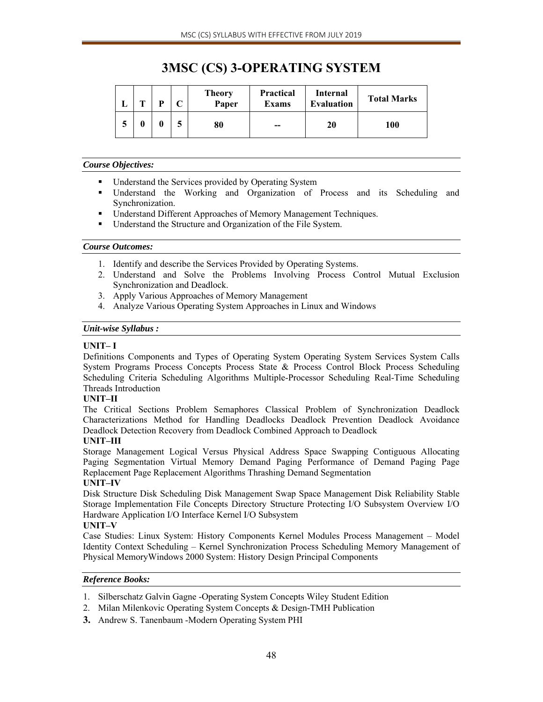# **3MSC (CS) 3-OPERATING SYSTEM**

|        | m | D | ⌒<br>◡ | Theory<br>Paper | <b>Practical</b><br><b>Exams</b> | Internal<br><b>Evaluation</b> | <b>Total Marks</b> |
|--------|---|---|--------|-----------------|----------------------------------|-------------------------------|--------------------|
| ►<br>J |   |   | E      | 80              | $-$                              | 20                            | 100                |

#### *Course Objectives:*

- **■** Understand the Services provided by Operating System
- Understand the Working and Organization of Process and its Scheduling and Synchronization.
- Understand Different Approaches of Memory Management Techniques.
- Understand the Structure and Organization of the File System.

# *Course Outcomes:*

- 1. Identify and describe the Services Provided by Operating Systems.
- 2. Understand and Solve the Problems Involving Process Control Mutual Exclusion Synchronization and Deadlock.
- 3. Apply Various Approaches of Memory Management
- 4. Analyze Various Operating System Approaches in Linux and Windows

# *Unit-wise Syllabus :*

# **UNIT– I**

Definitions Components and Types of Operating System Operating System Services System Calls System Programs Process Concepts Process State & Process Control Block Process Scheduling Scheduling Criteria Scheduling Algorithms Multiple-Processor Scheduling Real-Time Scheduling Threads Introduction

# **UNIT–II**

The Critical Sections Problem Semaphores Classical Problem of Synchronization Deadlock Characterizations Method for Handling Deadlocks Deadlock Prevention Deadlock Avoidance Deadlock Detection Recovery from Deadlock Combined Approach to Deadlock

# **UNIT–III**

Storage Management Logical Versus Physical Address Space Swapping Contiguous Allocating Paging Segmentation Virtual Memory Demand Paging Performance of Demand Paging Page Replacement Page Replacement Algorithms Thrashing Demand Segmentation

# **UNIT–IV**

Disk Structure Disk Scheduling Disk Management Swap Space Management Disk Reliability Stable Storage Implementation File Concepts Directory Structure Protecting I/O Subsystem Overview I/O Hardware Application I/O Interface Kernel I/O Subsystem

# **UNIT–V**

Case Studies: Linux System: History Components Kernel Modules Process Management – Model Identity Context Scheduling – Kernel Synchronization Process Scheduling Memory Management of Physical MemoryWindows 2000 System: History Design Principal Components

- 1. Silberschatz Galvin Gagne -Operating System Concepts Wiley Student Edition
- 2. Milan Milenkovic Operating System Concepts & Design-TMH Publication
- **3.** Andrew S. Tanenbaum -Modern Operating System PHI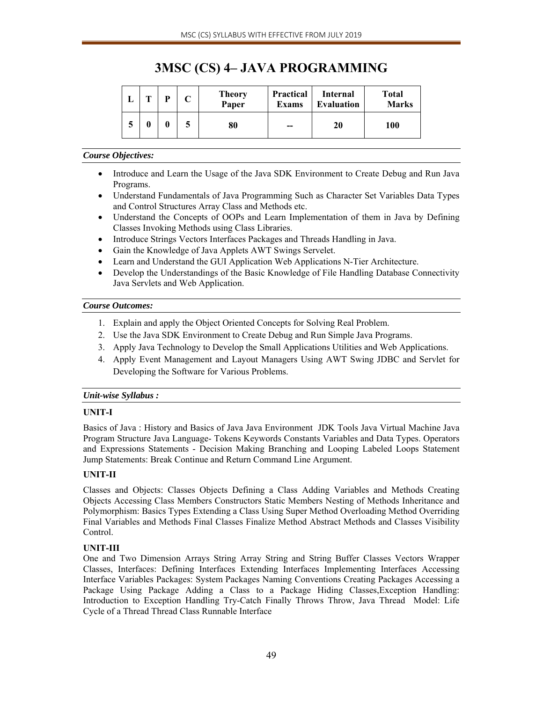# **3MSC (CS) 4– JAVA PROGRAMMING**

|     | m | D | <b>Theory</b><br>Paper | <b>Practical</b><br><b>Exams</b> | Internal<br><b>Evaluation</b> | <b>Total</b><br><b>Marks</b> |
|-----|---|---|------------------------|----------------------------------|-------------------------------|------------------------------|
| - 1 |   | 0 | 80                     | $- -$                            | 20                            | 100                          |

# *Course Objectives:*

- Introduce and Learn the Usage of the Java SDK Environment to Create Debug and Run Java Programs.
- Understand Fundamentals of Java Programming Such as Character Set Variables Data Types and Control Structures Array Class and Methods etc.
- Understand the Concepts of OOPs and Learn Implementation of them in Java by Defining Classes Invoking Methods using Class Libraries.
- Introduce Strings Vectors Interfaces Packages and Threads Handling in Java.
- Gain the Knowledge of Java Applets AWT Swings Servelet.
- Learn and Understand the GUI Application Web Applications N-Tier Architecture.
- Develop the Understandings of the Basic Knowledge of File Handling Database Connectivity Java Servlets and Web Application.

# *Course Outcomes:*

- 1. Explain and apply the Object Oriented Concepts for Solving Real Problem.
- 2. Use the Java SDK Environment to Create Debug and Run Simple Java Programs.
- 3. Apply Java Technology to Develop the Small Applications Utilities and Web Applications.
- 4. Apply Event Management and Layout Managers Using AWT Swing JDBC and Servlet for Developing the Software for Various Problems.

# *Unit-wise Syllabus :*

# **UNIT-I**

Basics of Java : History and Basics of Java Java Environment JDK Tools Java Virtual Machine Java Program Structure Java Language- Tokens Keywords Constants Variables and Data Types. Operators and Expressions Statements - Decision Making Branching and Looping Labeled Loops Statement Jump Statements: Break Continue and Return Command Line Argument.

# **UNIT-II**

Classes and Objects: Classes Objects Defining a Class Adding Variables and Methods Creating Objects Accessing Class Members Constructors Static Members Nesting of Methods Inheritance and Polymorphism: Basics Types Extending a Class Using Super Method Overloading Method Overriding Final Variables and Methods Final Classes Finalize Method Abstract Methods and Classes Visibility Control.

# **UNIT-III**

One and Two Dimension Arrays String Array String and String Buffer Classes Vectors Wrapper Classes, Interfaces: Defining Interfaces Extending Interfaces Implementing Interfaces Accessing Interface Variables Packages: System Packages Naming Conventions Creating Packages Accessing a Package Using Package Adding a Class to a Package Hiding Classes,Exception Handling: Introduction to Exception Handling Try-Catch Finally Throws Throw, Java Thread Model: Life Cycle of a Thread Thread Class Runnable Interface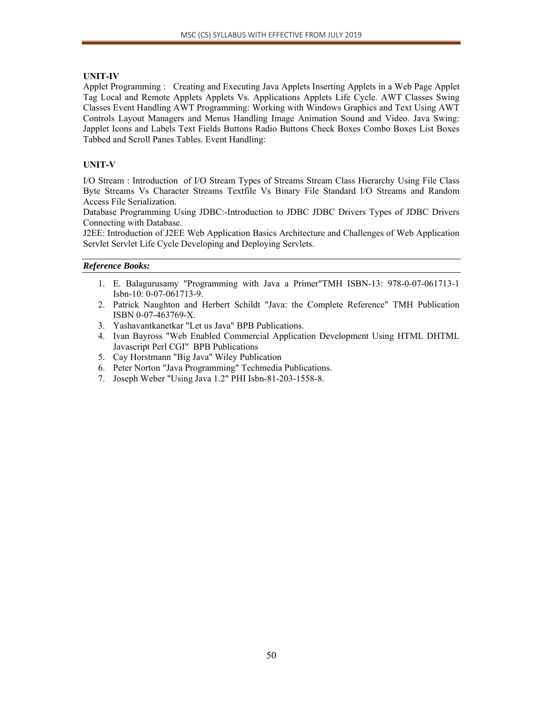# **UNIT-IV**

Applet Programming : Creating and Executing Java Applets Inserting Applets in a Web Page Applet Tag Local and Remote Applets Applets Vs. Applications Applets Life Cycle. AWT Classes Swing Classes Event Handling AWT Programming: Working with Windows Graphics and Text Using AWT Controls Layout Managers and Menus Handling Image Animation Sound and Video. Java Swing: Japplet Icons and Labels Text Fields Buttons Radio Buttons Check Boxes Combo Boxes List Boxes Tabbed and Scroll Panes Tables. Event Handling:

# **UNIT-V**

I/O Stream : Introduction of I/O Stream Types of Streams Stream Class Hierarchy Using File Class Byte Streams Vs Character Streams Textfile Vs Binary File Standard I/O Streams and Random Access File Serialization.

Database Programming Using JDBC:-Introduction to JDBC JDBC Drivers Types of JDBC Drivers Connecting with Database.

J2EE: Introduction of J2EE Web Application Basics Architecture and Challenges of Web Application Servlet Servlet Life Cycle Developing and Deploying Servlets.

- 1. E. Balagurusamy "Programming with Java a Primer"TMH ISBN-13: 978-0-07-061713-1 Isbn-10: 0-07-061713-9.
- 2. Patrick Naughton and Herbert Schildt "Java: the Complete Reference" TMH Publication ISBN 0-07-463769-X.
- 3. Yashavantkanetkar "Let us Java" BPB Publications.
- 4. Ivan Bayross "Web Enabled Commercial Application Development Using HTML DHTML Javascript Perl CGI" BPB Publications
- 5. Cay Horstmann "Big Java" Wiley Publication
- 6. Peter Norton "Java Programming" Techmedia Publications.
- 7. Joseph Weber "Using Java 1.2" PHI Isbn-81-203-1558-8.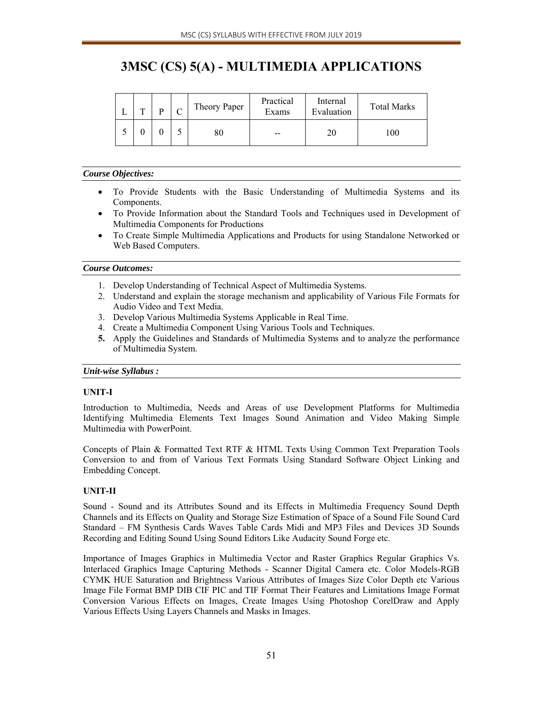# **3MSC (CS) 5(A) - MULTIMEDIA APPLICATIONS**

| $\mathbf{r}$ | D | Theory Paper | Practical<br>Exams | Internal<br>Evaluation | <b>Total Marks</b> |
|--------------|---|--------------|--------------------|------------------------|--------------------|
|              |   | 8U           | $- -$              |                        | 100                |

# *Course Objectives:*

- To Provide Students with the Basic Understanding of Multimedia Systems and its Components.
- To Provide Information about the Standard Tools and Techniques used in Development of Multimedia Components for Productions
- To Create Simple Multimedia Applications and Products for using Standalone Networked or Web Based Computers.

# *Course Outcomes:*

- 1. Develop Understanding of Technical Aspect of Multimedia Systems.
- 2. Understand and explain the storage mechanism and applicability of Various File Formats for Audio Video and Text Media.
- 3. Develop Various Multimedia Systems Applicable in Real Time.
- 4. Create a Multimedia Component Using Various Tools and Techniques.
- **5.** Apply the Guidelines and Standards of Multimedia Systems and to analyze the performance of Multimedia System.

# *Unit-wise Syllabus :*

# **UNIT-I**

Introduction to Multimedia, Needs and Areas of use Development Platforms for Multimedia Identifying Multimedia Elements Text Images Sound Animation and Video Making Simple Multimedia with PowerPoint.

Concepts of Plain & Formatted Text RTF & HTML Texts Using Common Text Preparation Tools Conversion to and from of Various Text Formats Using Standard Software Object Linking and Embedding Concept.

# **UNIT-II**

Sound - Sound and its Attributes Sound and its Effects in Multimedia Frequency Sound Depth Channels and its Effects on Quality and Storage Size Estimation of Space of a Sound File Sound Card Standard – FM Synthesis Cards Waves Table Cards Midi and MP3 Files and Devices 3D Sounds Recording and Editing Sound Using Sound Editors Like Audacity Sound Forge etc.

Importance of Images Graphics in Multimedia Vector and Raster Graphics Regular Graphics Vs. Interlaced Graphics Image Capturing Methods - Scanner Digital Camera etc. Color Models-RGB CYMK HUE Saturation and Brightness Various Attributes of Images Size Color Depth etc Various Image File Format BMP DIB CIF PIC and TIF Format Their Features and Limitations Image Format Conversion Various Effects on Images, Create Images Using Photoshop CorelDraw and Apply Various Effects Using Layers Channels and Masks in Images.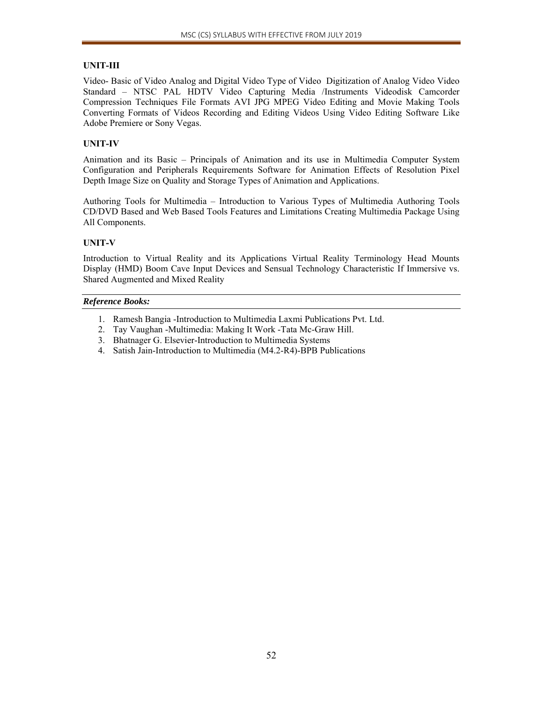# **UNIT-III**

Video- Basic of Video Analog and Digital Video Type of Video Digitization of Analog Video Video Standard – NTSC PAL HDTV Video Capturing Media /Instruments Videodisk Camcorder Compression Techniques File Formats AVI JPG MPEG Video Editing and Movie Making Tools Converting Formats of Videos Recording and Editing Videos Using Video Editing Software Like Adobe Premiere or Sony Vegas.

# **UNIT-IV**

Animation and its Basic – Principals of Animation and its use in Multimedia Computer System Configuration and Peripherals Requirements Software for Animation Effects of Resolution Pixel Depth Image Size on Quality and Storage Types of Animation and Applications.

Authoring Tools for Multimedia – Introduction to Various Types of Multimedia Authoring Tools CD/DVD Based and Web Based Tools Features and Limitations Creating Multimedia Package Using All Components.

# **UNIT-V**

Introduction to Virtual Reality and its Applications Virtual Reality Terminology Head Mounts Display (HMD) Boom Cave Input Devices and Sensual Technology Characteristic If Immersive vs. Shared Augmented and Mixed Reality

- 1. Ramesh Bangia -Introduction to Multimedia Laxmi Publications Pvt. Ltd.
- 2. Tay Vaughan -Multimedia: Making It Work -Tata Mc-Graw Hill.
- 3. Bhatnager G. Elsevier-Introduction to Multimedia Systems
- 4. Satish Jain-Introduction to Multimedia (M4.2-R4)-BPB Publications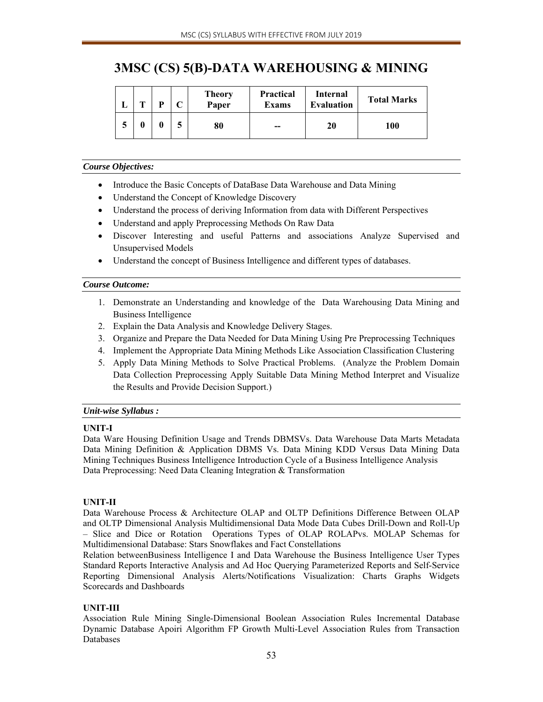# **3MSC (CS) 5(B)-DATA WAREHOUSING & MINING**

| m |   |   | <b>Theory</b><br>Paper | <b>Practical</b><br><b>Exams</b> | Internal<br><b>Evaluation</b> | <b>Total Marks</b> |
|---|---|---|------------------------|----------------------------------|-------------------------------|--------------------|
|   | 0 | - | 80                     | $- -$                            | 20                            | 100                |

### *Course Objectives:*

- Introduce the Basic Concepts of DataBase Data Warehouse and Data Mining
- Understand the Concept of Knowledge Discovery
- Understand the process of deriving Information from data with Different Perspectives
- Understand and apply Preprocessing Methods On Raw Data
- Discover Interesting and useful Patterns and associations Analyze Supervised and Unsupervised Models
- Understand the concept of Business Intelligence and different types of databases.

### *Course Outcome:*

- 1. Demonstrate an Understanding and knowledge of the Data Warehousing Data Mining and Business Intelligence
- 2. Explain the Data Analysis and Knowledge Delivery Stages.
- 3. Organize and Prepare the Data Needed for Data Mining Using Pre Preprocessing Techniques
- 4. Implement the Appropriate Data Mining Methods Like Association Classification Clustering
- 5. Apply Data Mining Methods to Solve Practical Problems. (Analyze the Problem Domain Data Collection Preprocessing Apply Suitable Data Mining Method Interpret and Visualize the Results and Provide Decision Support.)

# *Unit-wise Syllabus :*

# **UNIT-I**

Data Ware Housing Definition Usage and Trends DBMSVs. Data Warehouse Data Marts Metadata Data Mining Definition & Application DBMS Vs. Data Mining KDD Versus Data Mining Data Mining Techniques Business Intelligence Introduction Cycle of a Business Intelligence Analysis Data Preprocessing: Need Data Cleaning Integration & Transformation

# **UNIT-II**

Data Warehouse Process & Architecture OLAP and OLTP Definitions Difference Between OLAP and OLTP Dimensional Analysis Multidimensional Data Mode Data Cubes Drill-Down and Roll-Up – Slice and Dice or Rotation Operations Types of OLAP ROLAPvs. MOLAP Schemas for Multidimensional Database: Stars Snowflakes and Fact Constellations

Relation betweenBusiness Intelligence I and Data Warehouse the Business Intelligence User Types Standard Reports Interactive Analysis and Ad Hoc Querying Parameterized Reports and Self-Service Reporting Dimensional Analysis Alerts/Notifications Visualization: Charts Graphs Widgets Scorecards and Dashboards

# **UNIT-III**

Association Rule Mining Single-Dimensional Boolean Association Rules Incremental Database Dynamic Database Apoiri Algorithm FP Growth Multi-Level Association Rules from Transaction Databases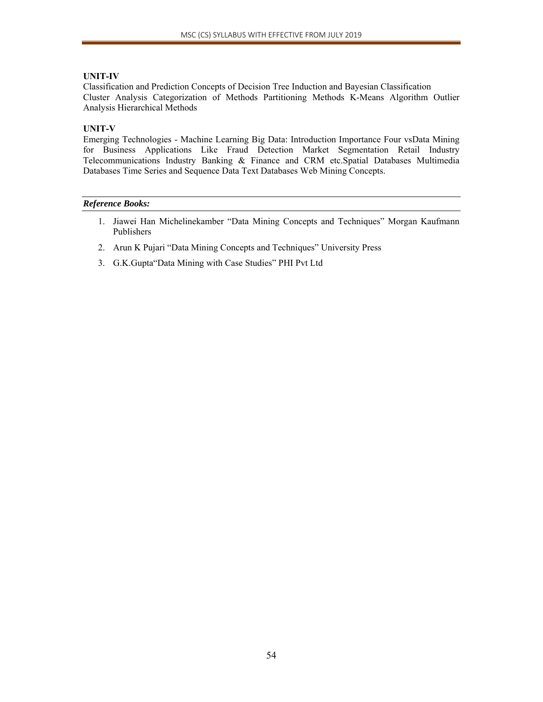# **UNIT-IV**

Classification and Prediction Concepts of Decision Tree Induction and Bayesian Classification Cluster Analysis Categorization of Methods Partitioning Methods K-Means Algorithm Outlier Analysis Hierarchical Methods

# **UNIT-V**

Emerging Technologies - Machine Learning Big Data: Introduction Importance Four vsData Mining for Business Applications Like Fraud Detection Market Segmentation Retail Industry Telecommunications Industry Banking & Finance and CRM etc.Spatial Databases Multimedia Databases Time Series and Sequence Data Text Databases Web Mining Concepts.

- 1. Jiawei Han Michelinekamber "Data Mining Concepts and Techniques" Morgan Kaufmann Publishers
- 2. Arun K Pujari "Data Mining Concepts and Techniques" University Press
- 3. G.K.Gupta"Data Mining with Case Studies" PHI Pvt Ltd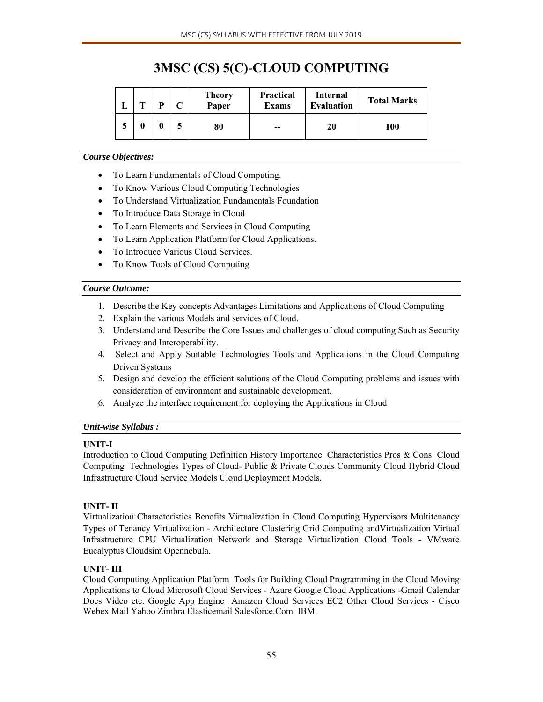# **3MSC (CS) 5(C)**-**CLOUD COMPUTING**

| . . | m | D | $\sqrt{ }$ | <b>Theory</b><br>Paper | <b>Practical</b><br><b>Exams</b> | Internal<br><b>Evaluation</b> | <b>Total Marks</b> |
|-----|---|---|------------|------------------------|----------------------------------|-------------------------------|--------------------|
|     |   |   | ┍          | 80                     | $- -$                            | 20                            | 100                |

# *Course Objectives:*

- To Learn Fundamentals of Cloud Computing.
- To Know Various Cloud Computing Technologies
- To Understand Virtualization Fundamentals Foundation
- To Introduce Data Storage in Cloud
- To Learn Elements and Services in Cloud Computing
- To Learn Application Platform for Cloud Applications.
- To Introduce Various Cloud Services.
- To Know Tools of Cloud Computing

# *Course Outcome:*

- 1. Describe the Key concepts Advantages Limitations and Applications of Cloud Computing
- 2. Explain the various Models and services of Cloud.
- 3. Understand and Describe the Core Issues and challenges of cloud computing Such as Security Privacy and Interoperability.
- 4. Select and Apply Suitable Technologies Tools and Applications in the Cloud Computing Driven Systems
- 5. Design and develop the efficient solutions of the Cloud Computing problems and issues with consideration of environment and sustainable development.
- 6. Analyze the interface requirement for deploying the Applications in Cloud

# *Unit-wise Syllabus :*

# **UNIT-I**

Introduction to Cloud Computing Definition History Importance Characteristics Pros & Cons Cloud Computing Technologies Types of Cloud- Public & Private Clouds Community Cloud Hybrid Cloud Infrastructure Cloud Service Models Cloud Deployment Models.

# **UNIT- II**

Virtualization Characteristics Benefits Virtualization in Cloud Computing Hypervisors Multitenancy Types of Tenancy Virtualization - Architecture Clustering Grid Computing andVirtualization Virtual Infrastructure CPU Virtualization Network and Storage Virtualization Cloud Tools - VMware Eucalyptus Cloudsim Opennebula.

# **UNIT- III**

Cloud Computing Application Platform Tools for Building Cloud Programming in the Cloud Moving Applications to Cloud Microsoft Cloud Services - Azure Google Cloud Applications -Gmail Calendar Docs Video etc. Google App Engine Amazon Cloud Services EC2 Other Cloud Services - Cisco Webex Mail Yahoo Zimbra Elasticemail Salesforce.Com. IBM.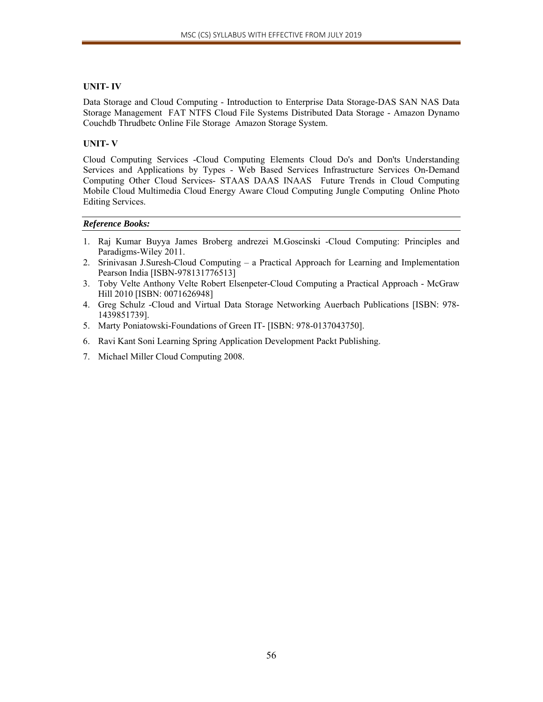# **UNIT- IV**

Data Storage and Cloud Computing - Introduction to Enterprise Data Storage-DAS SAN NAS Data Storage Management FAT NTFS Cloud File Systems Distributed Data Storage - Amazon Dynamo Couchdb Thrudbetc Online File Storage Amazon Storage System.

# **UNIT- V**

Cloud Computing Services -Cloud Computing Elements Cloud Do's and Don'ts Understanding Services and Applications by Types - Web Based Services Infrastructure Services On-Demand Computing Other Cloud Services- STAAS DAAS INAAS Future Trends in Cloud Computing Mobile Cloud Multimedia Cloud Energy Aware Cloud Computing Jungle Computing Online Photo Editing Services.

- 1. Raj Kumar Buyya James Broberg andrezei M.Goscinski -Cloud Computing: Principles and Paradigms-Wiley 2011.
- 2. Srinivasan J.Suresh-Cloud Computing a Practical Approach for Learning and Implementation Pearson India [ISBN-978131776513]
- 3. Toby Velte Anthony Velte Robert Elsenpeter-Cloud Computing a Practical Approach McGraw Hill 2010 [ISBN: 0071626948]
- 4. Greg Schulz -Cloud and Virtual Data Storage Networking Auerbach Publications [ISBN: 978- 1439851739].
- 5. Marty Poniatowski-Foundations of Green IT- [ISBN: 978-0137043750].
- 6. Ravi Kant Soni Learning Spring Application Development Packt Publishing.
- 7. Michael Miller Cloud Computing 2008.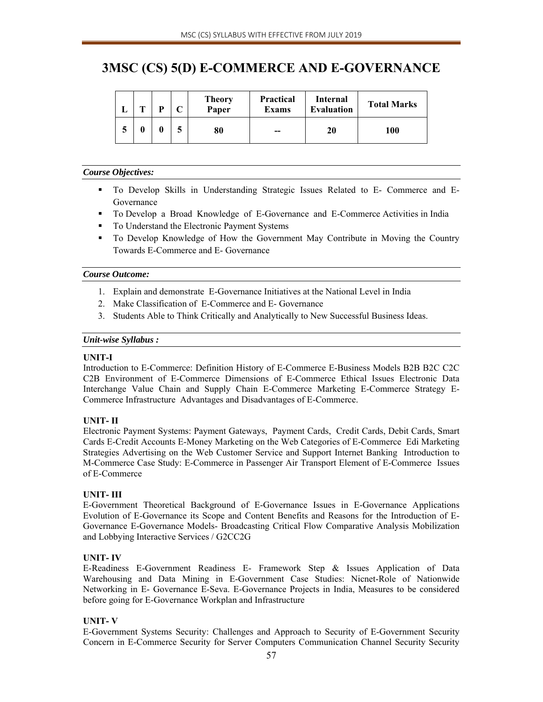# **3MSC (CS) 5(D) E-COMMERCE AND E-GOVERNANCE**

| m | D | <b>Theory</b><br>Paper | <b>Practical</b><br><b>Exams</b> | Internal<br><b>Evaluation</b> | <b>Total Marks</b> |
|---|---|------------------------|----------------------------------|-------------------------------|--------------------|
|   |   | 80                     | $- -$                            | 20                            | 100                |

# *Course Objectives:*

- To Develop Skills in Understanding Strategic Issues Related to E- Commerce and E-Governance
- To Develop a Broad Knowledge of E-Governance and E-Commerce Activities in India
- To Understand the Electronic Payment Systems
- To Develop Knowledge of How the Government May Contribute in Moving the Country Towards E-Commerce and E- Governance

# *Course Outcome:*

- 1. Explain and demonstrate E-Governance Initiatives at the National Level in India
- 2. Make Classification of E-Commerce and E- Governance
- 3. Students Able to Think Critically and Analytically to New Successful Business Ideas.

# *Unit-wise Syllabus :*

# **UNIT-I**

Introduction to E-Commerce: Definition History of E-Commerce E-Business Models B2B B2C C2C C2B Environment of E-Commerce Dimensions of E-Commerce Ethical Issues Electronic Data Interchange Value Chain and Supply Chain E-Commerce Marketing E-Commerce Strategy E-Commerce Infrastructure Advantages and Disadvantages of E-Commerce.

# **UNIT- II**

Electronic Payment Systems: Payment Gateways, Payment Cards, Credit Cards, Debit Cards, Smart Cards E-Credit Accounts E-Money Marketing on the Web Categories of E-Commerce Edi Marketing Strategies Advertising on the Web Customer Service and Support Internet Banking Introduction to M-Commerce Case Study: E-Commerce in Passenger Air Transport Element of E-Commerce Issues of E-Commerce

# **UNIT- III**

E-Government Theoretical Background of E-Governance Issues in E-Governance Applications Evolution of E-Governance its Scope and Content Benefits and Reasons for the Introduction of E-Governance E-Governance Models- Broadcasting Critical Flow Comparative Analysis Mobilization and Lobbying Interactive Services / G2CC2G

# **UNIT- IV**

E-Readiness E-Government Readiness E- Framework Step & Issues Application of Data Warehousing and Data Mining in E-Government Case Studies: Nicnet-Role of Nationwide Networking in E- Governance E-Seva. E-Governance Projects in India, Measures to be considered before going for E-Governance Workplan and Infrastructure

# **UNIT- V**

E-Government Systems Security: Challenges and Approach to Security of E-Government Security Concern in E-Commerce Security for Server Computers Communication Channel Security Security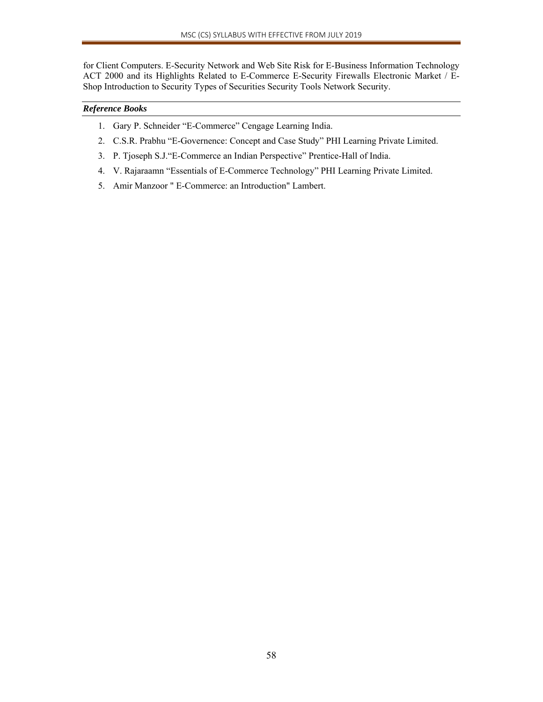for Client Computers. E-Security Network and Web Site Risk for E-Business Information Technology ACT 2000 and its Highlights Related to E-Commerce E-Security Firewalls Electronic Market / E-Shop Introduction to Security Types of Securities Security Tools Network Security.

- 1. Gary P. Schneider "E-Commerce" Cengage Learning India.
- 2. C.S.R. Prabhu "E-Governence: Concept and Case Study" PHI Learning Private Limited.
- 3. P. Tjoseph S.J."E-Commerce an Indian Perspective" Prentice-Hall of India.
- 4. V. Rajaraamn "Essentials of E-Commerce Technology" PHI Learning Private Limited.
- 5. Amir Manzoor " E-Commerce: an Introduction" Lambert.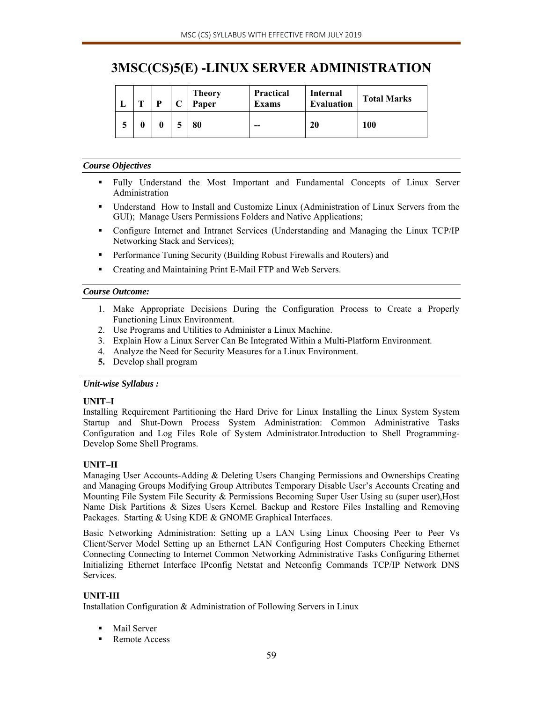# **3MSC(CS)5(E) -LINUX SERVER ADMINISTRATION**

|   | m | D | $\mathbf{C}$ | <b>Theory</b><br>Paper | <b>Practical</b><br><b>Exams</b> | Internal<br><b>Evaluation</b> | <b>Total Marks</b> |
|---|---|---|--------------|------------------------|----------------------------------|-------------------------------|--------------------|
| € |   |   |              | 80                     | $- -$                            | 20                            | 100                |

### *Course Objectives*

- Fully Understand the Most Important and Fundamental Concepts of Linux Server Administration
- Understand How to Install and Customize Linux (Administration of Linux Servers from the GUI); Manage Users Permissions Folders and Native Applications;
- Configure Internet and Intranet Services (Understanding and Managing the Linux TCP/IP Networking Stack and Services);
- **Performance Tuning Security (Building Robust Firewalls and Routers) and**
- Creating and Maintaining Print E-Mail FTP and Web Servers.

# *Course Outcome:*

- 1. Make Appropriate Decisions During the Configuration Process to Create a Properly Functioning Linux Environment.
- 2. Use Programs and Utilities to Administer a Linux Machine.
- 3. Explain How a Linux Server Can Be Integrated Within a Multi-Platform Environment.
- 4. Analyze the Need for Security Measures for a Linux Environment.
- **5.** Develop shall program

# *Unit-wise Syllabus :*

# **UNIT–I**

Installing Requirement Partitioning the Hard Drive for Linux Installing the Linux System System Startup and Shut-Down Process System Administration: Common Administrative Tasks Configuration and Log Files Role of System Administrator.Introduction to Shell Programming-Develop Some Shell Programs.

# **UNIT–II**

Managing User Accounts-Adding & Deleting Users Changing Permissions and Ownerships Creating and Managing Groups Modifying Group Attributes Temporary Disable User's Accounts Creating and Mounting File System File Security & Permissions Becoming Super User Using su (super user),Host Name Disk Partitions & Sizes Users Kernel. Backup and Restore Files Installing and Removing Packages. Starting & Using KDE & GNOME Graphical Interfaces.

Basic Networking Administration: Setting up a LAN Using Linux Choosing Peer to Peer Vs Client/Server Model Setting up an Ethernet LAN Configuring Host Computers Checking Ethernet Connecting Connecting to Internet Common Networking Administrative Tasks Configuring Ethernet Initializing Ethernet Interface IPconfig Netstat and Netconfig Commands TCP/IP Network DNS Services.

# **UNIT-III**

Installation Configuration & Administration of Following Servers in Linux

- Mail Server
- Remote Access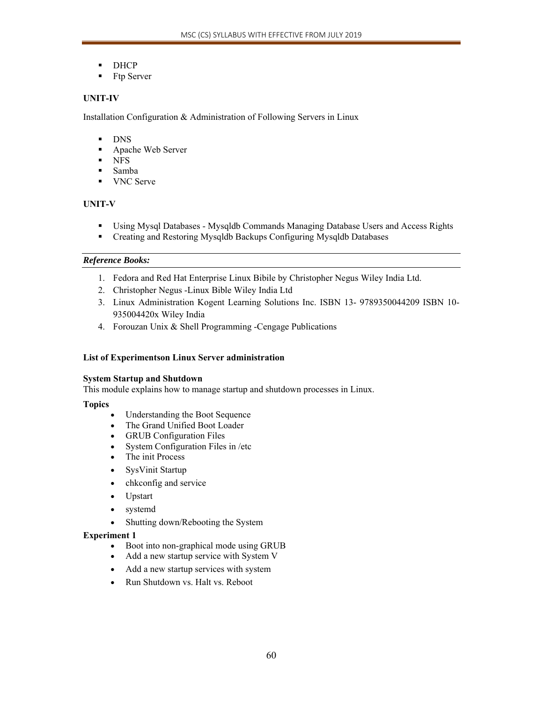- **DHCP**
- **Ftp Server**

# **UNIT-IV**

Installation Configuration & Administration of Following Servers in Linux

### **DNS**

- Apache Web Server
- **NFS**
- Samba
- **VNC** Serve

# **UNIT-V**

- Using Mysql Databases Mysqldb Commands Managing Database Users and Access Rights
- Creating and Restoring Mysqldb Backups Configuring Mysqldb Databases

# *Reference Books:*

- 1. Fedora and Red Hat Enterprise Linux Bibile by Christopher Negus Wiley India Ltd.
- 2. Christopher Negus -Linux Bible Wiley India Ltd
- 3. Linux Administration Kogent Learning Solutions Inc. ISBN 13- 9789350044209 ISBN 10- 935004420x Wiley India
- 4. Forouzan Unix & Shell Programming -Cengage Publications

# **List of Experimentson Linux Server administration**

# **System Startup and Shutdown**

This module explains how to manage startup and shutdown processes in Linux.

# **Topics**

- Understanding the Boot Sequence
- The Grand Unified Boot Loader
- GRUB Configuration Files
- System Configuration Files in /etc
- The init Process
- SysVinit Startup
- chkconfig and service
- Upstart
- systemd
- Shutting down/Rebooting the System

- Boot into non-graphical mode using GRUB
- Add a new startup service with System V
- Add a new startup services with system
- Run Shutdown vs. Halt vs. Reboot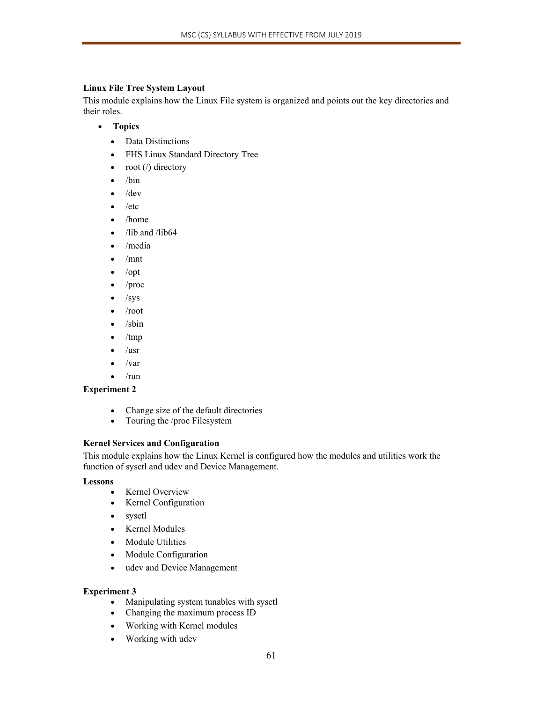# **Linux File Tree System Layout**

This module explains how the Linux File system is organized and points out the key directories and their roles.

- **Topics** 
	- Data Distinctions
	- FHS Linux Standard Directory Tree
	- $\bullet$  root (/) directory
	- $\bullet$  /bin
	- $\bullet$  /dev
	- $\bullet$  /etc
	- /home
	- $\bullet$  /lib and /lib64
	- /media
	- $\bullet$  /mnt
	- $\bullet$  /opt
	- $\bullet$  /proc
	- $\bullet$  /sys
	- /root
	- $\bullet$  /sbin
	- /tmp
	- $\bullet$  /usr
	- $\bullet$  /var
	- $\bullet$  /run

# **Experiment 2**

- Change size of the default directories
- Touring the /proc Filesystem

# **Kernel Services and Configuration**

This module explains how the Linux Kernel is configured how the modules and utilities work the function of sysctl and udev and Device Management.

# **Lessons**

- Kernel Overview
- Kernel Configuration
- sysctl
- Kernel Modules
- Module Utilities
- Module Configuration
- udev and Device Management

- Manipulating system tunables with sysctl
- Changing the maximum process ID
- Working with Kernel modules
- Working with udev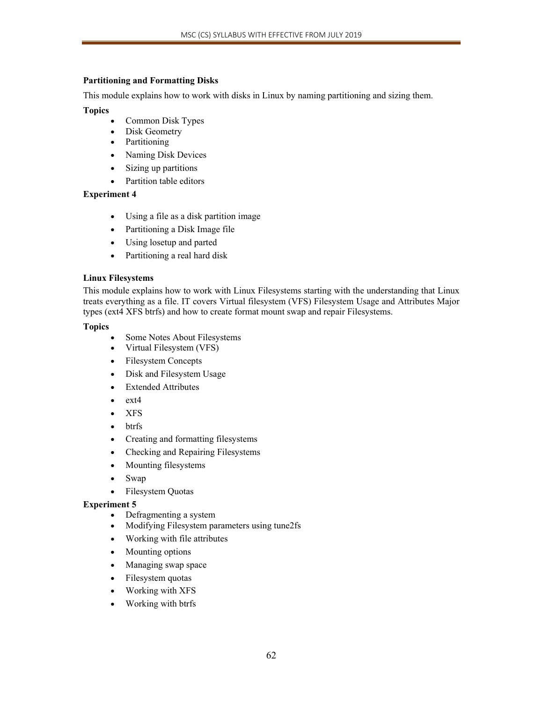# **Partitioning and Formatting Disks**

This module explains how to work with disks in Linux by naming partitioning and sizing them.

# **Topics**

- Common Disk Types
- Disk Geometry
- Partitioning
- Naming Disk Devices
- Sizing up partitions
- Partition table editors

# **Experiment 4**

- Using a file as a disk partition image
- Partitioning a Disk Image file
- Using losetup and parted
- Partitioning a real hard disk

# **Linux Filesystems**

This module explains how to work with Linux Filesystems starting with the understanding that Linux treats everything as a file. IT covers Virtual filesystem (VFS) Filesystem Usage and Attributes Major types (ext4 XFS btrfs) and how to create format mount swap and repair Filesystems.

# **Topics**

- Some Notes About Filesystems
- Virtual Filesystem (VFS)
- Filesystem Concepts
- Disk and Filesystem Usage
- Extended Attributes
- $\bullet$  ext4
- XFS
- btrfs
- Creating and formatting filesystems
- Checking and Repairing Filesystems
- Mounting filesystems
- Swap
- Filesystem Quotas

- Defragmenting a system
- Modifying Filesystem parameters using tune2fs
- Working with file attributes
- Mounting options
- Managing swap space
- Filesystem quotas
- Working with XFS
- Working with btrfs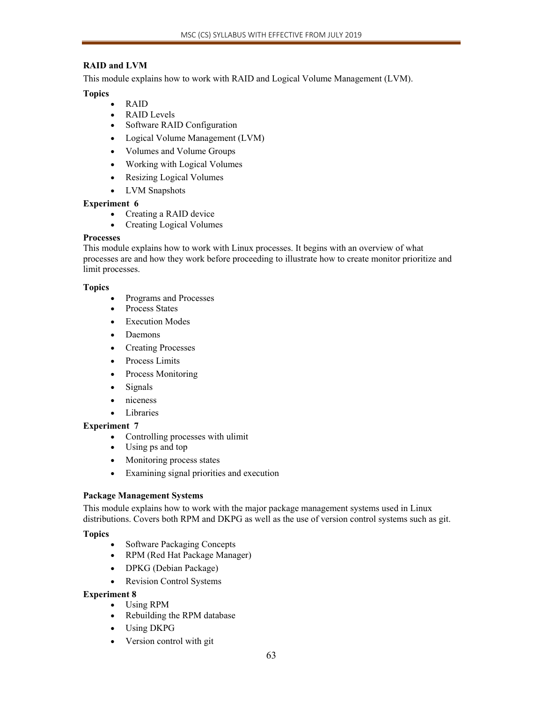# **RAID and LVM**

This module explains how to work with RAID and Logical Volume Management (LVM).

# **Topics**

- RAID
- RAID Levels
- Software RAID Configuration
- Logical Volume Management (LVM)
- Volumes and Volume Groups
- Working with Logical Volumes
- Resizing Logical Volumes
- LVM Snapshots

# **Experiment 6**

- Creating a RAID device
- Creating Logical Volumes

# **Processes**

This module explains how to work with Linux processes. It begins with an overview of what processes are and how they work before proceeding to illustrate how to create monitor prioritize and limit processes.

# **Topics**

- Programs and Processes
- Process States
- **Execution Modes**
- Daemons
- Creating Processes
- Process Limits
- Process Monitoring
- Signals
- niceness
- Libraries

# **Experiment 7**

- Controlling processes with ulimit
- Using ps and top
- Monitoring process states
- Examining signal priorities and execution

# **Package Management Systems**

This module explains how to work with the major package management systems used in Linux distributions. Covers both RPM and DKPG as well as the use of version control systems such as git.

# **Topics**

- Software Packaging Concepts
- RPM (Red Hat Package Manager)
- DPKG (Debian Package)
- Revision Control Systems

- Using RPM
- Rebuilding the RPM database
- Using DKPG
- Version control with git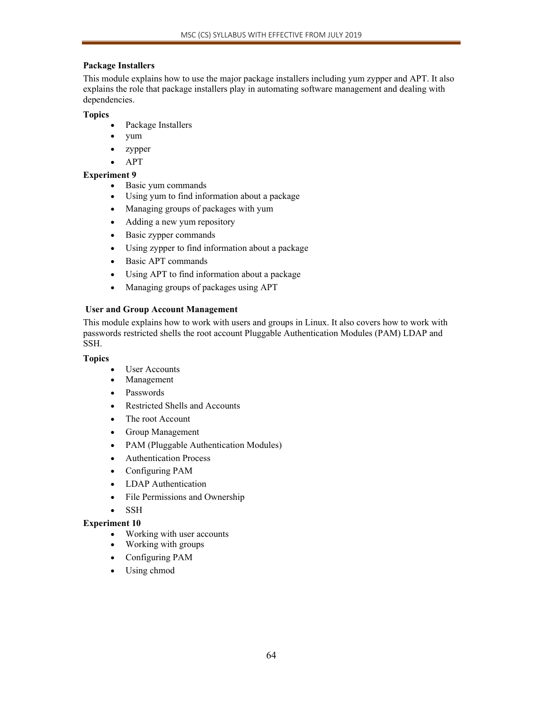# **Package Installers**

This module explains how to use the major package installers including yum zypper and APT. It also explains the role that package installers play in automating software management and dealing with dependencies.

**Topics** 

- Package Installers
- yum
- zypper
- $APT$

# **Experiment 9**

- Basic yum commands
- Using yum to find information about a package
- Managing groups of packages with yum
- Adding a new yum repository
- Basic zypper commands
- Using zypper to find information about a package
- Basic APT commands
- Using APT to find information about a package
- Managing groups of packages using APT

# **User and Group Account Management**

This module explains how to work with users and groups in Linux. It also covers how to work with passwords restricted shells the root account Pluggable Authentication Modules (PAM) LDAP and SSH.

# **Topics**

- User Accounts
- Management
- Passwords
- Restricted Shells and Accounts
- The root Account
- Group Management
- PAM (Pluggable Authentication Modules)
- Authentication Process
- Configuring PAM
- LDAP Authentication
- File Permissions and Ownership
- SSH

- Working with user accounts
- Working with groups
- Configuring PAM
- Using chmod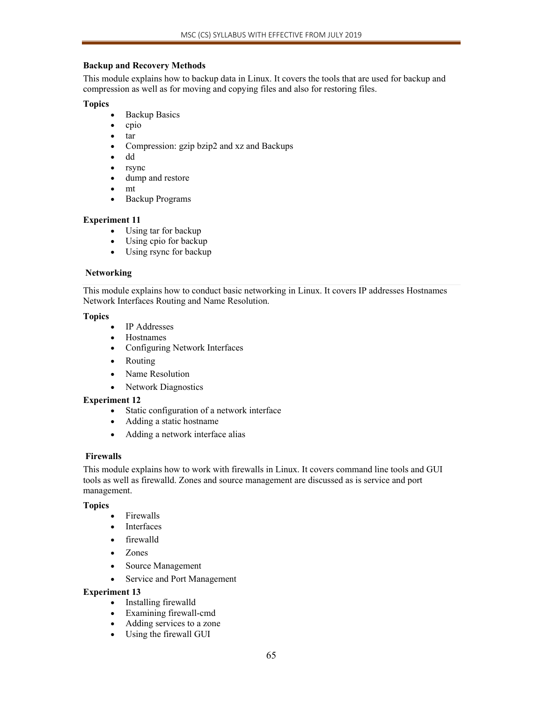# **Backup and Recovery Methods**

This module explains how to backup data in Linux. It covers the tools that are used for backup and compression as well as for moving and copying files and also for restoring files.

### **Topics**

- Backup Basics
- $\bullet$  cpio
- tar
- Compression: gzip bzip2 and xz and Backups
- dd
- rsync
- dump and restore
- mt
- Backup Programs

# **Experiment 11**

- Using tar for backup
- Using cpio for backup
- Using rsync for backup

# **Networking**

This module explains how to conduct basic networking in Linux. It covers IP addresses Hostnames Network Interfaces Routing and Name Resolution.

### **Topics**

- IP Addresses
- Hostnames
- Configuring Network Interfaces
- Routing
- Name Resolution
- Network Diagnostics

# **Experiment 12**

- Static configuration of a network interface
- Adding a static hostname
- Adding a network interface alias

# **Firewalls**

This module explains how to work with firewalls in Linux. It covers command line tools and GUI tools as well as firewalld. Zones and source management are discussed as is service and port management.

# **Topics**

- Firewalls
- Interfaces
- firewalld
- Zones
- Source Management
- Service and Port Management

- Installing firewalld
- Examining firewall-cmd
- Adding services to a zone
- Using the firewall GUI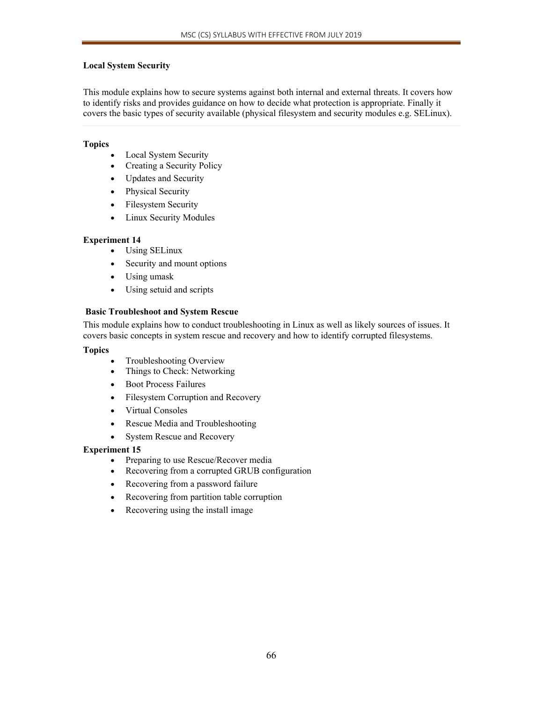# **Local System Security**

This module explains how to secure systems against both internal and external threats. It covers how to identify risks and provides guidance on how to decide what protection is appropriate. Finally it covers the basic types of security available (physical filesystem and security modules e.g. SELinux).

# **Topics**

- Local System Security
- Creating a Security Policy
- Updates and Security
- Physical Security
- Filesystem Security
- Linux Security Modules

# **Experiment 14**

- Using SELinux
- Security and mount options
- Using umask
- Using setuid and scripts

# **Basic Troubleshoot and System Rescue**

This module explains how to conduct troubleshooting in Linux as well as likely sources of issues. It covers basic concepts in system rescue and recovery and how to identify corrupted filesystems.

### **Topics**

- Troubleshooting Overview
- Things to Check: Networking
- Boot Process Failures
- Filesystem Corruption and Recovery
- Virtual Consoles
- Rescue Media and Troubleshooting
- System Rescue and Recovery

- Preparing to use Rescue/Recover media
- Recovering from a corrupted GRUB configuration
- Recovering from a password failure
- Recovering from partition table corruption
- Recovering using the install image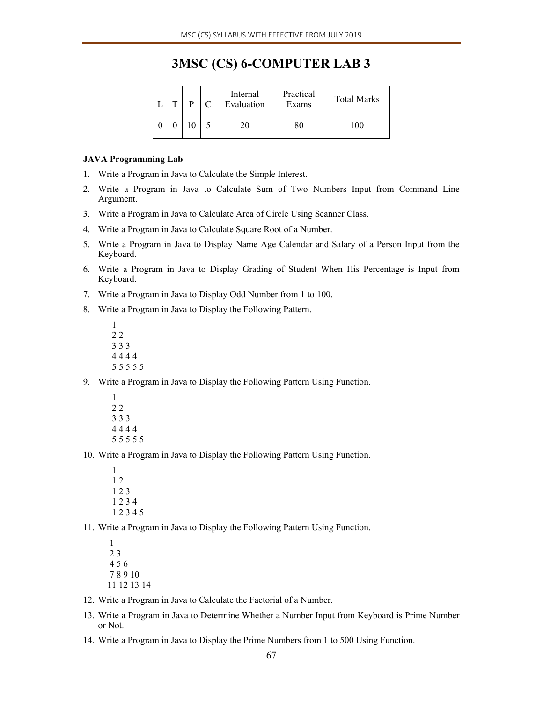# **3MSC (CS) 6-COMPUTER LAB 3**

|  | ᠇᠇ |  | Internal<br>Evaluation | Practical<br>Exams | <b>Total Marks</b> |
|--|----|--|------------------------|--------------------|--------------------|
|  |    |  |                        |                    | $\Omega$           |

#### **JAVA Programming Lab**

- 1. Write a Program in Java to Calculate the Simple Interest.
- 2. Write a Program in Java to Calculate Sum of Two Numbers Input from Command Line Argument.
- 3. Write a Program in Java to Calculate Area of Circle Using Scanner Class.
- 4. Write a Program in Java to Calculate Square Root of a Number.
- 5. Write a Program in Java to Display Name Age Calendar and Salary of a Person Input from the Keyboard.
- 6. Write a Program in Java to Display Grading of Student When His Percentage is Input from Keyboard.
- 7. Write a Program in Java to Display Odd Number from 1 to 100.

8. Write a Program in Java to Display the Following Pattern.

- 1 2 2 3 3 3 4 4 4 4 5 5 5 5 5
- 9. Write a Program in Java to Display the Following Pattern Using Function.
	- 1 2 2 3 3 3 4 4 4 4 5 5 5 5 5
- 10. Write a Program in Java to Display the Following Pattern Using Function.
	- 1 1 2 1 2 3 1 2 3 4 1 2 3 4 5

11. Write a Program in Java to Display the Following Pattern Using Function.

- 1 2 3 4 5 6 7 8 9 10 11 12 13 14
- 12. Write a Program in Java to Calculate the Factorial of a Number.
- 13. Write a Program in Java to Determine Whether a Number Input from Keyboard is Prime Number or Not.
- 14. Write a Program in Java to Display the Prime Numbers from 1 to 500 Using Function.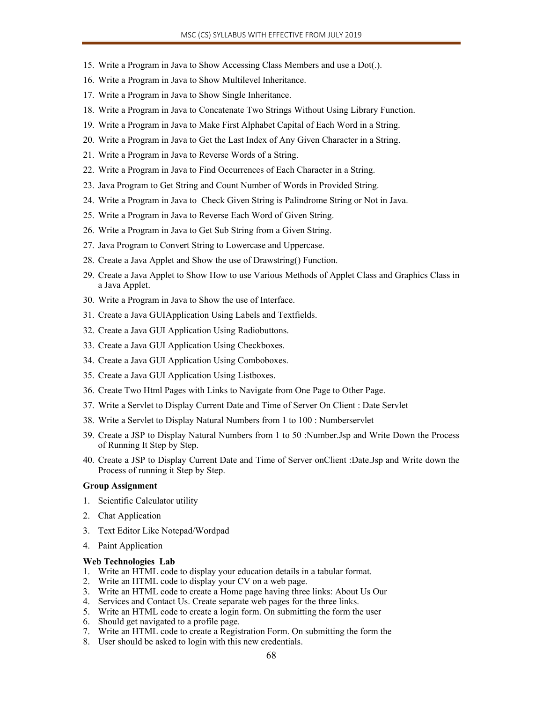- 15. Write a Program in Java to Show Accessing Class Members and use a Dot(.).
- 16. Write a Program in Java to Show Multilevel Inheritance.
- 17. Write a Program in Java to Show Single Inheritance.
- 18. Write a Program in Java to Concatenate Two Strings Without Using Library Function.
- 19. Write a Program in Java to Make First Alphabet Capital of Each Word in a String.
- 20. Write a Program in Java to Get the Last Index of Any Given Character in a String.
- 21. Write a Program in Java to Reverse Words of a String.
- 22. Write a Program in Java to Find Occurrences of Each Character in a String.
- 23. Java Program to Get String and Count Number of Words in Provided String.
- 24. Write a Program in Java to Check Given String is Palindrome String or Not in Java.
- 25. Write a Program in Java to Reverse Each Word of Given String.
- 26. Write a Program in Java to Get Sub String from a Given String.
- 27. Java Program to Convert String to Lowercase and Uppercase.
- 28. Create a Java Applet and Show the use of Drawstring() Function.
- 29. Create a Java Applet to Show How to use Various Methods of Applet Class and Graphics Class in a Java Applet.
- 30. Write a Program in Java to Show the use of Interface.
- 31. Create a Java GUIApplication Using Labels and Textfields.
- 32. Create a Java GUI Application Using Radiobuttons.
- 33. Create a Java GUI Application Using Checkboxes.
- 34. Create a Java GUI Application Using Comboboxes.
- 35. Create a Java GUI Application Using Listboxes.
- 36. Create Two Html Pages with Links to Navigate from One Page to Other Page.
- 37. Write a Servlet to Display Current Date and Time of Server On Client : Date Servlet
- 38. Write a Servlet to Display Natural Numbers from 1 to 100 : Numberservlet
- 39. Create a JSP to Display Natural Numbers from 1 to 50 :Number.Jsp and Write Down the Process of Running It Step by Step.
- 40. Create a JSP to Display Current Date and Time of Server onClient :Date.Jsp and Write down the Process of running it Step by Step.

#### **Group Assignment**

- 1. Scientific Calculator utility
- 2. Chat Application
- 3. Text Editor Like Notepad/Wordpad
- 4. Paint Application

#### **Web Technologies Lab**

- 1. Write an HTML code to display your education details in a tabular format.
- 2. Write an HTML code to display your CV on a web page.
- 3. Write an HTML code to create a Home page having three links: About Us Our
- 4. Services and Contact Us. Create separate web pages for the three links.
- 5. Write an HTML code to create a login form. On submitting the form the user
- 6. Should get navigated to a profile page.
- 7. Write an HTML code to create a Registration Form. On submitting the form the
- 8. User should be asked to login with this new credentials.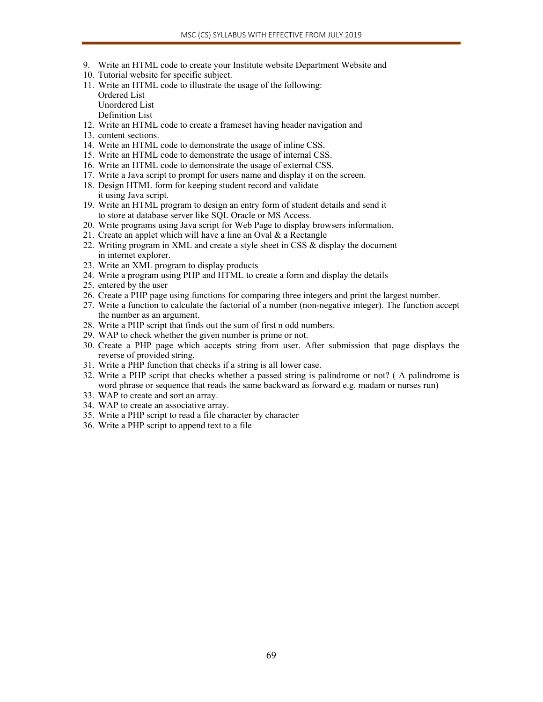- 9. Write an HTML code to create your Institute website Department Website and
- 10. Tutorial website for specific subject.
- 11. Write an HTML code to illustrate the usage of the following: Ordered List Unordered List Definition List
- 12. Write an HTML code to create a frameset having header navigation and
- 13. content sections.
- 14. Write an HTML code to demonstrate the usage of inline CSS.
- 15. Write an HTML code to demonstrate the usage of internal CSS.
- 16. Write an HTML code to demonstrate the usage of external CSS.
- 17. Write a Java script to prompt for users name and display it on the screen.
- 18. Design HTML form for keeping student record and validate it using Java script.
- 19. Write an HTML program to design an entry form of student details and send it to store at database server like SQL Oracle or MS Access.
- 20. Write programs using Java script for Web Page to display browsers information.
- 21. Create an applet which will have a line an Oval & a Rectangle
- 22. Writing program in XML and create a style sheet in CSS & display the document in internet explorer.
- 23. Write an XML program to display products
- 24. Write a program using PHP and HTML to create a form and display the details
- 25. entered by the user
- 26. Create a PHP page using functions for comparing three integers and print the largest number.
- 27. Write a function to calculate the factorial of a number (non-negative integer). The function accept the number as an argument.
- 28. Write a PHP script that finds out the sum of first n odd numbers.
- 29. WAP to check whether the given number is prime or not.
- 30. Create a PHP page which accepts string from user. After submission that page displays the reverse of provided string.
- 31. Write a PHP function that checks if a string is all lower case.
- 32. Write a PHP script that checks whether a passed string is palindrome or not? ( A palindrome is word phrase or sequence that reads the same backward as forward e.g. madam or nurses run)
- 33. WAP to create and sort an array.
- 34. WAP to create an associative array.
- 35. Write a PHP script to read a file character by character
- 36. Write a PHP script to append text to a file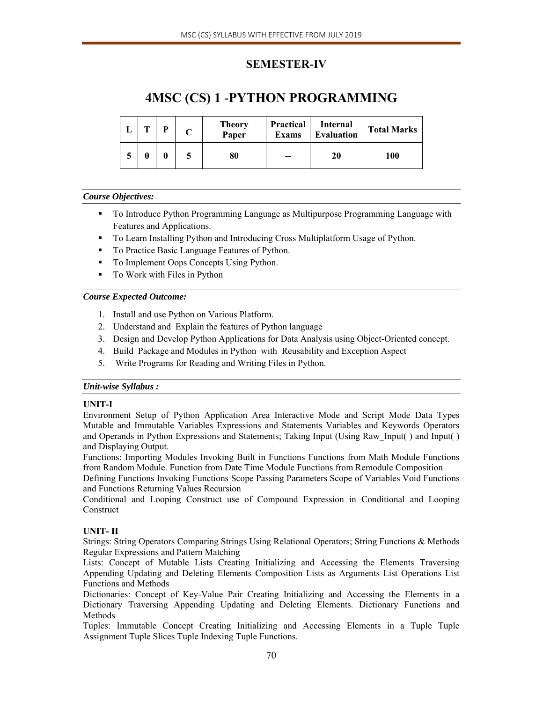# **SEMESTER-IV**

# **4MSC (CS) 1** -**PYTHON PROGRAMMING**

| m | D | <b>Theory</b><br>Paper | <b>Practical</b><br><b>Exams</b> | Internal<br><b>Evaluation</b> | <b>Total Marks</b> |
|---|---|------------------------|----------------------------------|-------------------------------|--------------------|
|   |   | 80                     | $- -$                            | 20                            | 100                |

# *Course Objectives:*

- To Introduce Python Programming Language as Multipurpose Programming Language with Features and Applications.
- To Learn Installing Python and Introducing Cross Multiplatform Usage of Python.
- To Practice Basic Language Features of Python.
- To Implement Oops Concepts Using Python.
- To Work with Files in Python

# *Course Expected Outcome:*

- 1. Install and use Python on Various Platform.
- 2. Understand and Explain the features of Python language
- 3. Design and Develop Python Applications for Data Analysis using Object‐Oriented concept.
- 4. Build Package and Modules in Python with Reusability and Exception Aspect
- 5. Write Programs for Reading and Writing Files in Python.

# *Unit-wise Syllabus :*

# **UNIT-I**

Environment Setup of Python Application Area Interactive Mode and Script Mode Data Types Mutable and Immutable Variables Expressions and Statements Variables and Keywords Operators and Operands in Python Expressions and Statements; Taking Input (Using Raw\_Input( ) and Input( ) and Displaying Output.

Functions: Importing Modules Invoking Built in Functions Functions from Math Module Functions from Random Module. Function from Date Time Module Functions from Remodule Composition

Defining Functions Invoking Functions Scope Passing Parameters Scope of Variables Void Functions and Functions Returning Values Recursion

Conditional and Looping Construct use of Compound Expression in Conditional and Looping Construct

# **UNIT- II**

Strings: String Operators Comparing Strings Using Relational Operators; String Functions & Methods Regular Expressions and Pattern Matching

Lists: Concept of Mutable Lists Creating Initializing and Accessing the Elements Traversing Appending Updating and Deleting Elements Composition Lists as Arguments List Operations List Functions and Methods

Dictionaries: Concept of Key-Value Pair Creating Initializing and Accessing the Elements in a Dictionary Traversing Appending Updating and Deleting Elements. Dictionary Functions and Methods

Tuples: Immutable Concept Creating Initializing and Accessing Elements in a Tuple Tuple Assignment Tuple Slices Tuple Indexing Tuple Functions.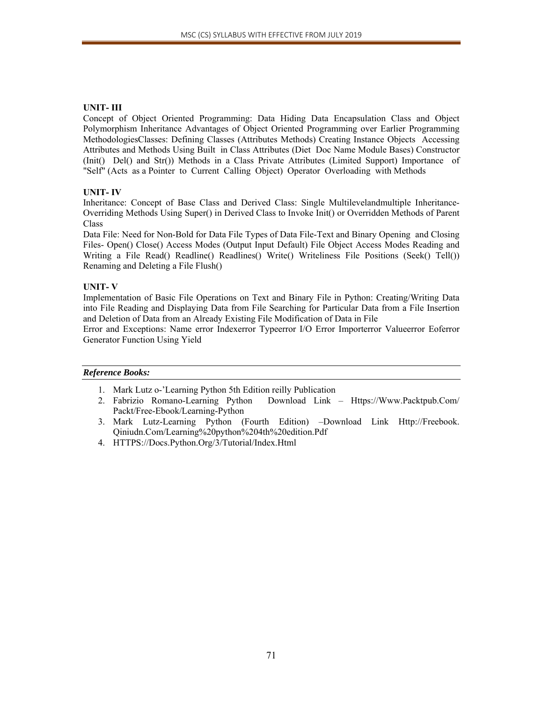# **UNIT- III**

Concept of Object Oriented Programming: Data Hiding Data Encapsulation Class and Object Polymorphism Inheritance Advantages of Object Oriented Programming over Earlier Programming MethodologiesClasses: Defining Classes (Attributes Methods) Creating Instance Objects Accessing Attributes and Methods Using Built in Class Attributes (Diet Doc Name Module Bases) Constructor (Init() Del() and Str()) Methods in a Class Private Attributes (Limited Support) Importance of "Self" (Acts as a Pointer to Current Calling Object) Operator Overloading with Methods

# **UNIT- IV**

Inheritance: Concept of Base Class and Derived Class: Single Multilevelandmultiple Inheritance-Overriding Methods Using Super() in Derived Class to Invoke Init() or Overridden Methods of Parent Class

Data File: Need for Non-Bold for Data File Types of Data File-Text and Binary Opening and Closing Files- Open() Close() Access Modes (Output Input Default) File Object Access Modes Reading and Writing a File Read() Readline() Readlines() Write() Writeliness File Positions (Seek() Tell()) Renaming and Deleting a File Flush()

# **UNIT- V**

Implementation of Basic File Operations on Text and Binary File in Python: Creating/Writing Data into File Reading and Displaying Data from File Searching for Particular Data from a File Insertion and Deletion of Data from an Already Existing File Modification of Data in File

Error and Exceptions: Name error Indexerror Typeerror I/O Error Importerror Valueerror Eoferror Generator Function Using Yield

- 1. Mark Lutz o-'Learning Python 5th Edition reilly Publication
- 2. Fabrizio Romano-Learning Python Download Link Https://Www.Packtpub.Com/ Packt/Free-Ebook/Learning-Python
- 3. Mark Lutz-Learning Python (Fourth Edition) –Download Link Http://Freebook. Qiniudn.Com/Learning%20python%204th%20edition.Pdf
- 4. HTTPS://Docs.Python.Org/3/Tutorial/Index.Html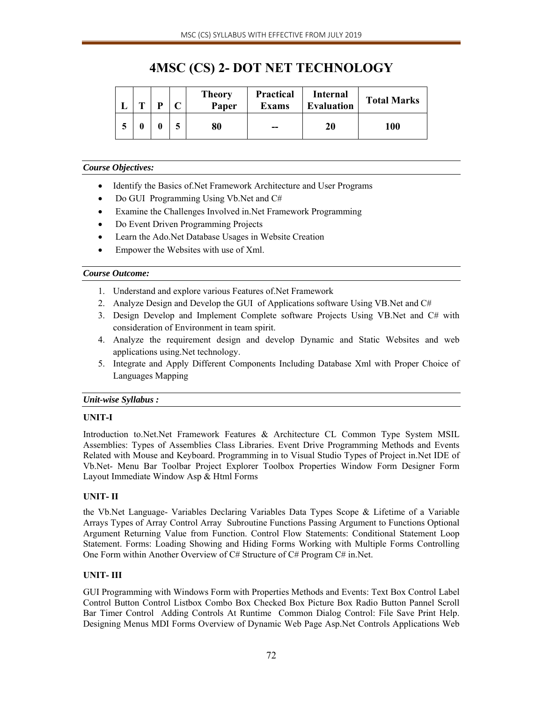# **4MSC (CS) 2- DOT NET TECHNOLOGY**

| $\mathbf{r}$ | D | <b>Theory</b><br>Paper | <b>Practical</b><br><b>Exams</b> | <b>Internal</b><br><b>Evaluation</b> | <b>Total Marks</b> |
|--------------|---|------------------------|----------------------------------|--------------------------------------|--------------------|
|              |   | 80                     | --                               | 20                                   | 100                |

# *Course Objectives:*

- Identify the Basics of. Net Framework Architecture and User Programs
- Do GUI Programming Using Vb.Net and C#
- Examine the Challenges Involved in.Net Framework Programming
- Do Event Driven Programming Projects
- Learn the Ado.Net Database Usages in Website Creation
- Empower the Websites with use of Xml.

# *Course Outcome:*

- 1. Understand and explore various Features of.Net Framework
- 2. Analyze Design and Develop the GUI of Applications software Using VB.Net and C#
- 3. Design Develop and Implement Complete software Projects Using VB.Net and C# with consideration of Environment in team spirit.
- 4. Analyze the requirement design and develop Dynamic and Static Websites and web applications using.Net technology.
- 5. Integrate and Apply Different Components Including Database Xml with Proper Choice of Languages Mapping

# *Unit-wise Syllabus :*

# **UNIT-I**

Introduction to.Net.Net Framework Features & Architecture CL Common Type System MSIL Assemblies: Types of Assemblies Class Libraries. Event Drive Programming Methods and Events Related with Mouse and Keyboard. Programming in to Visual Studio Types of Project in.Net IDE of Vb.Net- Menu Bar Toolbar Project Explorer Toolbox Properties Window Form Designer Form Layout Immediate Window Asp & Html Forms

# **UNIT- II**

the Vb.Net Language- Variables Declaring Variables Data Types Scope & Lifetime of a Variable Arrays Types of Array Control Array Subroutine Functions Passing Argument to Functions Optional Argument Returning Value from Function. Control Flow Statements: Conditional Statement Loop Statement. Forms: Loading Showing and Hiding Forms Working with Multiple Forms Controlling One Form within Another Overview of C# Structure of C# Program C# in.Net.

# **UNIT- III**

GUI Programming with Windows Form with Properties Methods and Events: Text Box Control Label Control Button Control Listbox Combo Box Checked Box Picture Box Radio Button Pannel Scroll Bar Timer Control Adding Controls At Runtime Common Dialog Control: File Save Print Help. Designing Menus MDI Forms Overview of Dynamic Web Page Asp.Net Controls Applications Web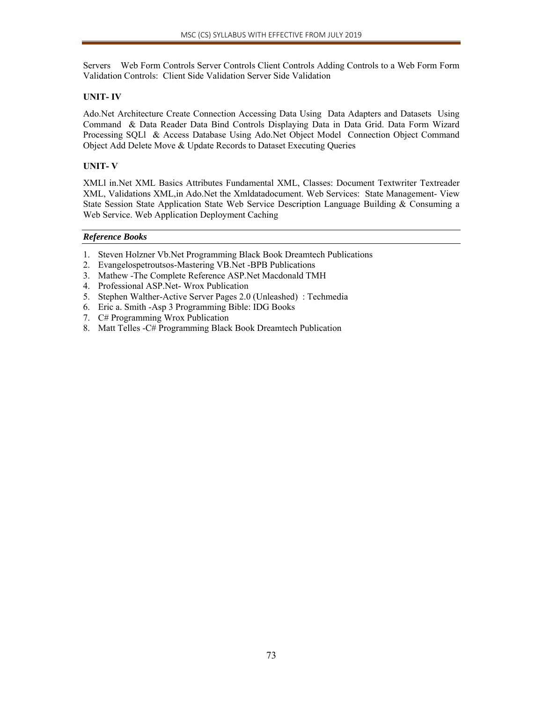Servers Web Form Controls Server Controls Client Controls Adding Controls to a Web Form Form Validation Controls: Client Side Validation Server Side Validation

#### **UNIT- IV**

Ado.Net Architecture Create Connection Accessing Data Using Data Adapters and Datasets Using Command & Data Reader Data Bind Controls Displaying Data in Data Grid. Data Form Wizard Processing SQLl & Access Database Using Ado.Net Object Model Connection Object Command Object Add Delete Move & Update Records to Dataset Executing Queries

## **UNIT- V**

XMLl in.Net XML Basics Attributes Fundamental XML, Classes: Document Textwriter Textreader XML, Validations XML,in Ado.Net the Xmldatadocument. Web Services: State Management- View State Session State Application State Web Service Description Language Building & Consuming a Web Service. Web Application Deployment Caching

#### *Reference Books*

- 1. Steven Holzner Vb.Net Programming Black Book Dreamtech Publications
- 2. Evangelospetroutsos-Mastering VB.Net -BPB Publications
- 3. Mathew -The Complete Reference ASP.Net Macdonald TMH
- 4. Professional ASP.Net- Wrox Publication
- 5. Stephen Walther-Active Server Pages 2.0 (Unleashed) : Techmedia
- 6. Eric a. Smith -Asp 3 Programming Bible: IDG Books
- 7. C# Programming Wrox Publication
- 8. Matt Telles -C# Programming Black Book Dreamtech Publication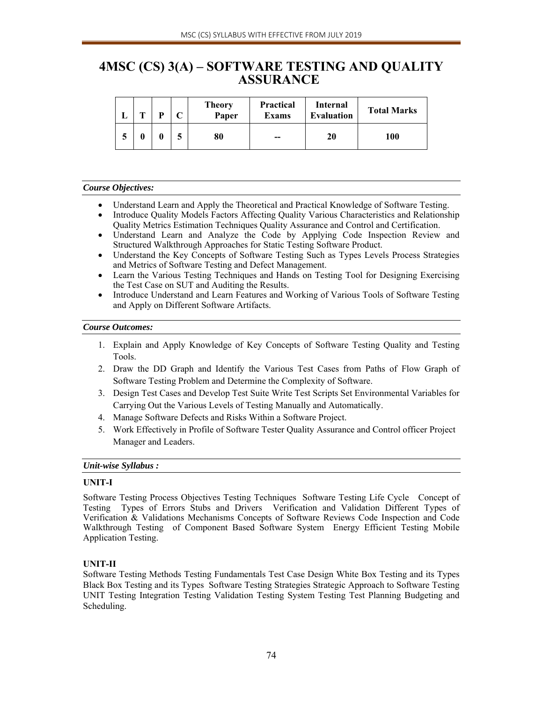# **4MSC (CS) 3(A) – SOFTWARE TESTING AND QUALITY ASSURANCE**

|   | m | D | <b>Theory</b><br>Paper | <b>Practical</b><br><b>Exams</b> | Internal<br><b>Evaluation</b> | <b>Total Marks</b> |  |
|---|---|---|------------------------|----------------------------------|-------------------------------|--------------------|--|
| ⊃ |   |   | 80                     | --                               | 20                            | 100                |  |

#### *Course Objectives:*

- Understand Learn and Apply the Theoretical and Practical Knowledge of Software Testing.
- Introduce Quality Models Factors Affecting Quality Various Characteristics and Relationship Quality Metrics Estimation Techniques Quality Assurance and Control and Certification.
- Understand Learn and Analyze the Code by Applying Code Inspection Review and Structured Walkthrough Approaches for Static Testing Software Product.
- Understand the Key Concepts of Software Testing Such as Types Levels Process Strategies and Metrics of Software Testing and Defect Management.
- Learn the Various Testing Techniques and Hands on Testing Tool for Designing Exercising the Test Case on SUT and Auditing the Results.
- Introduce Understand and Learn Features and Working of Various Tools of Software Testing and Apply on Different Software Artifacts.

#### *Course Outcomes:*

- 1. Explain and Apply Knowledge of Key Concepts of Software Testing Quality and Testing Tools.
- 2. Draw the DD Graph and Identify the Various Test Cases from Paths of Flow Graph of Software Testing Problem and Determine the Complexity of Software.
- 3. Design Test Cases and Develop Test Suite Write Test Scripts Set Environmental Variables for Carrying Out the Various Levels of Testing Manually and Automatically.
- 4. Manage Software Defects and Risks Within a Software Project.
- 5. Work Effectively in Profile of Software Tester Quality Assurance and Control officer Project Manager and Leaders.

#### *Unit-wise Syllabus :*

## **UNIT-I**

Software Testing Process Objectives Testing Techniques Software Testing Life Cycle Concept of Testing Types of Errors Stubs and Drivers Verification and Validation Different Types of Verification & Validations Mechanisms Concepts of Software Reviews Code Inspection and Code Walkthrough Testing of Component Based Software System Energy Efficient Testing Mobile Application Testing.

## **UNIT-II**

Software Testing Methods Testing Fundamentals Test Case Design White Box Testing and its Types Black Box Testing and its Types Software Testing Strategies Strategic Approach to Software Testing UNIT Testing Integration Testing Validation Testing System Testing Test Planning Budgeting and Scheduling.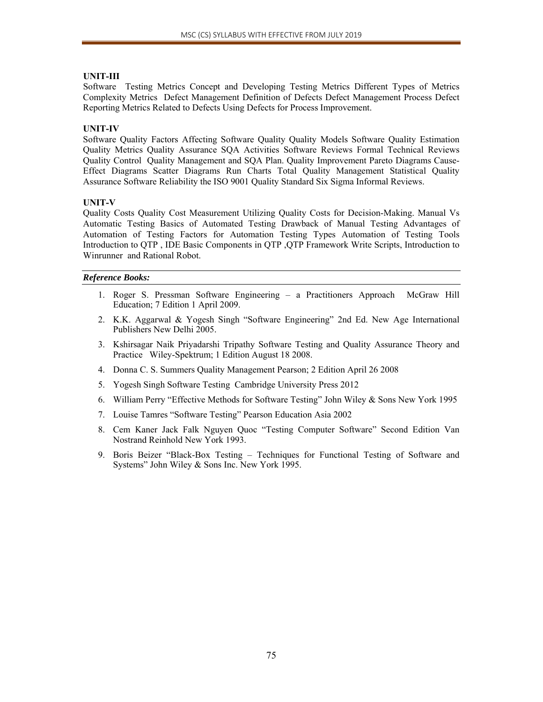## **UNIT-III**

Software Testing Metrics Concept and Developing Testing Metrics Different Types of Metrics Complexity Metrics Defect Management Definition of Defects Defect Management Process Defect Reporting Metrics Related to Defects Using Defects for Process Improvement.

#### **UNIT-IV**

Software Quality Factors Affecting Software Quality Quality Models Software Quality Estimation Quality Metrics Quality Assurance SQA Activities Software Reviews Formal Technical Reviews Quality Control Quality Management and SQA Plan. Quality Improvement Pareto Diagrams Cause-Effect Diagrams Scatter Diagrams Run Charts Total Quality Management Statistical Quality Assurance Software Reliability the ISO 9001 Quality Standard Six Sigma Informal Reviews.

#### **UNIT-V**

Quality Costs Quality Cost Measurement Utilizing Quality Costs for Decision-Making. Manual Vs Automatic Testing Basics of Automated Testing Drawback of Manual Testing Advantages of Automation of Testing Factors for Automation Testing Types Automation of Testing Tools Introduction to QTP , IDE Basic Components in QTP ,QTP Framework Write Scripts, Introduction to Winrunner and Rational Robot.

#### *Reference Books:*

- 1. Roger S. Pressman Software Engineering a Practitioners Approach McGraw Hill Education; 7 Edition 1 April 2009.
- 2. K.K. Aggarwal & Yogesh Singh "Software Engineering" 2nd Ed. New Age International Publishers New Delhi 2005.
- 3. Kshirsagar Naik Priyadarshi Tripathy Software Testing and Quality Assurance Theory and Practice Wiley-Spektrum; 1 Edition August 18 2008.
- 4. Donna C. S. Summers Quality Management Pearson; 2 Edition April 26 2008
- 5. Yogesh Singh Software Testing Cambridge University Press 2012
- 6. William Perry "Effective Methods for Software Testing" John Wiley & Sons New York 1995
- 7. Louise Tamres "Software Testing" Pearson Education Asia 2002
- 8. Cem Kaner Jack Falk Nguyen Quoc "Testing Computer Software" Second Edition Van Nostrand Reinhold New York 1993.
- 9. Boris Beizer "Black-Box Testing Techniques for Functional Testing of Software and Systems" John Wiley & Sons Inc. New York 1995.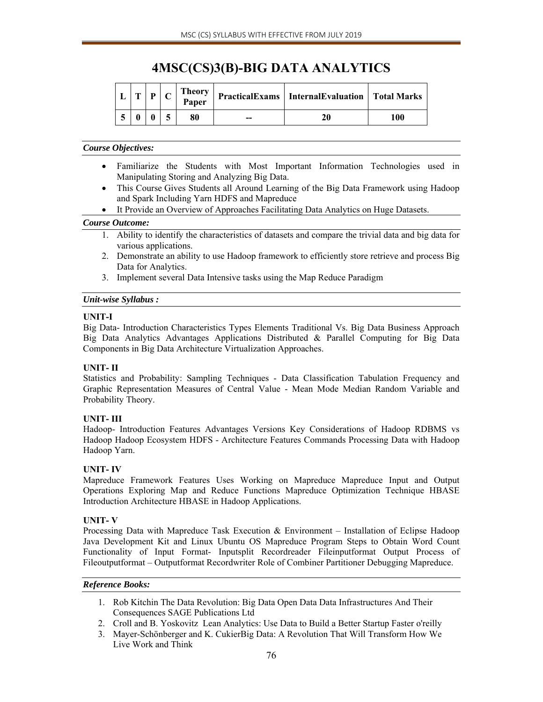# **4MSC(CS)3(B)-BIG DATA ANALYTICS**

| <b>CONT</b> | D | <b>Theory</b><br>Paper |    | <b>PracticalExams</b>   InternalEvaluation   Total Marks |     |
|-------------|---|------------------------|----|----------------------------------------------------------|-----|
|             |   | 80                     | -- | 20                                                       | 100 |

## *Course Objectives:*

- Familiarize the Students with Most Important Information Technologies used in Manipulating Storing and Analyzing Big Data.
- This Course Gives Students all Around Learning of the Big Data Framework using Hadoop and Spark Including Yarn HDFS and Mapreduce
- It Provide an Overview of Approaches Facilitating Data Analytics on Huge Datasets.

## *Course Outcome:*

- 1. Ability to identify the characteristics of datasets and compare the trivial data and big data for various applications.
- 2. Demonstrate an ability to use Hadoop framework to efficiently store retrieve and process Big Data for Analytics.
- 3. Implement several Data Intensive tasks using the Map Reduce Paradigm

## *Unit-wise Syllabus :*

## **UNIT-I**

Big Data- Introduction Characteristics Types Elements Traditional Vs. Big Data Business Approach Big Data Analytics Advantages Applications Distributed & Parallel Computing for Big Data Components in Big Data Architecture Virtualization Approaches.

# **UNIT- II**

Statistics and Probability: Sampling Techniques - Data Classification Tabulation Frequency and Graphic Representation Measures of Central Value - Mean Mode Median Random Variable and Probability Theory.

# **UNIT- III**

Hadoop- Introduction Features Advantages Versions Key Considerations of Hadoop RDBMS vs Hadoop Hadoop Ecosystem HDFS - Architecture Features Commands Processing Data with Hadoop Hadoop Yarn.

# **UNIT- IV**

Mapreduce Framework Features Uses Working on Mapreduce Mapreduce Input and Output Operations Exploring Map and Reduce Functions Mapreduce Optimization Technique HBASE Introduction Architecture HBASE in Hadoop Applications.

## **UNIT- V**

Processing Data with Mapreduce Task Execution & Environment – Installation of Eclipse Hadoop Java Development Kit and Linux Ubuntu OS Mapreduce Program Steps to Obtain Word Count Functionality of Input Format- Inputsplit Recordreader Fileinputformat Output Process of Fileoutputformat – Outputformat Recordwriter Role of Combiner Partitioner Debugging Mapreduce.

## *Reference Books:*

- 1. Rob Kitchin The Data Revolution: Big Data Open Data Data Infrastructures And Their Consequences SAGE Publications Ltd
- 2. Croll and B. Yoskovitz Lean Analytics: Use Data to Build a Better Startup Faster o'reilly
- 3. Mayer-Schönberger and K. CukierBig Data: A Revolution That Will Transform How We Live Work and Think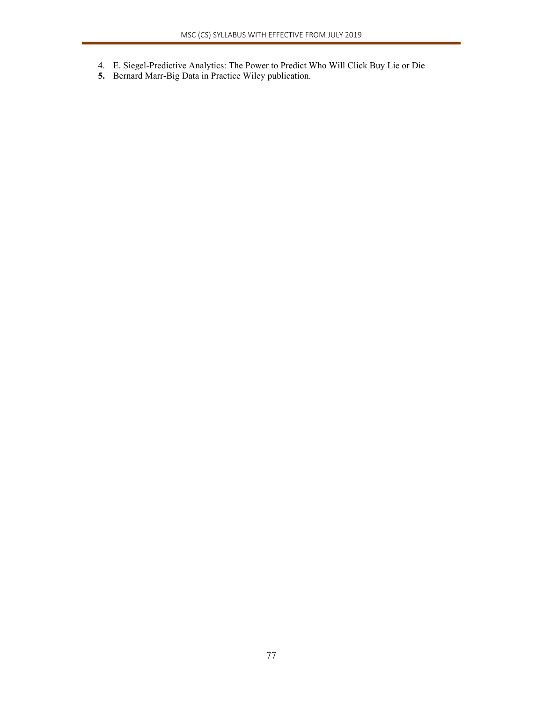- 4. E. Siegel-Predictive Analytics: The Power to Predict Who Will Click Buy Lie or Die
- **5.** Bernard Marr-Big Data in Practice Wiley publication.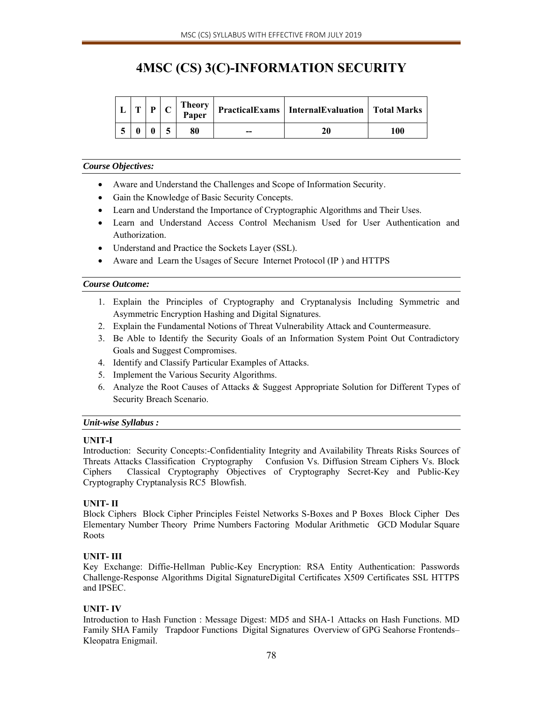# **4MSC (CS) 3(C)-INFORMATION SECURITY**

| <b>CEN</b> | D | <b>Theory</b><br>Paper |    | PracticalExams   InternalEvaluation   Total Marks |     |
|------------|---|------------------------|----|---------------------------------------------------|-----|
|            |   | 80                     | -- | 20                                                | 100 |

#### *Course Objectives:*

- Aware and Understand the Challenges and Scope of Information Security.
- Gain the Knowledge of Basic Security Concepts.
- Learn and Understand the Importance of Cryptographic Algorithms and Their Uses.
- Learn and Understand Access Control Mechanism Used for User Authentication and Authorization.
- Understand and Practice the Sockets Layer (SSL).
- Aware and Learn the Usages of Secure Internet Protocol (IP ) and HTTPS

#### *Course Outcome:*

- 1. Explain the Principles of Cryptography and Cryptanalysis Including Symmetric and Asymmetric Encryption Hashing and Digital Signatures.
- 2. Explain the Fundamental Notions of Threat Vulnerability Attack and Countermeasure.
- 3. Be Able to Identify the Security Goals of an Information System Point Out Contradictory Goals and Suggest Compromises.
- 4. Identify and Classify Particular Examples of Attacks.
- 5. Implement the Various Security Algorithms.
- 6. Analyze the Root Causes of Attacks & Suggest Appropriate Solution for Different Types of Security Breach Scenario.

## *Unit-wise Syllabus :*

## **UNIT-I**

Introduction: Security Concepts:-Confidentiality Integrity and Availability Threats Risks Sources of Threats Attacks Classification Cryptography Confusion Vs. Diffusion Stream Ciphers Vs. Block Ciphers Classical Cryptography Objectives of Cryptography Secret-Key and Public-Key Cryptography Cryptanalysis RC5 Blowfish.

## **UNIT- II**

Block Ciphers Block Cipher Principles Feistel Networks S-Boxes and P Boxes Block Cipher Des Elementary Number Theory Prime Numbers Factoring Modular Arithmetic GCD Modular Square Roots

## **UNIT- III**

Key Exchange: Diffie-Hellman Public-Key Encryption: RSA Entity Authentication: Passwords Challenge-Response Algorithms Digital SignatureDigital Certificates X509 Certificates SSL HTTPS and IPSEC.

## **UNIT- IV**

Introduction to Hash Function : Message Digest: MD5 and SHA-1 Attacks on Hash Functions. MD Family SHA Family Trapdoor Functions Digital Signatures Overview of GPG Seahorse Frontends– Kleopatra Enigmail.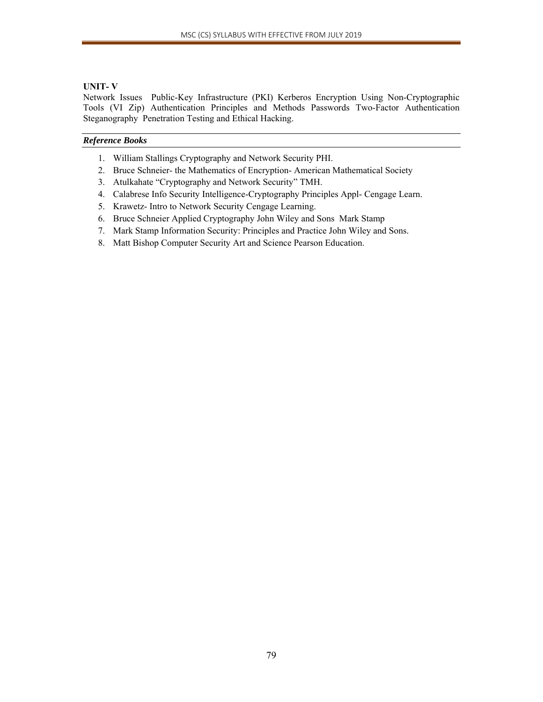## **UNIT- V**

Network Issues Public-Key Infrastructure (PKI) Kerberos Encryption Using Non-Cryptographic Tools (VI Zip) Authentication Principles and Methods Passwords Two-Factor Authentication Steganography Penetration Testing and Ethical Hacking.

#### *Reference Books*

- 1. William Stallings Cryptography and Network Security PHI.
- 2. Bruce Schneier- the Mathematics of Encryption- American Mathematical Society
- 3. Atulkahate "Cryptography and Network Security" TMH.
- 4. Calabrese Info Security Intelligence-Cryptography Principles Appl- Cengage Learn.
- 5. Krawetz- Intro to Network Security Cengage Learning.
- 6. Bruce Schneier Applied Cryptography John Wiley and Sons Mark Stamp
- 7. Mark Stamp Information Security: Principles and Practice John Wiley and Sons.
- 8. Matt Bishop Computer Security Art and Science Pearson Education.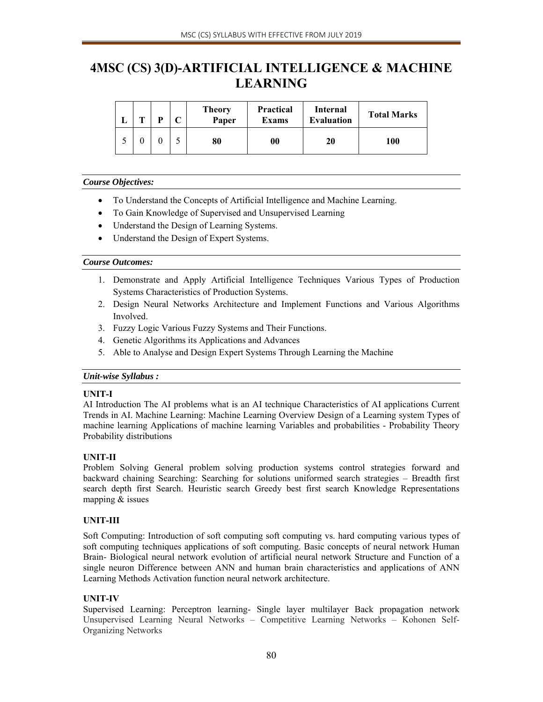# **4MSC (CS) 3(D)-ARTIFICIAL INTELLIGENCE & MACHINE LEARNING**

| m | D | <b>Theory</b><br>Paper | <b>Practical</b><br><b>Exams</b> | Internal<br><b>Evaluation</b> | <b>Total Marks</b> |  |
|---|---|------------------------|----------------------------------|-------------------------------|--------------------|--|
|   |   | 80                     | 00                               | 20                            | 100                |  |

## *Course Objectives:*

- To Understand the Concepts of Artificial Intelligence and Machine Learning.
- To Gain Knowledge of Supervised and Unsupervised Learning
- Understand the Design of Learning Systems.
- Understand the Design of Expert Systems.

## *Course Outcomes:*

- 1. Demonstrate and Apply Artificial Intelligence Techniques Various Types of Production Systems Characteristics of Production Systems.
- 2. Design Neural Networks Architecture and Implement Functions and Various Algorithms Involved.
- 3. Fuzzy Logic Various Fuzzy Systems and Their Functions.
- 4. Genetic Algorithms its Applications and Advances
- 5. Able to Analyse and Design Expert Systems Through Learning the Machine

## *Unit-wise Syllabus :*

## **UNIT-I**

AI Introduction The AI problems what is an AI technique Characteristics of AI applications Current Trends in AI. Machine Learning: Machine Learning Overview Design of a Learning system Types of machine learning Applications of machine learning Variables and probabilities - Probability Theory Probability distributions

# **UNIT-II**

Problem Solving General problem solving production systems control strategies forward and backward chaining Searching: Searching for solutions uniformed search strategies – Breadth first search depth first Search. Heuristic search Greedy best first search Knowledge Representations mapping & issues

# **UNIT-III**

Soft Computing: Introduction of soft computing soft computing vs. hard computing various types of soft computing techniques applications of soft computing. Basic concepts of neural network Human Brain- Biological neural network evolution of artificial neural network Structure and Function of a single neuron Difference between ANN and human brain characteristics and applications of ANN Learning Methods Activation function neural network architecture.

# **UNIT-IV**

Supervised Learning: Perceptron learning- Single layer multilayer Back propagation network Unsupervised Learning Neural Networks – Competitive Learning Networks – Kohonen Self-Organizing Networks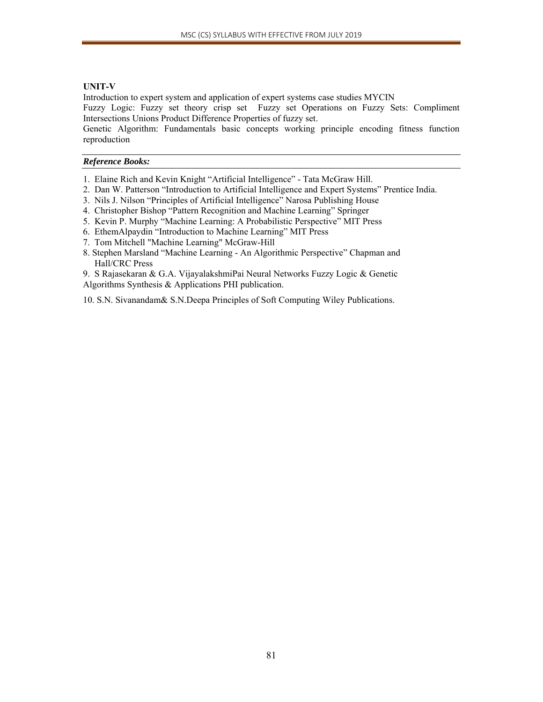## **UNIT-V**

Introduction to expert system and application of expert systems case studies MYCIN

Fuzzy Logic: Fuzzy set theory crisp set Fuzzy set Operations on Fuzzy Sets: Compliment Intersections Unions Product Difference Properties of fuzzy set.

Genetic Algorithm: Fundamentals basic concepts working principle encoding fitness function reproduction

#### *Reference Books:*

- 1. Elaine Rich and Kevin Knight "Artificial Intelligence" Tata McGraw Hill.
- 2. Dan W. Patterson "Introduction to Artificial Intelligence and Expert Systems" Prentice India.
- 3. Nils J. Nilson "Principles of Artificial Intelligence" Narosa Publishing House
- 4. Christopher Bishop "Pattern Recognition and Machine Learning" Springer
- 5. Kevin P. Murphy "Machine Learning: A Probabilistic Perspective" MIT Press
- 6. EthemAlpaydin "Introduction to Machine Learning" MIT Press
- 7. Tom Mitchell "Machine Learning" McGraw-Hill
- 8. Stephen Marsland "Machine Learning An Algorithmic Perspective" Chapman and Hall/CRC Press

9. S Rajasekaran & G.A. VijayalakshmiPai Neural Networks Fuzzy Logic & Genetic Algorithms Synthesis & Applications PHI publication.

10. S.N. Sivanandam& S.N.Deepa Principles of Soft Computing Wiley Publications.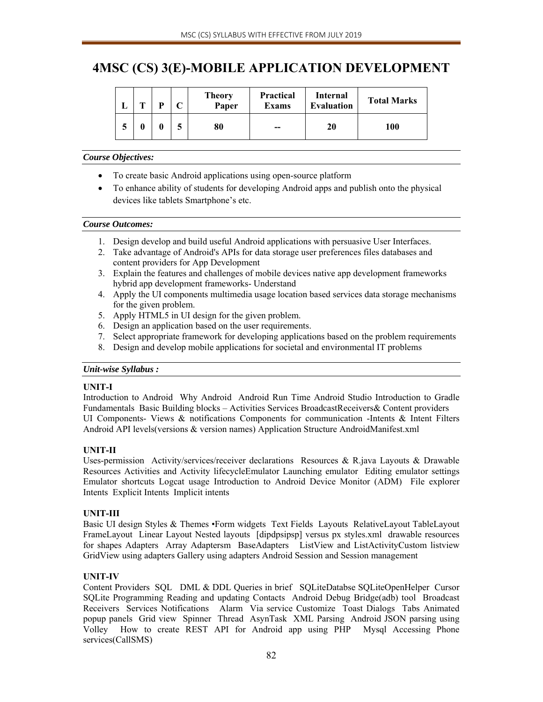# **4MSC (CS) 3(E)-MOBILE APPLICATION DEVELOPMENT**

| m | D | ⌒ | <b>Theory</b><br>Paper | <b>Practical</b><br><b>Exams</b> | Internal<br><b>Evaluation</b> | <b>Total Marks</b> |
|---|---|---|------------------------|----------------------------------|-------------------------------|--------------------|
|   |   |   | 80                     | $-$                              | 20                            | 100                |

## *Course Objectives:*

- To create basic Android applications using open-source platform
- To enhance ability of students for developing Android apps and publish onto the physical devices like tablets Smartphone's etc.

## *Course Outcomes:*

- 1. Design develop and build useful Android applications with persuasive User Interfaces.
- 2. Take advantage of Android's APIs for data storage user preferences files databases and content providers for App Development
- 3. Explain the features and challenges of mobile devices native app development frameworks hybrid app development frameworks- Understand
- 4. Apply the UI components multimedia usage location based services data storage mechanisms for the given problem.
- 5. Apply HTML5 in UI design for the given problem.
- 6. Design an application based on the user requirements.
- 7. Select appropriate framework for developing applications based on the problem requirements
- 8. Design and develop mobile applications for societal and environmental IT problems

# *Unit-wise Syllabus :*

# **UNIT-I**

Introduction to Android Why Android Android Run Time Android Studio Introduction to Gradle Fundamentals Basic Building blocks – Activities Services BroadcastReceivers& Content providers UI Components- Views & notifications Components for communication -Intents & Intent Filters Android API levels(versions & version names) Application Structure AndroidManifest.xml

# **UNIT-II**

Uses-permission Activity/services/receiver declarations Resources & R.java Layouts & Drawable Resources Activities and Activity lifecycleEmulator Launching emulator Editing emulator settings Emulator shortcuts Logcat usage Introduction to Android Device Monitor (ADM) File explorer Intents Explicit Intents Implicit intents

# **UNIT-III**

Basic UI design Styles & Themes •Form widgets Text Fields Layouts RelativeLayout TableLayout FrameLayout Linear Layout Nested layouts [dipdpsipsp] versus px styles.xml drawable resources for shapes Adapters Array Adaptersm BaseAdapters ListView and ListActivityCustom listview GridView using adapters Gallery using adapters Android Session and Session management

# **UNIT-IV**

Content Providers SQL DML & DDL Queries in brief SQLiteDatabse SQLiteOpenHelper Cursor SQLite Programming Reading and updating Contacts Android Debug Bridge(adb) tool Broadcast Receivers Services Notifications Alarm Via service Customize Toast Dialogs Tabs Animated popup panels Grid view Spinner Thread AsynTask XML Parsing Android JSON parsing using Volley How to create REST API for Android app using PHP Mysql Accessing Phone services(CallSMS)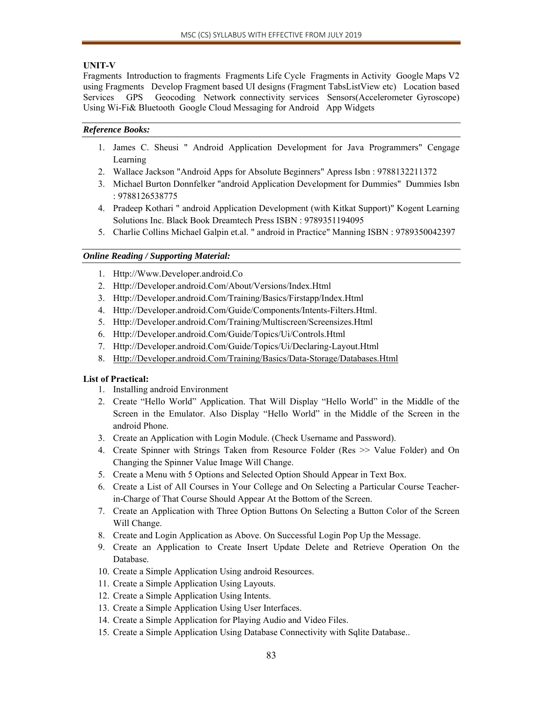## **UNIT-V**

Fragments Introduction to fragments Fragments Life Cycle Fragments in Activity Google Maps V2 using Fragments Develop Fragment based UI designs (Fragment TabsListView etc) Location based Services GPS Geocoding Network connectivity services Sensors(Accelerometer Gyroscope) Using Wi-Fi& Bluetooth Google Cloud Messaging for Android App Widgets

## *Reference Books:*

- 1. James C. Sheusi " Android Application Development for Java Programmers" Cengage Learning
- 2. Wallace Jackson "Android Apps for Absolute Beginners" Apress Isbn : 9788132211372
- 3. Michael Burton Donnfelker "android Application Development for Dummies" Dummies Isbn : 9788126538775
- 4. Pradeep Kothari " android Application Development (with Kitkat Support)" Kogent Learning Solutions Inc. Black Book Dreamtech Press ISBN : 9789351194095
- 5. Charlie Collins Michael Galpin et.al. " android in Practice" Manning ISBN : 9789350042397

# *Online Reading / Supporting Material:*

- 1. Http://Www.Developer.android.Co
- 2. Http://Developer.android.Com/About/Versions/Index.Html
- 3. Http://Developer.android.Com/Training/Basics/Firstapp/Index.Html
- 4. Http://Developer.android.Com/Guide/Components/Intents-Filters.Html.
- 5. Http://Developer.android.Com/Training/Multiscreen/Screensizes.Html
- 6. Http://Developer.android.Com/Guide/Topics/Ui/Controls.Html
- 7. Http://Developer.android.Com/Guide/Topics/Ui/Declaring-Layout.Html
- 8. Http://Developer.android.Com/Training/Basics/Data-Storage/Databases.Html

# **List of Practical:**

- 1. Installing android Environment
- 2. Create "Hello World" Application. That Will Display "Hello World" in the Middle of the Screen in the Emulator. Also Display "Hello World" in the Middle of the Screen in the android Phone.
- 3. Create an Application with Login Module. (Check Username and Password).
- 4. Create Spinner with Strings Taken from Resource Folder (Res >> Value Folder) and On Changing the Spinner Value Image Will Change.
- 5. Create a Menu with 5 Options and Selected Option Should Appear in Text Box.
- 6. Create a List of All Courses in Your College and On Selecting a Particular Course Teacherin-Charge of That Course Should Appear At the Bottom of the Screen.
- 7. Create an Application with Three Option Buttons On Selecting a Button Color of the Screen Will Change.
- 8. Create and Login Application as Above. On Successful Login Pop Up the Message.
- 9. Create an Application to Create Insert Update Delete and Retrieve Operation On the Database.
- 10. Create a Simple Application Using android Resources.
- 11. Create a Simple Application Using Layouts.
- 12. Create a Simple Application Using Intents.
- 13. Create a Simple Application Using User Interfaces.
- 14. Create a Simple Application for Playing Audio and Video Files.
- 15. Create a Simple Application Using Database Connectivity with Sqlite Database..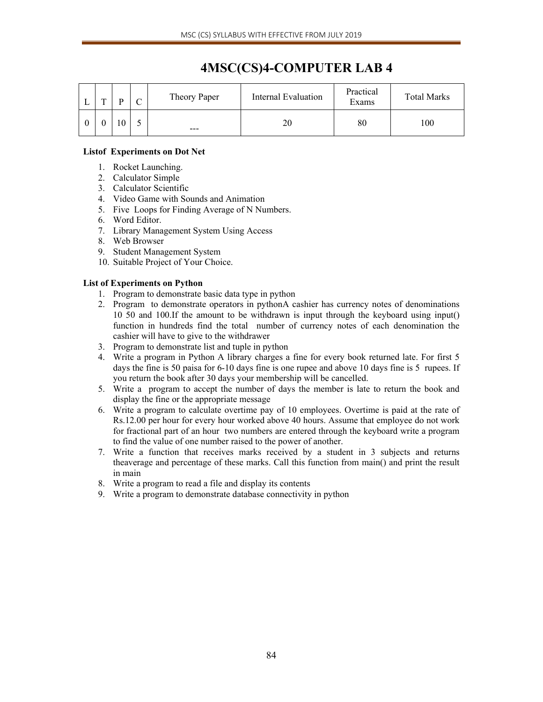| $\mathbf{r}$ | ת | $\curvearrowright$<br>◡ | Theory Paper | Internal Evaluation | Practical<br>Exams | <b>Total Marks</b> |  |
|--------------|---|-------------------------|--------------|---------------------|--------------------|--------------------|--|
|              |   |                         | $-- -$       | 20                  | 80                 | 100                |  |

## **Listof Experiments on Dot Net**

- 1. Rocket Launching.
- 2. Calculator Simple
- 3. Calculator Scientific
- 4. Video Game with Sounds and Animation
- 5. Five Loops for Finding Average of N Numbers.
- 6. Word Editor.
- 7. Library Management System Using Access
- 8. Web Browser
- 9. Student Management System
- 10. Suitable Project of Your Choice.

## **List of Experiments on Python**

- 1. Program to demonstrate basic data type in python
- 2. Program to demonstrate operators in pythonA cashier has currency notes of denominations 10 50 and 100.If the amount to be withdrawn is input through the keyboard using input() function in hundreds find the total number of currency notes of each denomination the cashier will have to give to the withdrawer
- 3. Program to demonstrate list and tuple in python
- 4. Write a program in Python A library charges a fine for every book returned late. For first 5 days the fine is 50 paisa for 6-10 days fine is one rupee and above 10 days fine is 5 rupees. If you return the book after 30 days your membership will be cancelled.
- 5. Write a program to accept the number of days the member is late to return the book and display the fine or the appropriate message
- 6. Write a program to calculate overtime pay of 10 employees. Overtime is paid at the rate of Rs.12.00 per hour for every hour worked above 40 hours. Assume that employee do not work for fractional part of an hour two numbers are entered through the keyboard write a program to find the value of one number raised to the power of another.
- 7. Write a function that receives marks received by a student in 3 subjects and returns theaverage and percentage of these marks. Call this function from main() and print the result in main
- 8. Write a program to read a file and display its contents
- 9. Write a program to demonstrate database connectivity in python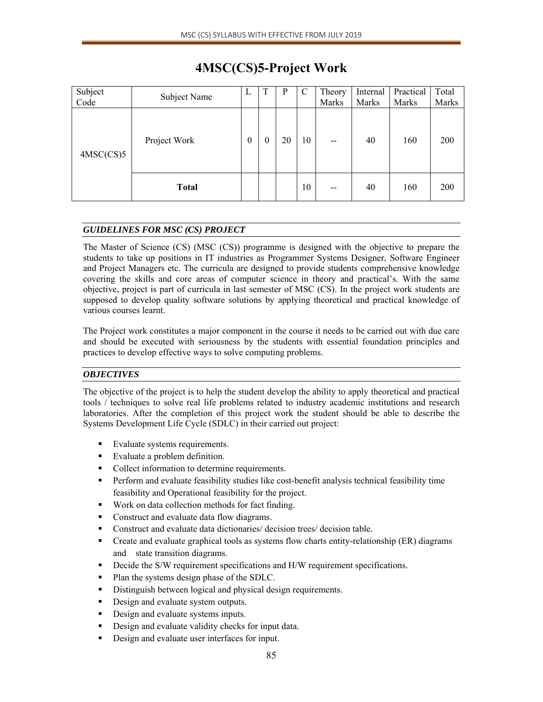| Subject<br>Code | Subject Name | L | T | P  | $\mathcal{C}$ | Theory<br>Marks | Internal<br>Marks | Practical<br>Marks | Total<br>Marks |
|-----------------|--------------|---|---|----|---------------|-----------------|-------------------|--------------------|----------------|
| 4MSC(CS)5       | Project Work |   | 0 | 20 | 10            | $-$             | 40                | 160                | 200            |
|                 | <b>Total</b> |   |   |    | 10            | $- -$           | 40                | 160                | 200            |

# **4MSC(CS)5-Project Work**

# *GUIDELINES FOR MSC (CS) PROJECT*

The Master of Science (CS) (MSC (CS)) programme is designed with the objective to prepare the students to take up positions in IT industries as Programmer Systems Designer, Software Engineer and Project Managers etc. The curricula are designed to provide students comprehensive knowledge covering the skills and core areas of computer science in theory and practical's. With the same objective, project is part of curricula in last semester of MSC (CS). In the project work students are supposed to develop quality software solutions by applying theoretical and practical knowledge of various courses learnt.

The Project work constitutes a major component in the course it needs to be carried out with due care and should be executed with seriousness by the students with essential foundation principles and practices to develop effective ways to solve computing problems.

# *OBJECTIVES*

The objective of the project is to help the student develop the ability to apply theoretical and practical tools / techniques to solve real life problems related to industry academic institutions and research laboratories. After the completion of this project work the student should be able to describe the Systems Development Life Cycle (SDLC) in their carried out project:

- Evaluate systems requirements.
- Evaluate a problem definition.
- Collect information to determine requirements.
- **Perform and evaluate feasibility studies like cost-benefit analysis technical feasibility time** feasibility and Operational feasibility for the project.
- Work on data collection methods for fact finding.
- Construct and evaluate data flow diagrams.
- Construct and evaluate data dictionaries/ decision trees/ decision table.
- Create and evaluate graphical tools as systems flow charts entity-relationship (ER) diagrams and state transition diagrams.
- Decide the S/W requirement specifications and H/W requirement specifications.
- Plan the systems design phase of the SDLC.
- Distinguish between logical and physical design requirements.
- Design and evaluate system outputs.
- **Design and evaluate systems inputs.**
- Design and evaluate validity checks for input data.
- **Design and evaluate user interfaces for input.**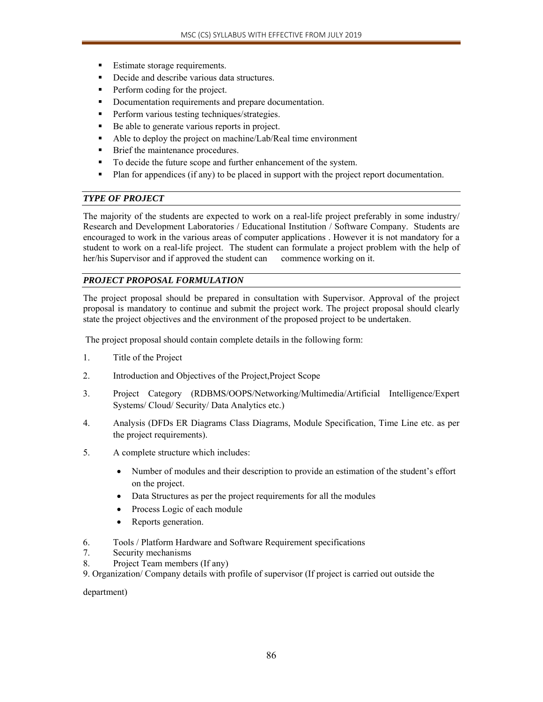- Estimate storage requirements.
- Decide and describe various data structures.
- **Perform coding for the project.**
- Documentation requirements and prepare documentation.
- **Perform various testing techniques/strategies.**
- Be able to generate various reports in project.
- Able to deploy the project on machine/Lab/Real time environment
- **Brief the maintenance procedures.**
- To decide the future scope and further enhancement of the system.
- Plan for appendices (if any) to be placed in support with the project report documentation.

## *TYPE OF PROJECT*

The majority of the students are expected to work on a real-life project preferably in some industry/ Research and Development Laboratories / Educational Institution / Software Company. Students are encouraged to work in the various areas of computer applications . However it is not mandatory for a student to work on a real-life project. The student can formulate a project problem with the help of her/his Supervisor and if approved the student can commence working on it.

# *PROJECT PROPOSAL FORMULATION*

The project proposal should be prepared in consultation with Supervisor. Approval of the project proposal is mandatory to continue and submit the project work. The project proposal should clearly state the project objectives and the environment of the proposed project to be undertaken.

The project proposal should contain complete details in the following form:

- 1. Title of the Project
- 2. Introduction and Objectives of the Project,Project Scope
- 3. Project Category (RDBMS/OOPS/Networking/Multimedia/Artificial Intelligence/Expert Systems/ Cloud/ Security/ Data Analytics etc.)
- 4. Analysis (DFDs ER Diagrams Class Diagrams, Module Specification, Time Line etc. as per the project requirements).
- 5. A complete structure which includes:
	- Number of modules and their description to provide an estimation of the student's effort on the project.
	- Data Structures as per the project requirements for all the modules
	- Process Logic of each module
	- Reports generation.
- 6. Tools / Platform Hardware and Software Requirement specifications
- 7. Security mechanisms
- 8. Project Team members (If any)
- 9. Organization/ Company details with profile of supervisor (If project is carried out outside the

department)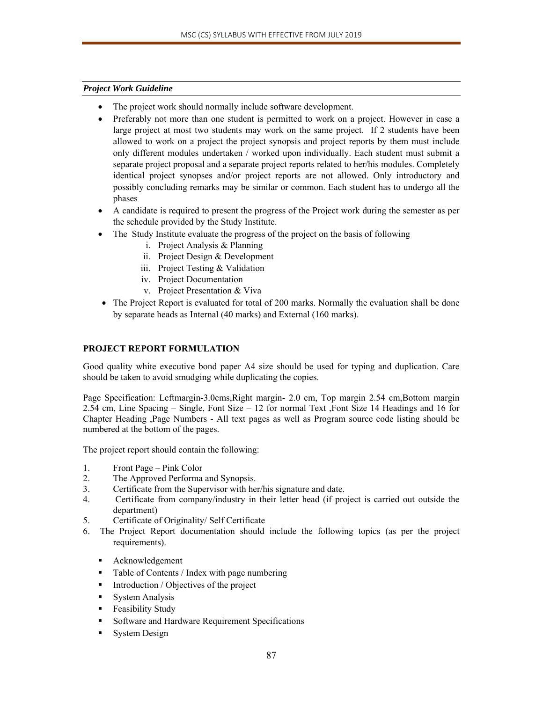## *Project Work Guideline*

- The project work should normally include software development.
- Preferably not more than one student is permitted to work on a project. However in case a large project at most two students may work on the same project. If 2 students have been allowed to work on a project the project synopsis and project reports by them must include only different modules undertaken / worked upon individually. Each student must submit a separate project proposal and a separate project reports related to her/his modules. Completely identical project synopses and/or project reports are not allowed. Only introductory and possibly concluding remarks may be similar or common. Each student has to undergo all the phases
- A candidate is required to present the progress of the Project work during the semester as per the schedule provided by the Study Institute.
- The Study Institute evaluate the progress of the project on the basis of following
	- i. Project Analysis & Planning
	- ii. Project Design & Development
	- iii. Project Testing & Validation
	- iv. Project Documentation
	- v. Project Presentation & Viva
- The Project Report is evaluated for total of 200 marks. Normally the evaluation shall be done by separate heads as Internal (40 marks) and External (160 marks).

## **PROJECT REPORT FORMULATION**

Good quality white executive bond paper A4 size should be used for typing and duplication. Care should be taken to avoid smudging while duplicating the copies.

Page Specification: Leftmargin-3.0cms,Right margin- 2.0 cm, Top margin 2.54 cm,Bottom margin 2.54 cm, Line Spacing – Single, Font Size – 12 for normal Text ,Font Size 14 Headings and 16 for Chapter Heading ,Page Numbers - All text pages as well as Program source code listing should be numbered at the bottom of the pages.

The project report should contain the following:

- 1. Front Page Pink Color
- 2. The Approved Performa and Synopsis.
- 3. Certificate from the Supervisor with her/his signature and date.
- 4. Certificate from company/industry in their letter head (if project is carried out outside the department)
- 5. Certificate of Originality/ Self Certificate
- 6. The Project Report documentation should include the following topics (as per the project requirements).
	- Acknowledgement
	- Table of Contents / Index with page numbering
	- Introduction / Objectives of the project
	- **System Analysis**
	- Feasibility Study
	- **Software and Hardware Requirement Specifications**
	- System Design